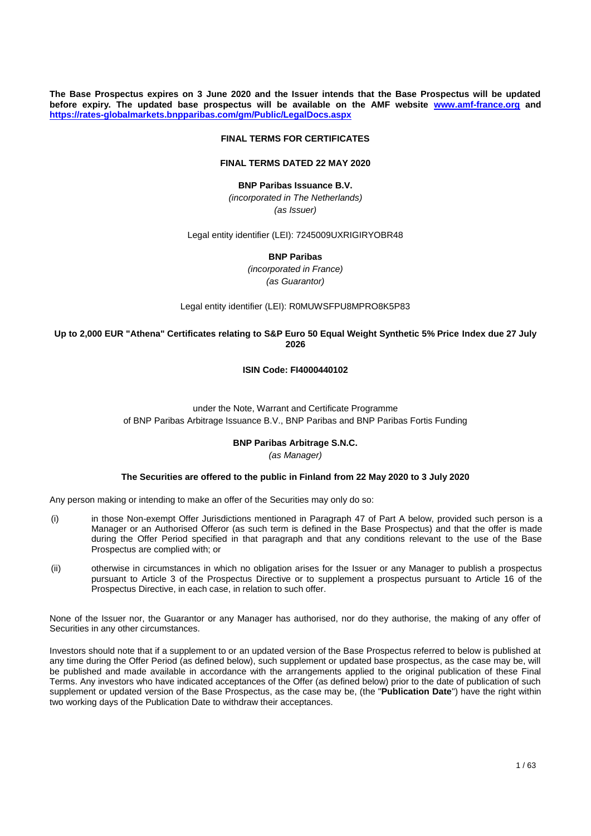**The Base Prospectus expires on 3 June 2020 and the Issuer intends that the Base Prospectus will be updated before expiry. The updated base prospectus will be available on the AMF website [www.amf-france.org](http://www.amf-france.org/) and <https://rates-globalmarkets.bnpparibas.com/gm/Public/LegalDocs.aspx>**

#### **FINAL TERMS FOR CERTIFICATES**

### **FINAL TERMS DATED 22 MAY 2020**

#### **BNP Paribas Issuance B.V.**

*(incorporated in The Netherlands) (as Issuer)*

Legal entity identifier (LEI): 7245009UXRIGIRYOBR48

**BNP Paribas**

*(incorporated in France) (as Guarantor)*

Legal entity identifier (LEI): R0MUWSFPU8MPRO8K5P83

### **Up to 2,000 EUR "Athena" Certificates relating to S&P Euro 50 Equal Weight Synthetic 5% Price Index due 27 July 2026**

#### **ISIN Code: FI4000440102**

## under the Note, Warrant and Certificate Programme of BNP Paribas Arbitrage Issuance B.V., BNP Paribas and BNP Paribas Fortis Funding

#### **BNP Paribas Arbitrage S.N.C.**

#### *(as Manager)*

#### **The Securities are offered to the public in Finland from 22 May 2020 to 3 July 2020**

Any person making or intending to make an offer of the Securities may only do so:

- (i) in those Non-exempt Offer Jurisdictions mentioned in Paragraph 47 of Part A below, provided such person is a Manager or an Authorised Offeror (as such term is defined in the Base Prospectus) and that the offer is made during the Offer Period specified in that paragraph and that any conditions relevant to the use of the Base Prospectus are complied with; or
- (ii) otherwise in circumstances in which no obligation arises for the Issuer or any Manager to publish a prospectus pursuant to Article 3 of the Prospectus Directive or to supplement a prospectus pursuant to Article 16 of the Prospectus Directive, in each case, in relation to such offer.

None of the Issuer nor, the Guarantor or any Manager has authorised, nor do they authorise, the making of any offer of Securities in any other circumstances.

Investors should note that if a supplement to or an updated version of the Base Prospectus referred to below is published at any time during the Offer Period (as defined below), such supplement or updated base prospectus, as the case may be, will be published and made available in accordance with the arrangements applied to the original publication of these Final Terms. Any investors who have indicated acceptances of the Offer (as defined below) prior to the date of publication of such supplement or updated version of the Base Prospectus, as the case may be, (the "**Publication Date**") have the right within two working days of the Publication Date to withdraw their acceptances.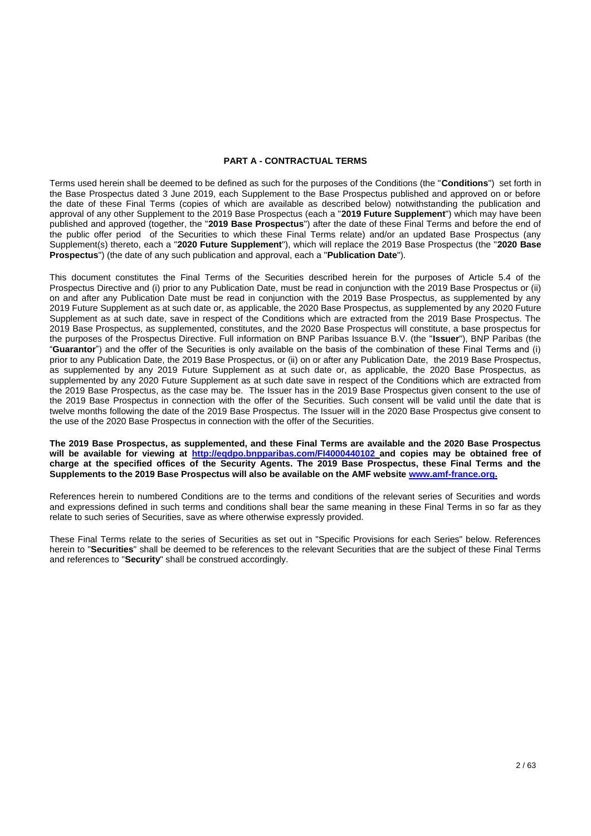#### **PART A - CONTRACTUAL TERMS**

Terms used herein shall be deemed to be defined as such for the purposes of the Conditions (the "**Conditions**") set forth in the Base Prospectus dated 3 June 2019, each Supplement to the Base Prospectus published and approved on or before the date of these Final Terms (copies of which are available as described below) notwithstanding the publication and approval of any other Supplement to the 2019 Base Prospectus (each a "**2019 Future Supplement**") which may have been published and approved (together, the "**2019 Base Prospectus**") after the date of these Final Terms and before the end of the public offer period of the Securities to which these Final Terms relate) and/or an updated Base Prospectus (any Supplement(s) thereto, each a "**2020 Future Supplement**"), which will replace the 2019 Base Prospectus (the "**2020 Base Prospectus**") (the date of any such publication and approval, each a "**Publication Date**").

This document constitutes the Final Terms of the Securities described herein for the purposes of Article 5.4 of the Prospectus Directive and (i) prior to any Publication Date, must be read in conjunction with the 2019 Base Prospectus or (ii) on and after any Publication Date must be read in conjunction with the 2019 Base Prospectus, as supplemented by any 2019 Future Supplement as at such date or, as applicable, the 2020 Base Prospectus, as supplemented by any 2020 Future Supplement as at such date, save in respect of the Conditions which are extracted from the 2019 Base Prospectus. The 2019 Base Prospectus, as supplemented, constitutes, and the 2020 Base Prospectus will constitute, a base prospectus for the purposes of the Prospectus Directive. Full information on BNP Paribas Issuance B.V. (the "**Issuer**"), BNP Paribas (the "**Guarantor**") and the offer of the Securities is only available on the basis of the combination of these Final Terms and (i) prior to any Publication Date, the 2019 Base Prospectus, or (ii) on or after any Publication Date, the 2019 Base Prospectus, as supplemented by any 2019 Future Supplement as at such date or, as applicable, the 2020 Base Prospectus, as supplemented by any 2020 Future Supplement as at such date save in respect of the Conditions which are extracted from the 2019 Base Prospectus, as the case may be. The Issuer has in the 2019 Base Prospectus given consent to the use of the 2019 Base Prospectus in connection with the offer of the Securities. Such consent will be valid until the date that is twelve months following the date of the 2019 Base Prospectus. The Issuer will in the 2020 Base Prospectus give consent to the use of the 2020 Base Prospectus in connection with the offer of the Securities.

**The 2019 Base Prospectus, as supplemented, and these Final Terms are available and the 2020 Base Prospectus will be available for viewing at<http://eqdpo.bnpparibas.com/FI4000440102> and copies may be obtained free of charge at the specified offices of the Security Agents. The 2019 Base Prospectus, these Final Terms and the Supplements to the 2019 Base Prospectus will also be available on the AMF website [www.amf-france.org.](http://www.amf-france.org/)**

References herein to numbered Conditions are to the terms and conditions of the relevant series of Securities and words and expressions defined in such terms and conditions shall bear the same meaning in these Final Terms in so far as they relate to such series of Securities, save as where otherwise expressly provided.

These Final Terms relate to the series of Securities as set out in "Specific Provisions for each Series" below. References herein to "**Securities**" shall be deemed to be references to the relevant Securities that are the subject of these Final Terms and references to "**Security**" shall be construed accordingly.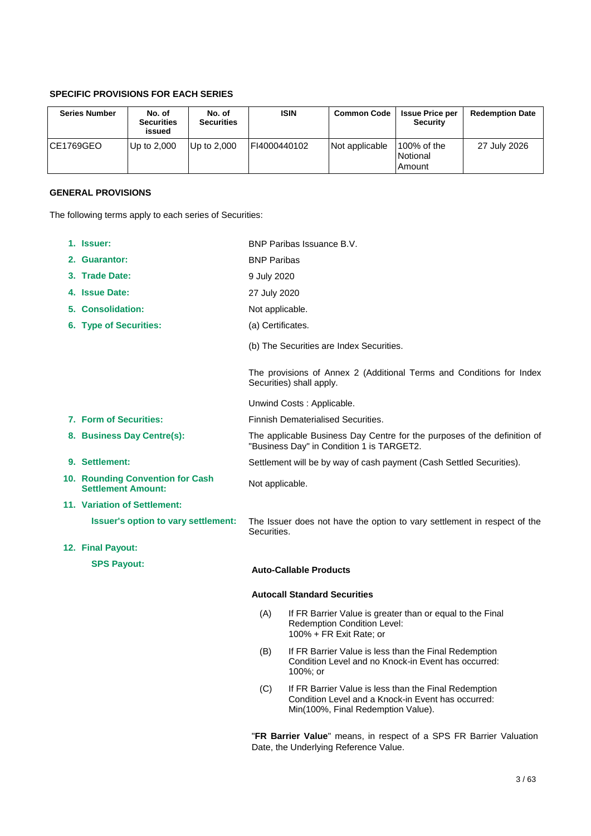# **SPECIFIC PROVISIONS FOR EACH SERIES**

| <b>Series Number</b> | No. of<br><b>Securities</b><br>issued | No. of<br><b>Securities</b> | <b>ISIN</b>  | <b>Common Code</b> | <b>Issue Price per</b><br><b>Security</b> | <b>Redemption Date</b> |
|----------------------|---------------------------------------|-----------------------------|--------------|--------------------|-------------------------------------------|------------------------|
| ICE1769GEO           | Up to $2,000$                         | Up to 2.000                 | FI4000440102 | Not applicable     | $100\%$ of the<br>Notional<br>Amount      | 27 July 2026           |

# **GENERAL PROVISIONS**

The following terms apply to each series of Securities:

| 1. Issuer:                                                    |                                                                                                                       | BNP Paribas Issuance B.V.                                                                                                                         |  |  |
|---------------------------------------------------------------|-----------------------------------------------------------------------------------------------------------------------|---------------------------------------------------------------------------------------------------------------------------------------------------|--|--|
| 2. Guarantor:                                                 | <b>BNP Paribas</b>                                                                                                    |                                                                                                                                                   |  |  |
| 3. Trade Date:                                                |                                                                                                                       | 9 July 2020                                                                                                                                       |  |  |
| 4. Issue Date:                                                |                                                                                                                       | 27 July 2020                                                                                                                                      |  |  |
| 5. Consolidation:                                             | Not applicable.                                                                                                       |                                                                                                                                                   |  |  |
| 6. Type of Securities:                                        | (a) Certificates.                                                                                                     |                                                                                                                                                   |  |  |
|                                                               |                                                                                                                       | (b) The Securities are Index Securities.                                                                                                          |  |  |
|                                                               |                                                                                                                       | The provisions of Annex 2 (Additional Terms and Conditions for Index<br>Securities) shall apply.                                                  |  |  |
|                                                               |                                                                                                                       | Unwind Costs: Applicable.                                                                                                                         |  |  |
| 7. Form of Securities:                                        |                                                                                                                       | <b>Finnish Dematerialised Securities.</b>                                                                                                         |  |  |
| 8. Business Day Centre(s):                                    | The applicable Business Day Centre for the purposes of the definition of<br>"Business Day" in Condition 1 is TARGET2. |                                                                                                                                                   |  |  |
| 9. Settlement:                                                | Settlement will be by way of cash payment (Cash Settled Securities).                                                  |                                                                                                                                                   |  |  |
| 10. Rounding Convention for Cash<br><b>Settlement Amount:</b> | Not applicable.                                                                                                       |                                                                                                                                                   |  |  |
| <b>11. Variation of Settlement:</b>                           |                                                                                                                       |                                                                                                                                                   |  |  |
| <b>Issuer's option to vary settlement:</b>                    | Securities.                                                                                                           | The Issuer does not have the option to vary settlement in respect of the                                                                          |  |  |
| 12. Final Payout:                                             |                                                                                                                       |                                                                                                                                                   |  |  |
| <b>SPS Payout:</b>                                            |                                                                                                                       | <b>Auto-Callable Products</b>                                                                                                                     |  |  |
|                                                               |                                                                                                                       | <b>Autocall Standard Securities</b>                                                                                                               |  |  |
|                                                               | (A)                                                                                                                   | If FR Barrier Value is greater than or equal to the Final<br>Redemption Condition Level:<br>100% + FR Exit Rate; or                               |  |  |
|                                                               | (B)                                                                                                                   | If FR Barrier Value is less than the Final Redemption<br>Condition Level and no Knock-in Event has occurred:<br>100%; or                          |  |  |
|                                                               | (C)                                                                                                                   | If FR Barrier Value is less than the Final Redemption<br>Condition Level and a Knock-in Event has occurred:<br>Min(100%, Final Redemption Value). |  |  |

"**FR Barrier Value**" means, in respect of a SPS FR Barrier Valuation Date, the Underlying Reference Value.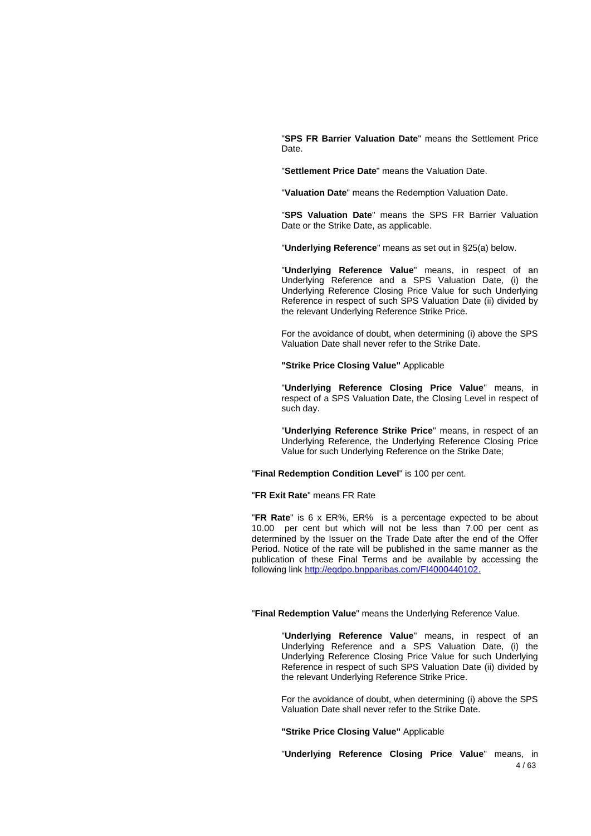"**SPS FR Barrier Valuation Date**" means the Settlement Price Date.

"**Settlement Price Date**" means the Valuation Date.

"**Valuation Date**" means the Redemption Valuation Date.

"**SPS Valuation Date**" means the SPS FR Barrier Valuation Date or the Strike Date, as applicable.

"**Underlying Reference**" means as set out in §25(a) below.

"**Underlying Reference Value**" means, in respect of an Underlying Reference and a SPS Valuation Date, (i) the Underlying Reference Closing Price Value for such Underlying Reference in respect of such SPS Valuation Date (ii) divided by the relevant Underlying Reference Strike Price.

For the avoidance of doubt, when determining (i) above the SPS Valuation Date shall never refer to the Strike Date.

**"Strike Price Closing Value"** Applicable

"**Underlying Reference Closing Price Value**" means, in respect of a SPS Valuation Date, the Closing Level in respect of such day.

"**Underlying Reference Strike Price**" means, in respect of an Underlying Reference, the Underlying Reference Closing Price Value for such Underlying Reference on the Strike Date;

"**Final Redemption Condition Level**" is 100 per cent.

"**FR Exit Rate**" means FR Rate

"**FR Rate**" is 6 x ER%, ER% is a percentage expected to be about 10.00 per cent but which will not be less than 7.00 per cent as determined by the Issuer on the Trade Date after the end of the Offer Period. Notice of the rate will be published in the same manner as the publication of these Final Terms and be available by accessing the following link [http://eqdpo.bnpparibas.com/FI4000440102.](http://eqdpo.bnpparibas.com/FI4000440102)

"**Final Redemption Value**" means the Underlying Reference Value.

"**Underlying Reference Value**" means, in respect of an Underlying Reference and a SPS Valuation Date, (i) the Underlying Reference Closing Price Value for such Underlying Reference in respect of such SPS Valuation Date (ii) divided by the relevant Underlying Reference Strike Price.

For the avoidance of doubt, when determining (i) above the SPS Valuation Date shall never refer to the Strike Date.

**"Strike Price Closing Value"** Applicable

4 / 63 "**Underlying Reference Closing Price Value**" means, in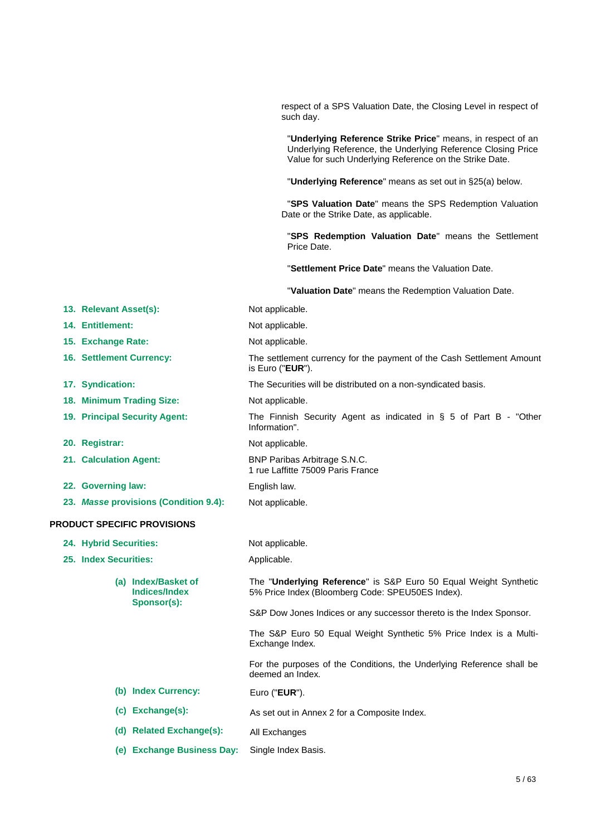respect of a SPS Valuation Date, the Closing Level in respect of such day.

"**Underlying Reference Strike Price**" means, in respect of an Underlying Reference, the Underlying Reference Closing Price Value for such Underlying Reference on the Strike Date.

"**Underlying Reference**" means as set out in §25(a) below.

"**SPS Valuation Date**" means the SPS Redemption Valuation Date or the Strike Date, as applicable.

"**SPS Redemption Valuation Date**" means the Settlement Price Date.

"**Settlement Price Date**" means the Valuation Date.

"**Valuation Date**" means the Redemption Valuation Date.

| 13. Relevant Asset(s):                                     | Not applicable.                                                                                                      |
|------------------------------------------------------------|----------------------------------------------------------------------------------------------------------------------|
| 14. Entitlement:                                           | Not applicable.                                                                                                      |
| 15. Exchange Rate:                                         | Not applicable.                                                                                                      |
| <b>16. Settlement Currency:</b>                            | The settlement currency for the payment of the Cash Settlement Amount<br>is Euro (" <b>EUR</b> ").                   |
| 17. Syndication:                                           | The Securities will be distributed on a non-syndicated basis.                                                        |
| 18. Minimum Trading Size:                                  | Not applicable.                                                                                                      |
| 19. Principal Security Agent:                              | The Finnish Security Agent as indicated in $\S$ 5 of Part B - "Other<br>Information".                                |
| 20. Registrar:                                             | Not applicable.                                                                                                      |
| 21. Calculation Agent:                                     | BNP Paribas Arbitrage S.N.C.<br>1 rue Laffitte 75009 Paris France                                                    |
| 22. Governing law:                                         | English law.                                                                                                         |
| 23. Masse provisions (Condition 9.4):                      | Not applicable.                                                                                                      |
| <b>PRODUCT SPECIFIC PROVISIONS</b>                         |                                                                                                                      |
| 24. Hybrid Securities:                                     | Not applicable.                                                                                                      |
| 25. Index Securities:                                      | Applicable.                                                                                                          |
| (a) Index/Basket of<br><b>Indices/Index</b><br>Sponsor(s): | The "Underlying Reference" is S&P Euro 50 Equal Weight Synthetic<br>5% Price Index (Bloomberg Code: SPEU50ES Index). |
|                                                            | S&P Dow Jones Indices or any successor thereto is the Index Sponsor.                                                 |
|                                                            | The S&P Euro 50 Equal Weight Synthetic 5% Price Index is a Multi-<br>Exchange Index.                                 |
|                                                            | For the purposes of the Conditions, the Underlying Reference shall be<br>deemed an Index.                            |
| (b) Index Currency:                                        | Euro (" <b>EUR</b> ").                                                                                               |
| (c) Exchange(s):                                           | As set out in Annex 2 for a Composite Index.                                                                         |
| (d) Related Exchange(s):                                   | All Exchanges                                                                                                        |
| (e) Exchange Business Day:                                 | Single Index Basis.                                                                                                  |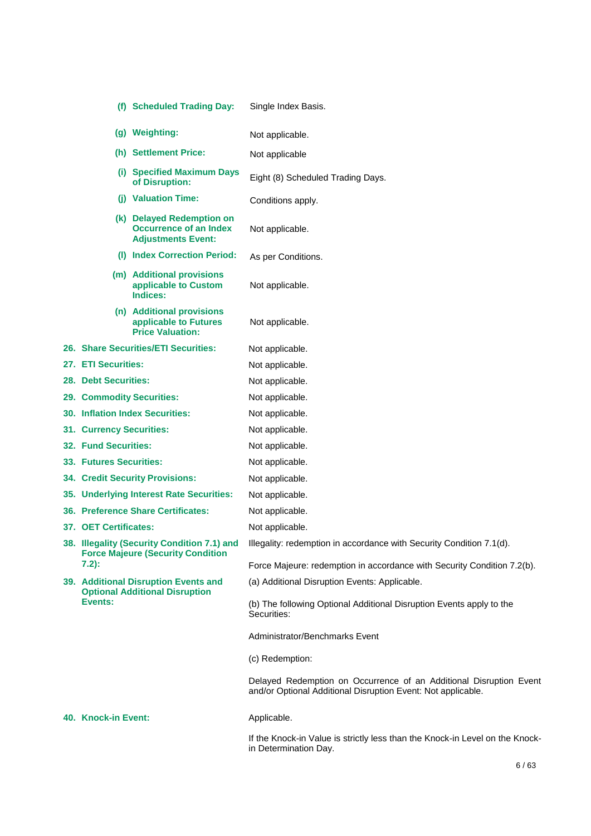|                                                  | (f) Scheduled Trading Day:                                                              | Single Index Basis.                                                                                                                |
|--------------------------------------------------|-----------------------------------------------------------------------------------------|------------------------------------------------------------------------------------------------------------------------------------|
|                                                  | (g) Weighting:                                                                          | Not applicable.                                                                                                                    |
|                                                  | (h) Settlement Price:                                                                   | Not applicable                                                                                                                     |
|                                                  | (i) Specified Maximum Days<br>of Disruption:                                            | Eight (8) Scheduled Trading Days.                                                                                                  |
|                                                  | (j) Valuation Time:                                                                     | Conditions apply.                                                                                                                  |
|                                                  | (k) Delayed Redemption on<br><b>Occurrence of an Index</b><br><b>Adjustments Event:</b> | Not applicable.                                                                                                                    |
|                                                  | (I) Index Correction Period:                                                            | As per Conditions.                                                                                                                 |
|                                                  | (m) Additional provisions<br>applicable to Custom<br>Indices:                           | Not applicable.                                                                                                                    |
|                                                  | (n) Additional provisions<br>applicable to Futures<br><b>Price Valuation:</b>           | Not applicable.                                                                                                                    |
|                                                  | <b>26. Share Securities/ETI Securities:</b>                                             | Not applicable.                                                                                                                    |
| 27. ETI Securities:                              |                                                                                         | Not applicable.                                                                                                                    |
| <b>28. Debt Securities:</b>                      |                                                                                         | Not applicable.                                                                                                                    |
|                                                  | <b>29. Commodity Securities:</b>                                                        | Not applicable.                                                                                                                    |
|                                                  | <b>30. Inflation Index Securities:</b>                                                  | Not applicable.                                                                                                                    |
| 31. Currency Securities:                         |                                                                                         | Not applicable.                                                                                                                    |
| <b>32. Fund Securities:</b>                      |                                                                                         | Not applicable.                                                                                                                    |
| 33. Futures Securities:                          |                                                                                         | Not applicable.                                                                                                                    |
|                                                  | <b>34. Credit Security Provisions:</b>                                                  | Not applicable.                                                                                                                    |
|                                                  | 35. Underlying Interest Rate Securities:                                                | Not applicable.                                                                                                                    |
|                                                  | <b>36. Preference Share Certificates:</b>                                               | Not applicable.                                                                                                                    |
| 37. OET Certificates:                            |                                                                                         | Not applicable.                                                                                                                    |
|                                                  | 38. Illegality (Security Condition 7.1) and<br><b>Force Majeure (Security Condition</b> | Illegality: redemption in accordance with Security Condition 7.1(d).                                                               |
| $7.2$ :                                          |                                                                                         | Force Majeure: redemption in accordance with Security Condition 7.2(b).                                                            |
|                                                  | 39. Additional Disruption Events and                                                    | (a) Additional Disruption Events: Applicable.                                                                                      |
| <b>Optional Additional Disruption</b><br>Events: |                                                                                         | (b) The following Optional Additional Disruption Events apply to the<br>Securities:                                                |
|                                                  |                                                                                         | Administrator/Benchmarks Event                                                                                                     |
|                                                  |                                                                                         | (c) Redemption:                                                                                                                    |
|                                                  |                                                                                         | Delayed Redemption on Occurrence of an Additional Disruption Event<br>and/or Optional Additional Disruption Event: Not applicable. |
| 40. Knock-in Event:                              |                                                                                         | Applicable.                                                                                                                        |
|                                                  |                                                                                         | If the Knock-in Value is strictly less than the Knock-in Level on the Knock-<br>in Determination Day.                              |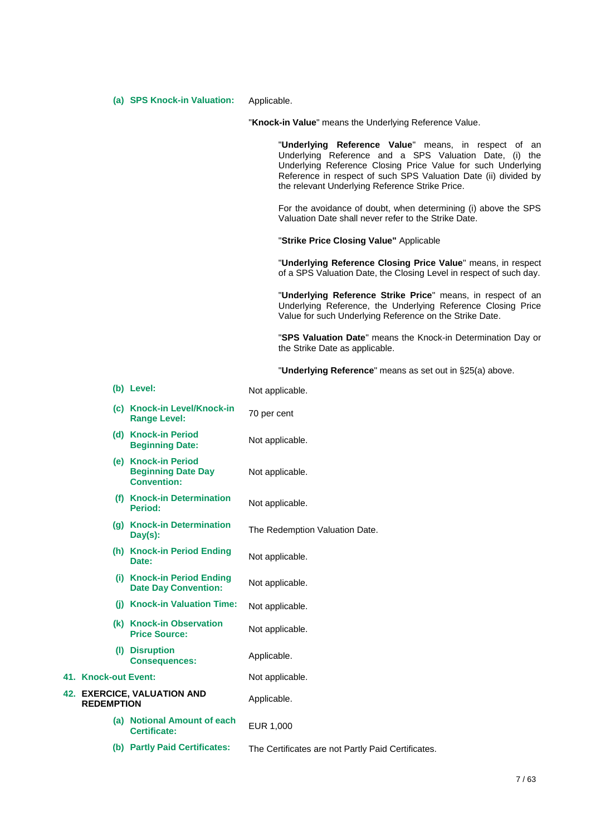**(a) SPS Knock-in Valuation:** Applicable.

"**Knock-in Value**" means the Underlying Reference Value.

"**Underlying Reference Value**" means, in respect of an Underlying Reference and a SPS Valuation Date, (i) the Underlying Reference Closing Price Value for such Underlying Reference in respect of such SPS Valuation Date (ii) divided by the relevant Underlying Reference Strike Price.

For the avoidance of doubt, when determining (i) above the SPS Valuation Date shall never refer to the Strike Date.

"**Strike Price Closing Value"** Applicable

"**Underlying Reference Closing Price Value**" means, in respect of a SPS Valuation Date, the Closing Level in respect of such day.

"**Underlying Reference Strike Price**" means, in respect of an Underlying Reference, the Underlying Reference Closing Price Value for such Underlying Reference on the Strike Date.

"**SPS Valuation Date**" means the Knock-in Determination Day or the Strike Date as applicable.

"**Underlying Reference**" means as set out in §25(a) above.

|                      | (b) Level:                                                             | Not applicable.                                    |
|----------------------|------------------------------------------------------------------------|----------------------------------------------------|
|                      | (c) Knock-in Level/Knock-in<br><b>Range Level:</b>                     | 70 per cent                                        |
|                      | (d) Knock-in Period<br><b>Beginning Date:</b>                          | Not applicable.                                    |
|                      | (e) Knock-in Period<br><b>Beginning Date Day</b><br><b>Convention:</b> | Not applicable.                                    |
|                      | (f) Knock-in Determination<br><b>Period:</b>                           | Not applicable.                                    |
|                      | (g) Knock-in Determination<br>$Day(s)$ :                               | The Redemption Valuation Date.                     |
|                      | (h) Knock-in Period Ending<br>Date:                                    | Not applicable.                                    |
|                      | (i) Knock-in Period Ending<br><b>Date Day Convention:</b>              | Not applicable.                                    |
|                      | (i) Knock-in Valuation Time:                                           | Not applicable.                                    |
|                      | (k) Knock-in Observation<br><b>Price Source:</b>                       | Not applicable.                                    |
|                      | (I) Disruption<br><b>Consequences:</b>                                 | Applicable.                                        |
| 41. Knock-out Event: |                                                                        | Not applicable.                                    |
| <b>REDEMPTION</b>    | <b>42. EXERCICE, VALUATION AND</b>                                     | Applicable.                                        |
|                      | (a) Notional Amount of each<br><b>Certificate:</b>                     | EUR 1,000                                          |
|                      | (b) Partly Paid Certificates:                                          | The Certificates are not Partly Paid Certificates. |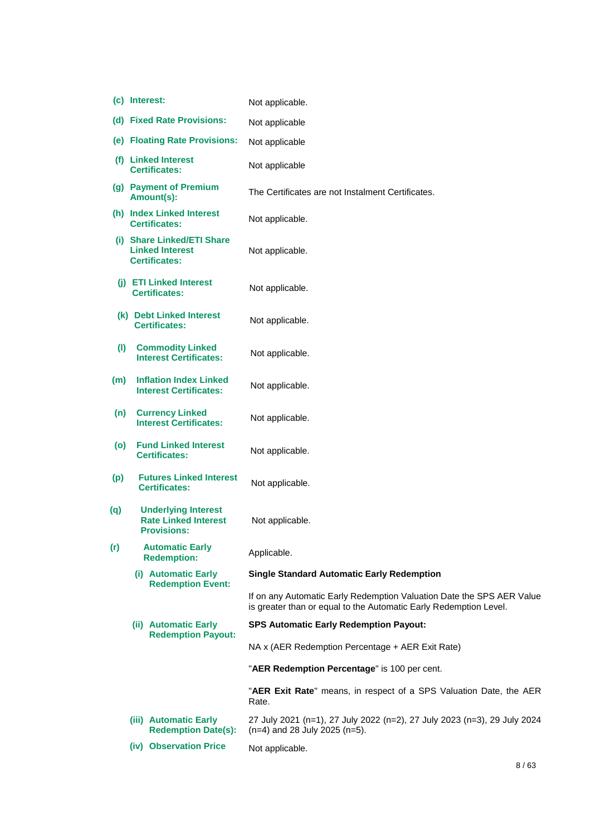|     | (c) Interest:                                                                   | Not applicable.                                                                                                                            |
|-----|---------------------------------------------------------------------------------|--------------------------------------------------------------------------------------------------------------------------------------------|
|     | (d) Fixed Rate Provisions:                                                      | Not applicable                                                                                                                             |
|     | (e) Floating Rate Provisions:                                                   | Not applicable                                                                                                                             |
|     | (f) Linked Interest<br><b>Certificates:</b>                                     | Not applicable                                                                                                                             |
|     | (g) Payment of Premium<br>Amount(s):                                            | The Certificates are not Instalment Certificates.                                                                                          |
|     | (h) Index Linked Interest<br>Certificates:                                      | Not applicable.                                                                                                                            |
|     | (i) Share Linked/ETI Share<br><b>Linked Interest</b><br><b>Certificates:</b>    | Not applicable.                                                                                                                            |
|     | (i) ETI Linked Interest<br><b>Certificates:</b>                                 | Not applicable.                                                                                                                            |
|     | (k) Debt Linked Interest<br><b>Certificates:</b>                                | Not applicable.                                                                                                                            |
| (1) | <b>Commodity Linked</b><br><b>Interest Certificates:</b>                        | Not applicable.                                                                                                                            |
| (m) | <b>Inflation Index Linked</b><br><b>Interest Certificates:</b>                  | Not applicable.                                                                                                                            |
| (n) | <b>Currency Linked</b><br><b>Interest Certificates:</b>                         | Not applicable.                                                                                                                            |
| (o) | <b>Fund Linked Interest</b><br><b>Certificates:</b>                             | Not applicable.                                                                                                                            |
| (p) | <b>Futures Linked Interest</b><br><b>Certificates:</b>                          | Not applicable.                                                                                                                            |
| (q) | <b>Underlying Interest</b><br><b>Rate Linked Interest</b><br><b>Provisions:</b> | Not applicable.                                                                                                                            |
| (r) | <b>Automatic Early</b><br><b>Redemption:</b>                                    | Applicable.                                                                                                                                |
|     | (i) Automatic Early<br><b>Redemption Event:</b>                                 | <b>Single Standard Automatic Early Redemption</b>                                                                                          |
|     |                                                                                 | If on any Automatic Early Redemption Valuation Date the SPS AER Value<br>is greater than or equal to the Automatic Early Redemption Level. |
|     | (ii) Automatic Early<br><b>Redemption Payout:</b>                               | <b>SPS Automatic Early Redemption Payout:</b>                                                                                              |
|     |                                                                                 | NA x (AER Redemption Percentage + AER Exit Rate)                                                                                           |
|     |                                                                                 | "AER Redemption Percentage" is 100 per cent.                                                                                               |
|     |                                                                                 | "AER Exit Rate" means, in respect of a SPS Valuation Date, the AER<br>Rate.                                                                |
|     | (iii) Automatic Early<br><b>Redemption Date(s):</b>                             | 27 July 2021 (n=1), 27 July 2022 (n=2), 27 July 2023 (n=3), 29 July 2024<br>$(n=4)$ and 28 July 2025 (n=5).                                |
|     | (iv) Observation Price                                                          | Not applicable.                                                                                                                            |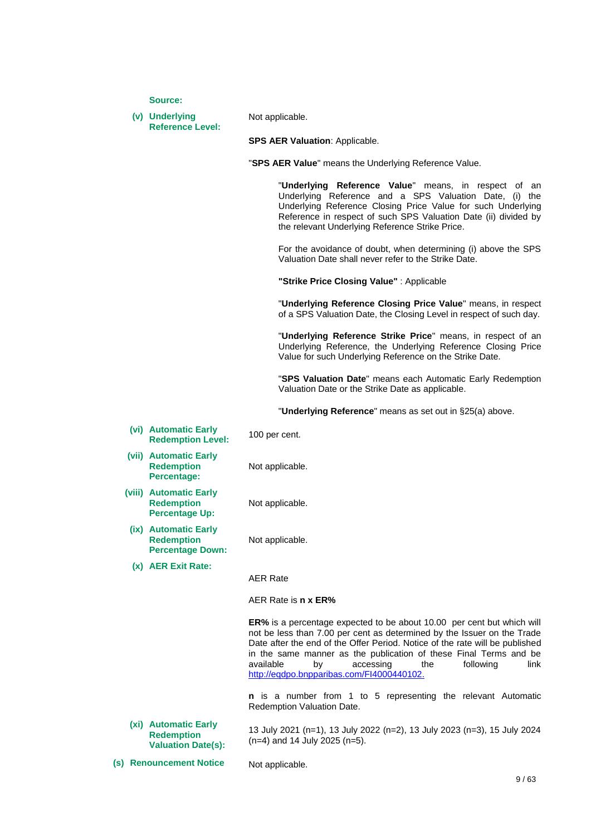**Source:**

#### **(v) Underlying Reference Level:**

Not applicable.

**SPS AER Valuation**: Applicable.

"**SPS AER Value**" means the Underlying Reference Value.

"**Underlying Reference Value**" means, in respect of an Underlying Reference and a SPS Valuation Date, (i) the Underlying Reference Closing Price Value for such Underlying Reference in respect of such SPS Valuation Date (ii) divided by the relevant Underlying Reference Strike Price.

For the avoidance of doubt, when determining (i) above the SPS Valuation Date shall never refer to the Strike Date.

**"Strike Price Closing Value"** : Applicable

"**Underlying Reference Closing Price Value**" means, in respect of a SPS Valuation Date, the Closing Level in respect of such day.

"**Underlying Reference Strike Price**" means, in respect of an Underlying Reference, the Underlying Reference Closing Price Value for such Underlying Reference on the Strike Date.

"**SPS Valuation Date**" means each Automatic Early Redemption Valuation Date or the Strike Date as applicable.

"**Underlying Reference**" means as set out in §25(a) above.

**(vi) Automatic Early Redemption Level:** 100 per cent.

**(vii) Automatic Early Redemption Percentage:**

Not applicable.

Not applicable.

- **(viii) Automatic Early Redemption Percentage Up:**
	- **(ix) Automatic Early Redemption Percentage Down:**

**(x) AER Exit Rate:**

Not applicable.

AER Rate

AER Rate is **n x ER%**

**ER%** is a percentage expected to be about 10.00 per cent but which will not be less than 7.00 per cent as determined by the Issuer on the Trade Date after the end of the Offer Period. Notice of the rate will be published in the same manner as the publication of these Final Terms and be available by accessing the following link [http://eqdpo.bnpparibas.com/FI4000440102.](http://eqdpo.bnpparibas.com/FI4000440102)

**n** is a number from 1 to 5 representing the relevant Automatic Redemption Valuation Date.

**(xi) Automatic Early Redemption Valuation Date(s):** 13 July 2021 (n=1), 13 July 2022 (n=2), 13 July 2023 (n=3), 15 July 2024 (n=4) and 14 July 2025 (n=5).

**(s) Renouncement Notice** Not applicable.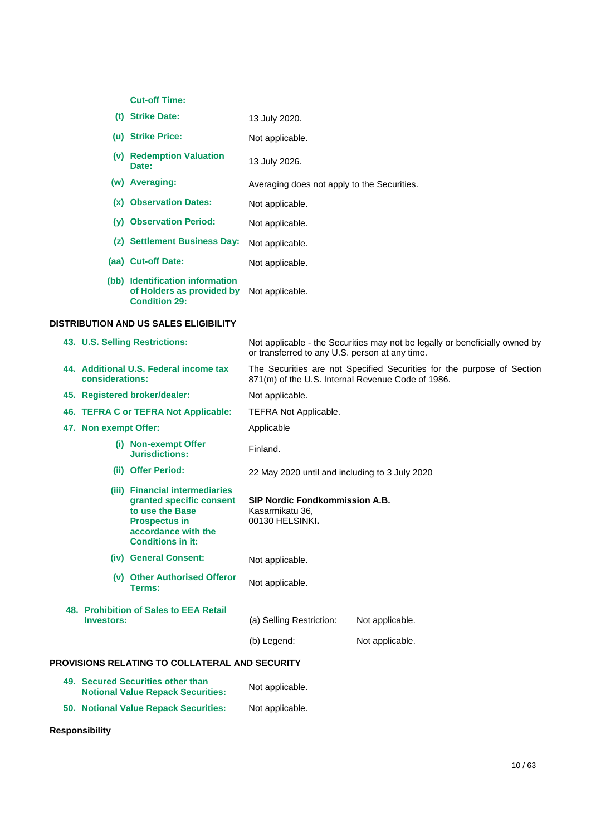**Cut-off Time:**

|     | (t) Strike Date:                                                                     | 13 July 2020.                               |
|-----|--------------------------------------------------------------------------------------|---------------------------------------------|
|     | (u) Strike Price:                                                                    | Not applicable.                             |
| (v) | <b>Redemption Valuation</b><br>Date:                                                 | 13 July 2026.                               |
|     | (w) Averaging:                                                                       | Averaging does not apply to the Securities. |
|     | (x) Observation Dates:                                                               | Not applicable.                             |
|     | (v) Observation Period:                                                              | Not applicable.                             |
|     | (z) Settlement Business Day:                                                         | Not applicable.                             |
|     | (aa) Cut-off Date:                                                                   | Not applicable.                             |
|     | (bb) Identification information<br>of Holders as provided by<br><b>Condition 29:</b> | Not applicable.                             |
|     | <b>DISTRIBUTION AND US SALES ELIGIBILITY</b>                                         |                                             |

|                       | 43. U.S. Selling Restrictions:                                                                                                                           | or transferred to any U.S. person at any time.                              | Not applicable - the Securities may not be legally or beneficially owned by |  |
|-----------------------|----------------------------------------------------------------------------------------------------------------------------------------------------------|-----------------------------------------------------------------------------|-----------------------------------------------------------------------------|--|
| considerations:       | 44. Additional U.S. Federal income tax                                                                                                                   | 871(m) of the U.S. Internal Revenue Code of 1986.                           | The Securities are not Specified Securities for the purpose of Section      |  |
|                       | 45. Registered broker/dealer:                                                                                                                            | Not applicable.                                                             |                                                                             |  |
|                       | 46. TEFRA C or TEFRA Not Applicable:                                                                                                                     | <b>TEFRA Not Applicable.</b>                                                |                                                                             |  |
| 47. Non exempt Offer: |                                                                                                                                                          | Applicable                                                                  |                                                                             |  |
|                       | (i) Non-exempt Offer<br><b>Jurisdictions:</b>                                                                                                            | Finland.                                                                    |                                                                             |  |
|                       | (ii) Offer Period:                                                                                                                                       | 22 May 2020 until and including to 3 July 2020                              |                                                                             |  |
|                       | (iii) Financial intermediaries<br>granted specific consent<br>to use the Base<br><b>Prospectus in</b><br>accordance with the<br><b>Conditions in it:</b> | <b>SIP Nordic Fondkommission A.B.</b><br>Kasarmikatu 36.<br>00130 HELSINKI. |                                                                             |  |
|                       | (iv) General Consent:                                                                                                                                    | Not applicable.                                                             |                                                                             |  |
|                       | (v) Other Authorised Offeror<br>Terms:                                                                                                                   | Not applicable.                                                             |                                                                             |  |
| <b>Investors:</b>     | 48. Prohibition of Sales to EEA Retail                                                                                                                   | (a) Selling Restriction:<br>(b) Legend:                                     | Not applicable.<br>Not applicable.                                          |  |
|                       | PROVISIONS RELATING TO COLLATERAL AND SECURITY                                                                                                           |                                                                             |                                                                             |  |
|                       | 49. Secured Securities other than<br><b>Notional Value Repack Securities:</b>                                                                            | Not applicable.                                                             |                                                                             |  |
|                       |                                                                                                                                                          |                                                                             |                                                                             |  |

**50. Notional Value Repack Securities:** Not applicable.

**Responsibility**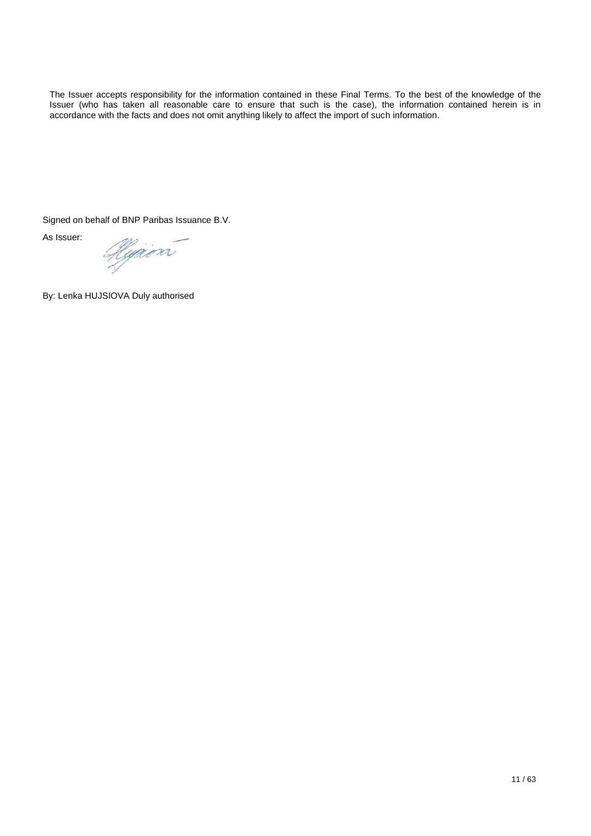The Issuer accepts responsibility for the information contained in these Final Terms. To the best of the knowledge of the Issuer (who has taken all reasonable care to ensure that such is the case), the information contained herein is in accordance with the facts and does not omit anything likely to affect the import of such information.

Signed on behalf of BNP Paribas Issuance B.V.

As Issuer:

Hujera

By: Lenka HUJSIOVA Duly authorised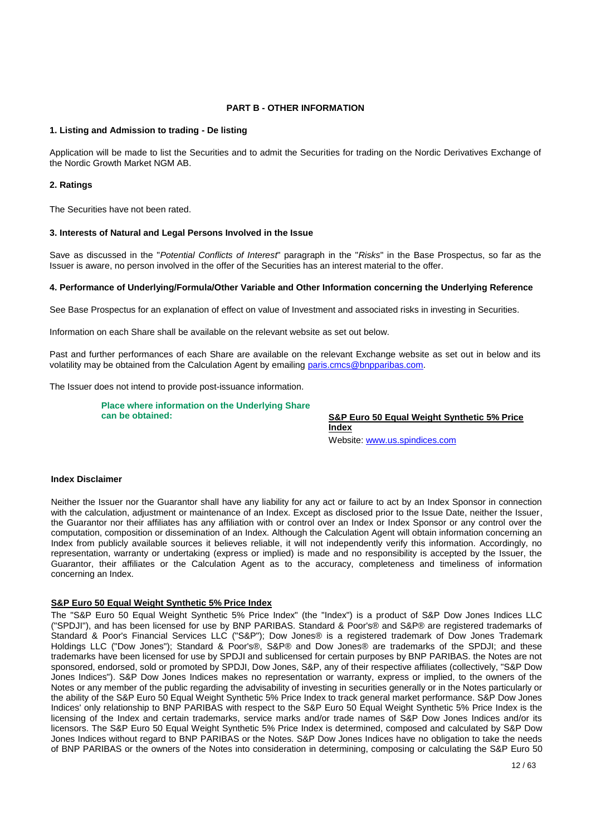### **PART B - OTHER INFORMATION**

#### **1. Listing and Admission to trading - De listing**

Application will be made to list the Securities and to admit the Securities for trading on the Nordic Derivatives Exchange of the Nordic Growth Market NGM AB.

#### **2. Ratings**

The Securities have not been rated.

#### **3. Interests of Natural and Legal Persons Involved in the Issue**

Save as discussed in the "*Potential Conflicts of Interest*" paragraph in the "*Risks*" in the Base Prospectus, so far as the Issuer is aware, no person involved in the offer of the Securities has an interest material to the offer.

#### **4. Performance of Underlying/Formula/Other Variable and Other Information concerning the Underlying Reference**

See Base Prospectus for an explanation of effect on value of Investment and associated risks in investing in Securities.

Information on each Share shall be available on the relevant website as set out below.

Past and further performances of each Share are available on the relevant Exchange website as set out in below and its volatility may be obtained from the Calculation Agent by emailing [paris.cmcs@bnpparibas.com.](mailto:paris.cmcs@bnpparibas.com)

The Issuer does not intend to provide post-issuance information.

**Place where information on the Underlying Share can be obtained: S&P Euro 50 Equal Weight Synthetic 5% Price** 

**Index**  Website[: www.us.spindices.com](http://www.us.spindices.com/)

# **Index Disclaimer**

Neither the Issuer nor the Guarantor shall have any liability for any act or failure to act by an Index Sponsor in connection with the calculation, adjustment or maintenance of an Index. Except as disclosed prior to the Issue Date, neither the Issuer, the Guarantor nor their affiliates has any affiliation with or control over an Index or Index Sponsor or any control over the computation, composition or dissemination of an Index. Although the Calculation Agent will obtain information concerning an Index from publicly available sources it believes reliable, it will not independently verify this information. Accordingly, no representation, warranty or undertaking (express or implied) is made and no responsibility is accepted by the Issuer, the Guarantor, their affiliates or the Calculation Agent as to the accuracy, completeness and timeliness of information concerning an Index.

#### **S&P Euro 50 Equal Weight Synthetic 5% Price Index**

The "S&P Euro 50 Equal Weight Synthetic 5% Price Index" (the "Index") is a product of S&P Dow Jones Indices LLC ("SPDJI"), and has been licensed for use by BNP PARIBAS. Standard & Poor's® and S&P® are registered trademarks of Standard & Poor's Financial Services LLC ("S&P"); Dow Jones® is a registered trademark of Dow Jones Trademark Holdings LLC ("Dow Jones"); Standard & Poor's®, S&P® and Dow Jones® are trademarks of the SPDJI; and these trademarks have been licensed for use by SPDJI and sublicensed for certain purposes by BNP PARIBAS. the Notes are not sponsored, endorsed, sold or promoted by SPDJI, Dow Jones, S&P, any of their respective affiliates (collectively, "S&P Dow Jones Indices"). S&P Dow Jones Indices makes no representation or warranty, express or implied, to the owners of the Notes or any member of the public regarding the advisability of investing in securities generally or in the Notes particularly or the ability of the S&P Euro 50 Equal Weight Synthetic 5% Price Index to track general market performance. S&P Dow Jones Indices' only relationship to BNP PARIBAS with respect to the S&P Euro 50 Equal Weight Synthetic 5% Price Index is the licensing of the Index and certain trademarks, service marks and/or trade names of S&P Dow Jones Indices and/or its licensors. The S&P Euro 50 Equal Weight Synthetic 5% Price Index is determined, composed and calculated by S&P Dow Jones Indices without regard to BNP PARIBAS or the Notes. S&P Dow Jones Indices have no obligation to take the needs of BNP PARIBAS or the owners of the Notes into consideration in determining, composing or calculating the S&P Euro 50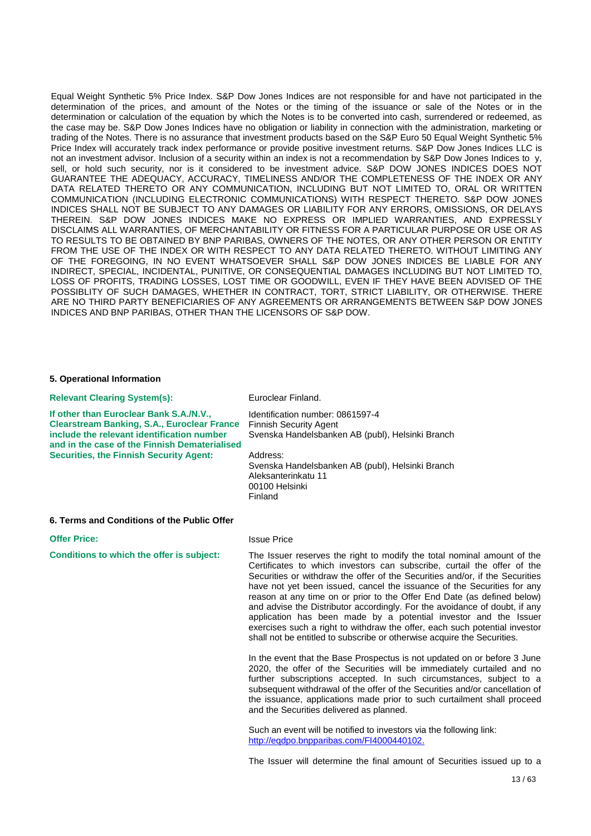Equal Weight Synthetic 5% Price Index. S&P Dow Jones Indices are not responsible for and have not participated in the determination of the prices, and amount of the Notes or the timing of the issuance or sale of the Notes or in the determination or calculation of the equation by which the Notes is to be converted into cash, surrendered or redeemed, as the case may be. S&P Dow Jones Indices have no obligation or liability in connection with the administration, marketing or trading of the Notes. There is no assurance that investment products based on the S&P Euro 50 Equal Weight Synthetic 5% Price Index will accurately track index performance or provide positive investment returns. S&P Dow Jones Indices LLC is not an investment advisor. Inclusion of a security within an index is not a recommendation by S&P Dow Jones Indices to y, sell, or hold such security, nor is it considered to be investment advice. S&P DOW JONES INDICES DOES NOT GUARANTEE THE ADEQUACY, ACCURACY, TIMELINESS AND/OR THE COMPLETENESS OF THE INDEX OR ANY DATA RELATED THERETO OR ANY COMMUNICATION, INCLUDING BUT NOT LIMITED TO, ORAL OR WRITTEN COMMUNICATION (INCLUDING ELECTRONIC COMMUNICATIONS) WITH RESPECT THERETO. S&P DOW JONES INDICES SHALL NOT BE SUBJECT TO ANY DAMAGES OR LIABILITY FOR ANY ERRORS, OMISSIONS, OR DELAYS THEREIN. S&P DOW JONES INDICES MAKE NO EXPRESS OR IMPLIED WARRANTIES, AND EXPRESSLY DISCLAIMS ALL WARRANTIES, OF MERCHANTABILITY OR FITNESS FOR A PARTICULAR PURPOSE OR USE OR AS TO RESULTS TO BE OBTAINED BY BNP PARIBAS, OWNERS OF THE NOTES, OR ANY OTHER PERSON OR ENTITY FROM THE USE OF THE INDEX OR WITH RESPECT TO ANY DATA RELATED THERETO. WITHOUT LIMITING ANY OF THE FOREGOING, IN NO EVENT WHATSOEVER SHALL S&P DOW JONES INDICES BE LIABLE FOR ANY INDIRECT, SPECIAL, INCIDENTAL, PUNITIVE, OR CONSEQUENTIAL DAMAGES INCLUDING BUT NOT LIMITED TO, LOSS OF PROFITS, TRADING LOSSES, LOST TIME OR GOODWILL, EVEN IF THEY HAVE BEEN ADVISED OF THE POSSIBLITY OF SUCH DAMAGES, WHETHER IN CONTRACT, TORT, STRICT LIABILITY, OR OTHERWISE. THERE ARE NO THIRD PARTY BENEFICIARIES OF ANY AGREEMENTS OR ARRANGEMENTS BETWEEN S&P DOW JONES INDICES AND BNP PARIBAS, OTHER THAN THE LICENSORS OF S&P DOW.

#### **5. Operational Information**

**Relevant Clearing System(s):** Euroclear Finland. **If other than Euroclear Bank S.A./N.V., Clearstream Banking, S.A., Euroclear France include the relevant identification number and in the case of the Finnish Dematerialised Securities, the Finnish Security Agent:** Identification number: 0861597-4 Finnish Security Agent Svenska Handelsbanken AB (publ), Helsinki Branch Address: Svenska Handelsbanken AB (publ), Helsinki Branch Aleksanterinkatu 11 00100 Helsinki Finland

#### **6. Terms and Conditions of the Public Offer**

**Offer Price:** Issue Price

**Conditions to which the offer is subject:** The Issuer reserves the right to modify the total nominal amount of the Certificates to which investors can subscribe, curtail the offer of the Securities or withdraw the offer of the Securities and/or, if the Securities have not yet been issued, cancel the issuance of the Securities for any reason at any time on or prior to the Offer End Date (as defined below) and advise the Distributor accordingly. For the avoidance of doubt, if any application has been made by a potential investor and the Issuer exercises such a right to withdraw the offer, each such potential investor shall not be entitled to subscribe or otherwise acquire the Securities.

> In the event that the Base Prospectus is not updated on or before 3 June 2020, the offer of the Securities will be immediately curtailed and no further subscriptions accepted. In such circumstances, subject to a subsequent withdrawal of the offer of the Securities and/or cancellation of the issuance, applications made prior to such curtailment shall proceed and the Securities delivered as planned.

Such an event will be notified to investors via the following link: [http://eqdpo.bnpparibas.com/FI4000440102.](http://eqdpo.bnpparibas.com/FI4000440102)

The Issuer will determine the final amount of Securities issued up to a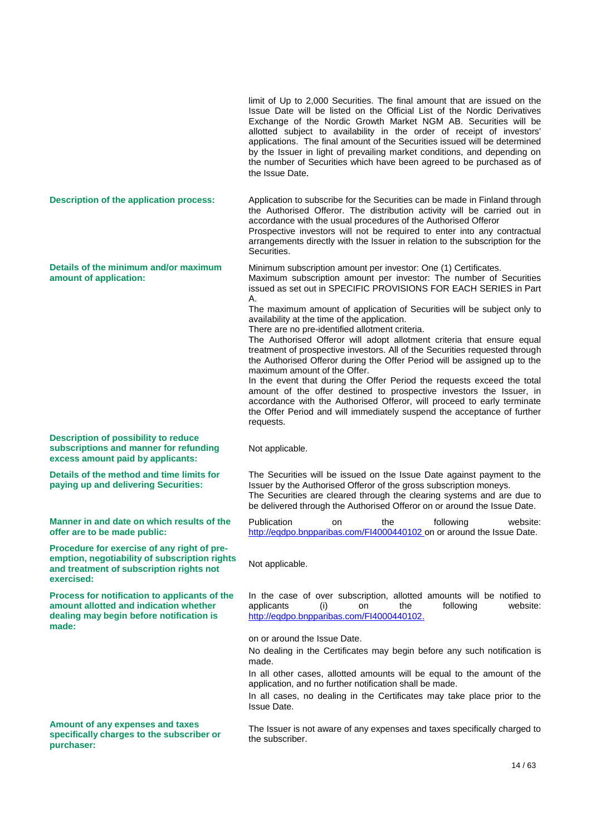limit of Up to 2,000 Securities. The final amount that are issued on the Issue Date will be listed on the Official List of the Nordic Derivatives Exchange of the Nordic Growth Market NGM AB. Securities will be allotted subject to availability in the order of receipt of investors' applications. The final amount of the Securities issued will be determined by the Issuer in light of prevailing market conditions, and depending on the number of Securities which have been agreed to be purchased as of the Issue Date. **Description of the application process:** Application to subscribe for the Securities can be made in Finland through the Authorised Offeror. The distribution activity will be carried out in accordance with the usual procedures of the Authorised Offeror Prospective investors will not be required to enter into any contractual arrangements directly with the Issuer in relation to the subscription for the Securities. **Details of the minimum and/or maximum amount of application:** Minimum subscription amount per investor: One (1) Certificates. Maximum subscription amount per investor: The number of Securities issued as set out in SPECIFIC PROVISIONS FOR EACH SERIES in Part A. The maximum amount of application of Securities will be subject only to availability at the time of the application. There are no pre-identified allotment criteria. The Authorised Offeror will adopt allotment criteria that ensure equal treatment of prospective investors. All of the Securities requested through the Authorised Offeror during the Offer Period will be assigned up to the maximum amount of the Offer. In the event that during the Offer Period the requests exceed the total amount of the offer destined to prospective investors the Issuer, in accordance with the Authorised Offeror, will proceed to early terminate the Offer Period and will immediately suspend the acceptance of further requests. **Description of possibility to reduce subscriptions and manner for refunding excess amount paid by applicants:** Not applicable. **Details of the method and time limits for paying up and delivering Securities:** The Securities will be issued on the Issue Date against payment to the Issuer by the Authorised Offeror of the gross subscription moneys. The Securities are cleared through the clearing systems and are due to be delivered through the Authorised Offeror on or around the Issue Date. **Manner in and date on which results of the offer are to be made public:** Publication on the following website: <http://eqdpo.bnpparibas.com/FI4000440102> on or around the Issue Date. **Procedure for exercise of any right of preemption, negotiability of subscription rights and treatment of subscription rights not exercised:** Not applicable. **Process for notification to applicants of the amount allotted and indication whether dealing may begin before notification is made:** In the case of over subscription, allotted amounts will be notified to applicants (i) on the following website: [http://eqdpo.bnpparibas.com/FI4000440102.](http://eqdpo.bnpparibas.com/FI4000429253) on or around the Issue Date. No dealing in the Certificates may begin before any such notification is made. In all other cases, allotted amounts will be equal to the amount of the application, and no further notification shall be made. In all cases, no dealing in the Certificates may take place prior to the Issue Date. **Amount of any expenses and taxes specifically charges to the subscriber or purchaser:** The Issuer is not aware of any expenses and taxes specifically charged to the subscriber.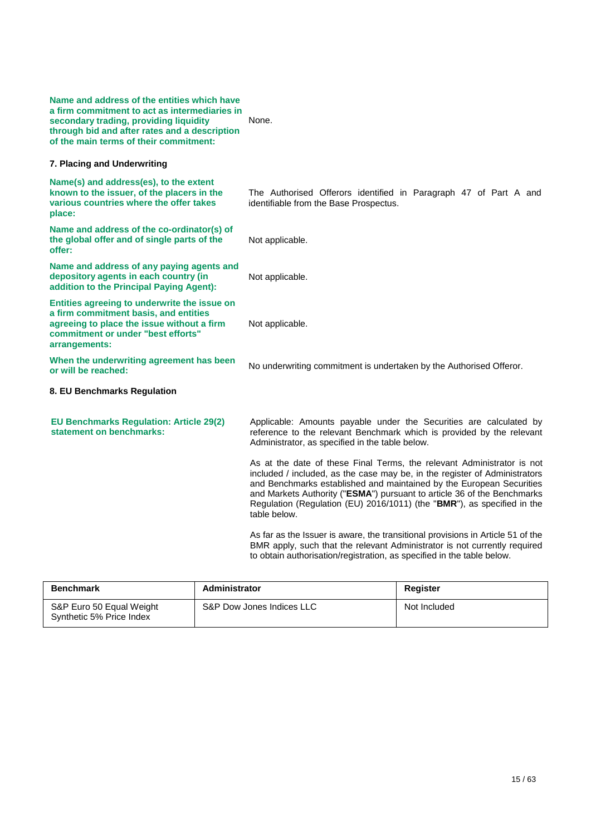| Name and address of the entities which have<br>a firm commitment to act as intermediaries in<br>secondary trading, providing liquidity<br>through bid and after rates and a description<br>of the main terms of their commitment: | None.                                                                                                                                                                                                                                                                                                                                                                                              |
|-----------------------------------------------------------------------------------------------------------------------------------------------------------------------------------------------------------------------------------|----------------------------------------------------------------------------------------------------------------------------------------------------------------------------------------------------------------------------------------------------------------------------------------------------------------------------------------------------------------------------------------------------|
| 7. Placing and Underwriting                                                                                                                                                                                                       |                                                                                                                                                                                                                                                                                                                                                                                                    |
| Name(s) and address(es), to the extent<br>known to the issuer, of the placers in the<br>various countries where the offer takes<br>place:                                                                                         | The Authorised Offerors identified in Paragraph 47 of Part A and<br>identifiable from the Base Prospectus.                                                                                                                                                                                                                                                                                         |
| Name and address of the co-ordinator(s) of<br>the global offer and of single parts of the<br>offer:                                                                                                                               | Not applicable.                                                                                                                                                                                                                                                                                                                                                                                    |
| Name and address of any paying agents and<br>depository agents in each country (in<br>addition to the Principal Paying Agent):                                                                                                    | Not applicable.                                                                                                                                                                                                                                                                                                                                                                                    |
| Entities agreeing to underwrite the issue on<br>a firm commitment basis, and entities<br>agreeing to place the issue without a firm<br>commitment or under "best efforts"<br>arrangements:                                        | Not applicable.                                                                                                                                                                                                                                                                                                                                                                                    |
| When the underwriting agreement has been<br>or will be reached:                                                                                                                                                                   | No underwriting commitment is undertaken by the Authorised Offeror.                                                                                                                                                                                                                                                                                                                                |
| 8. EU Benchmarks Regulation                                                                                                                                                                                                       |                                                                                                                                                                                                                                                                                                                                                                                                    |
| <b>EU Benchmarks Regulation: Article 29(2)</b><br>statement on benchmarks:                                                                                                                                                        | Applicable: Amounts payable under the Securities are calculated by<br>reference to the relevant Benchmark which is provided by the relevant<br>Administrator, as specified in the table below.                                                                                                                                                                                                     |
|                                                                                                                                                                                                                                   | As at the date of these Final Terms, the relevant Administrator is not<br>included / included, as the case may be, in the register of Administrators<br>and Benchmarks established and maintained by the European Securities<br>and Markets Authority ("ESMA") pursuant to article 36 of the Benchmarks<br>Regulation (Regulation (EU) 2016/1011) (the "BMR"), as specified in the<br>table below. |
|                                                                                                                                                                                                                                   | As far as the Issuer is aware, the transitional provisions in Article 51 of the<br>BMR apply, such that the relevant Administrator is not currently required<br>to obtain authorisation/registration, as specified in the table below.                                                                                                                                                             |

| <b>Benchmark</b>                                     | Administrator             | Register     |
|------------------------------------------------------|---------------------------|--------------|
| S&P Euro 50 Equal Weight<br>Synthetic 5% Price Index | S&P Dow Jones Indices LLC | Not Included |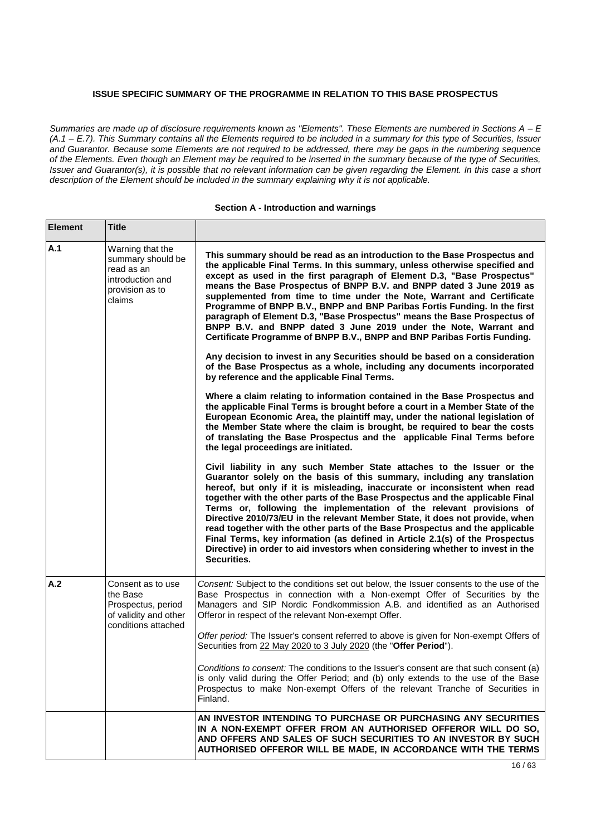# **ISSUE SPECIFIC SUMMARY OF THE PROGRAMME IN RELATION TO THIS BASE PROSPECTUS**

*Summaries are made up of disclosure requirements known as "Elements". These Elements are numbered in Sections A - E (A.1 – E.7). This Summary contains all the Elements required to be included in a summary for this type of Securities, Issuer and Guarantor. Because some Elements are not required to be addressed, there may be gaps in the numbering sequence of the Elements. Even though an Element may be required to be inserted in the summary because of the type of Securities, Issuer and Guarantor(s), it is possible that no relevant information can be given regarding the Element. In this case a short description of the Element should be included in the summary explaining why it is not applicable.*

#### **Section A - Introduction and warnings**

| <b>Element</b> | <b>Title</b>                                                                                         |                                                                                                                                                                                                                                                                                                                                                                                                                                                                                                                                                                                                                                                                                                                                            |
|----------------|------------------------------------------------------------------------------------------------------|--------------------------------------------------------------------------------------------------------------------------------------------------------------------------------------------------------------------------------------------------------------------------------------------------------------------------------------------------------------------------------------------------------------------------------------------------------------------------------------------------------------------------------------------------------------------------------------------------------------------------------------------------------------------------------------------------------------------------------------------|
| A.1            | Warning that the<br>summary should be<br>read as an<br>introduction and<br>provision as to<br>claims | This summary should be read as an introduction to the Base Prospectus and<br>the applicable Final Terms. In this summary, unless otherwise specified and<br>except as used in the first paragraph of Element D.3, "Base Prospectus"<br>means the Base Prospectus of BNPP B.V. and BNPP dated 3 June 2019 as<br>supplemented from time to time under the Note, Warrant and Certificate<br>Programme of BNPP B.V., BNPP and BNP Paribas Fortis Funding. In the first<br>paragraph of Element D.3, "Base Prospectus" means the Base Prospectus of<br>BNPP B.V. and BNPP dated 3 June 2019 under the Note, Warrant and<br>Certificate Programme of BNPP B.V., BNPP and BNP Paribas Fortis Funding.                                             |
|                |                                                                                                      | Any decision to invest in any Securities should be based on a consideration<br>of the Base Prospectus as a whole, including any documents incorporated<br>by reference and the applicable Final Terms.                                                                                                                                                                                                                                                                                                                                                                                                                                                                                                                                     |
|                |                                                                                                      | Where a claim relating to information contained in the Base Prospectus and<br>the applicable Final Terms is brought before a court in a Member State of the<br>European Economic Area, the plaintiff may, under the national legislation of<br>the Member State where the claim is brought, be required to bear the costs<br>of translating the Base Prospectus and the applicable Final Terms before<br>the legal proceedings are initiated.                                                                                                                                                                                                                                                                                              |
|                |                                                                                                      | Civil liability in any such Member State attaches to the Issuer or the<br>Guarantor solely on the basis of this summary, including any translation<br>hereof, but only if it is misleading, inaccurate or inconsistent when read<br>together with the other parts of the Base Prospectus and the applicable Final<br>Terms or, following the implementation of the relevant provisions of<br>Directive 2010/73/EU in the relevant Member State, it does not provide, when<br>read together with the other parts of the Base Prospectus and the applicable<br>Final Terms, key information (as defined in Article 2.1(s) of the Prospectus<br>Directive) in order to aid investors when considering whether to invest in the<br>Securities. |
| A.2            | Consent as to use<br>the Base<br>Prospectus, period<br>of validity and other<br>conditions attached  | Consent: Subject to the conditions set out below, the Issuer consents to the use of the<br>Base Prospectus in connection with a Non-exempt Offer of Securities by the<br>Managers and SIP Nordic Fondkommission A.B. and identified as an Authorised<br>Offeror in respect of the relevant Non-exempt Offer.                                                                                                                                                                                                                                                                                                                                                                                                                               |
|                |                                                                                                      | Offer period: The Issuer's consent referred to above is given for Non-exempt Offers of<br>Securities from 22 May 2020 to 3 July 2020 (the "Offer Period").                                                                                                                                                                                                                                                                                                                                                                                                                                                                                                                                                                                 |
|                |                                                                                                      | Conditions to consent: The conditions to the Issuer's consent are that such consent (a)<br>is only valid during the Offer Period; and (b) only extends to the use of the Base<br>Prospectus to make Non-exempt Offers of the relevant Tranche of Securities in<br>Finland.                                                                                                                                                                                                                                                                                                                                                                                                                                                                 |
|                |                                                                                                      | AN INVESTOR INTENDING TO PURCHASE OR PURCHASING ANY SECURITIES<br>IN A NON-EXEMPT OFFER FROM AN AUTHORISED OFFEROR WILL DO SO,<br>AND OFFERS AND SALES OF SUCH SECURITIES TO AN INVESTOR BY SUCH<br>AUTHORISED OFFEROR WILL BE MADE, IN ACCORDANCE WITH THE TERMS                                                                                                                                                                                                                                                                                                                                                                                                                                                                          |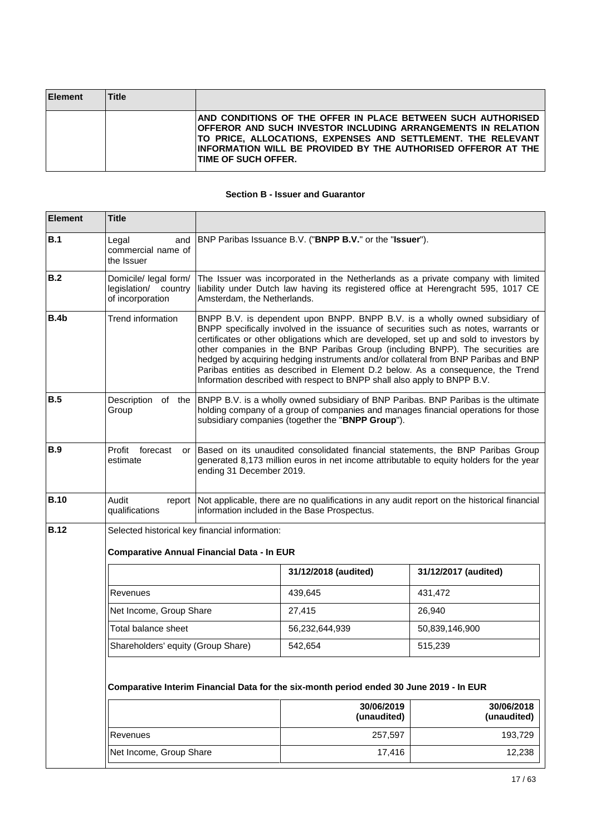| <b>Element</b> | <b>Title</b> |                                                                                                                                                                                                                                                                                              |
|----------------|--------------|----------------------------------------------------------------------------------------------------------------------------------------------------------------------------------------------------------------------------------------------------------------------------------------------|
|                |              | AND CONDITIONS OF THE OFFER IN PLACE BETWEEN SUCH AUTHORISED<br>OFFEROR AND SUCH INVESTOR INCLUDING ARRANGEMENTS IN RELATION<br>TO PRICE, ALLOCATIONS, EXPENSES AND SETTLEMENT. THE RELEVANT<br>INFORMATION WILL BE PROVIDED BY THE AUTHORISED OFFEROR AT THE<br><b>ITIME OF SUCH OFFER.</b> |

# **Section B - Issuer and Guarantor**

| <b>Element</b> | <b>Title</b>                                                      |                                                                                                                                                                                                        |                                                                          |                                                                                                                                                                                                                                                                                                                                                                                                                                                                                                                        |  |  |
|----------------|-------------------------------------------------------------------|--------------------------------------------------------------------------------------------------------------------------------------------------------------------------------------------------------|--------------------------------------------------------------------------|------------------------------------------------------------------------------------------------------------------------------------------------------------------------------------------------------------------------------------------------------------------------------------------------------------------------------------------------------------------------------------------------------------------------------------------------------------------------------------------------------------------------|--|--|
| B.1            | Legal<br>and<br>commercial name of<br>the Issuer                  |                                                                                                                                                                                                        | BNP Paribas Issuance B.V. ("BNPP B.V." or the "Issuer").                 |                                                                                                                                                                                                                                                                                                                                                                                                                                                                                                                        |  |  |
| B.2            | Domicile/ legal form/<br>legislation/ country<br>of incorporation | Amsterdam, the Netherlands.                                                                                                                                                                            |                                                                          | The Issuer was incorporated in the Netherlands as a private company with limited<br>liability under Dutch law having its registered office at Herengracht 595, 1017 CE                                                                                                                                                                                                                                                                                                                                                 |  |  |
| B.4b           | Trend information                                                 |                                                                                                                                                                                                        | Information described with respect to BNPP shall also apply to BNPP B.V. | BNPP B.V. is dependent upon BNPP. BNPP B.V. is a wholly owned subsidiary of<br>BNPP specifically involved in the issuance of securities such as notes, warrants or<br>certificates or other obligations which are developed, set up and sold to investors by<br>other companies in the BNP Paribas Group (including BNPP). The securities are<br>hedged by acquiring hedging instruments and/or collateral from BNP Paribas and BNP<br>Paribas entities as described in Element D.2 below. As a consequence, the Trend |  |  |
| B.5            | Description of the<br>Group                                       |                                                                                                                                                                                                        | subsidiary companies (together the "BNPP Group").                        | BNPP B.V. is a wholly owned subsidiary of BNP Paribas. BNP Paribas is the ultimate<br>holding company of a group of companies and manages financial operations for those                                                                                                                                                                                                                                                                                                                                               |  |  |
| B.9            | Profit<br>forecast<br>or<br>estimate                              | Based on its unaudited consolidated financial statements, the BNP Paribas Group<br>generated 8,173 million euros in net income attributable to equity holders for the year<br>ending 31 December 2019. |                                                                          |                                                                                                                                                                                                                                                                                                                                                                                                                                                                                                                        |  |  |
| <b>B.10</b>    | Audit<br>qualifications                                           | report Not applicable, there are no qualifications in any audit report on the historical financial<br>information included in the Base Prospectus.                                                     |                                                                          |                                                                                                                                                                                                                                                                                                                                                                                                                                                                                                                        |  |  |
| <b>B.12</b>    | Selected historical key financial information:                    |                                                                                                                                                                                                        |                                                                          |                                                                                                                                                                                                                                                                                                                                                                                                                                                                                                                        |  |  |
|                |                                                                   | <b>Comparative Annual Financial Data - In EUR</b>                                                                                                                                                      |                                                                          |                                                                                                                                                                                                                                                                                                                                                                                                                                                                                                                        |  |  |
|                |                                                                   |                                                                                                                                                                                                        | 31/12/2018 (audited)                                                     | 31/12/2017 (audited)                                                                                                                                                                                                                                                                                                                                                                                                                                                                                                   |  |  |
|                | Revenues                                                          |                                                                                                                                                                                                        | 439,645                                                                  | 431,472                                                                                                                                                                                                                                                                                                                                                                                                                                                                                                                |  |  |
|                | Net Income, Group Share                                           |                                                                                                                                                                                                        | 27,415                                                                   | 26,940                                                                                                                                                                                                                                                                                                                                                                                                                                                                                                                 |  |  |
|                | Total balance sheet                                               |                                                                                                                                                                                                        | 56,232,644,939                                                           | 50,839,146,900                                                                                                                                                                                                                                                                                                                                                                                                                                                                                                         |  |  |
|                | Shareholders' equity (Group Share)                                |                                                                                                                                                                                                        | 542,654                                                                  | 515,239                                                                                                                                                                                                                                                                                                                                                                                                                                                                                                                |  |  |
|                |                                                                   | Comparative Interim Financial Data for the six-month period ended 30 June 2019 - In EUR                                                                                                                |                                                                          |                                                                                                                                                                                                                                                                                                                                                                                                                                                                                                                        |  |  |
|                |                                                                   |                                                                                                                                                                                                        | 30/06/2019<br>(unaudited)                                                | 30/06/2018<br>(unaudited)                                                                                                                                                                                                                                                                                                                                                                                                                                                                                              |  |  |
|                | Revenues                                                          |                                                                                                                                                                                                        | 257,597                                                                  | 193,729                                                                                                                                                                                                                                                                                                                                                                                                                                                                                                                |  |  |
|                | Net Income, Group Share                                           |                                                                                                                                                                                                        | 17,416                                                                   | 12,238                                                                                                                                                                                                                                                                                                                                                                                                                                                                                                                 |  |  |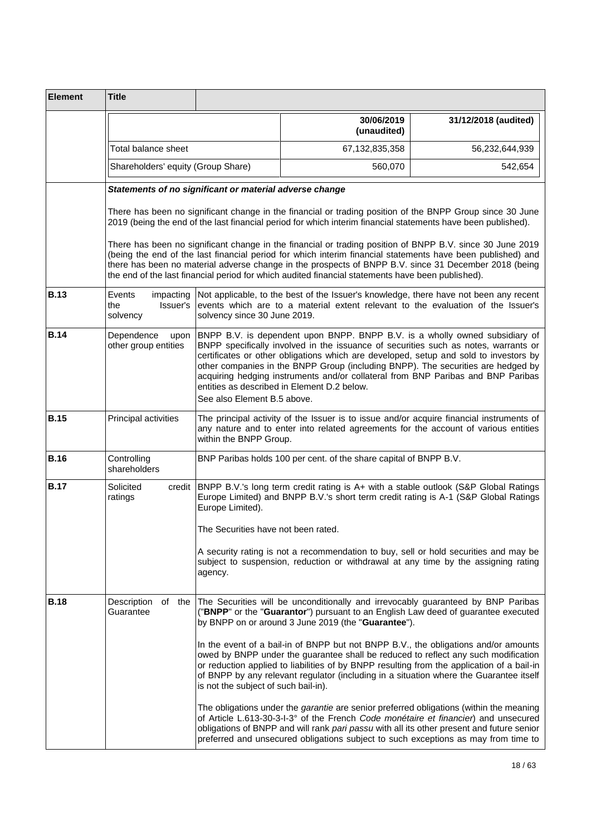| <b>Element</b> | <b>Title</b>                                       |                                                                                                                                                                                                                                                                                                                                                                                                                                                                                                                   |                                                                                                                                                                                                                                                                                                                                                                                                                                        |                      |
|----------------|----------------------------------------------------|-------------------------------------------------------------------------------------------------------------------------------------------------------------------------------------------------------------------------------------------------------------------------------------------------------------------------------------------------------------------------------------------------------------------------------------------------------------------------------------------------------------------|----------------------------------------------------------------------------------------------------------------------------------------------------------------------------------------------------------------------------------------------------------------------------------------------------------------------------------------------------------------------------------------------------------------------------------------|----------------------|
|                |                                                    |                                                                                                                                                                                                                                                                                                                                                                                                                                                                                                                   | 30/06/2019<br>(unaudited)                                                                                                                                                                                                                                                                                                                                                                                                              | 31/12/2018 (audited) |
|                | Total balance sheet                                |                                                                                                                                                                                                                                                                                                                                                                                                                                                                                                                   | 67,132,835,358                                                                                                                                                                                                                                                                                                                                                                                                                         | 56,232,644,939       |
|                | Shareholders' equity (Group Share)                 |                                                                                                                                                                                                                                                                                                                                                                                                                                                                                                                   | 560,070                                                                                                                                                                                                                                                                                                                                                                                                                                | 542,654              |
|                |                                                    | Statements of no significant or material adverse change                                                                                                                                                                                                                                                                                                                                                                                                                                                           |                                                                                                                                                                                                                                                                                                                                                                                                                                        |                      |
|                |                                                    |                                                                                                                                                                                                                                                                                                                                                                                                                                                                                                                   | There has been no significant change in the financial or trading position of the BNPP Group since 30 June<br>2019 (being the end of the last financial period for which interim financial statements have been published).                                                                                                                                                                                                             |                      |
|                |                                                    |                                                                                                                                                                                                                                                                                                                                                                                                                                                                                                                   | There has been no significant change in the financial or trading position of BNPP B.V. since 30 June 2019<br>(being the end of the last financial period for which interim financial statements have been published) and<br>there has been no material adverse change in the prospects of BNPP B.V. since 31 December 2018 (being<br>the end of the last financial period for which audited financial statements have been published). |                      |
| <b>B.13</b>    | Events<br>impacting<br>the<br>Issuer's<br>solvency | solvency since 30 June 2019.                                                                                                                                                                                                                                                                                                                                                                                                                                                                                      | Not applicable, to the best of the Issuer's knowledge, there have not been any recent<br>events which are to a material extent relevant to the evaluation of the Issuer's                                                                                                                                                                                                                                                              |                      |
| <b>B.14</b>    | Dependence<br>upon<br>other group entities         | BNPP B.V. is dependent upon BNPP. BNPP B.V. is a wholly owned subsidiary of<br>BNPP specifically involved in the issuance of securities such as notes, warrants or<br>certificates or other obligations which are developed, setup and sold to investors by<br>other companies in the BNPP Group (including BNPP). The securities are hedged by<br>acquiring hedging instruments and/or collateral from BNP Paribas and BNP Paribas<br>entities as described in Element D.2 below.<br>See also Element B.5 above. |                                                                                                                                                                                                                                                                                                                                                                                                                                        |                      |
| <b>B.15</b>    | Principal activities                               | The principal activity of the Issuer is to issue and/or acquire financial instruments of<br>any nature and to enter into related agreements for the account of various entities<br>within the BNPP Group.                                                                                                                                                                                                                                                                                                         |                                                                                                                                                                                                                                                                                                                                                                                                                                        |                      |
| <b>B.16</b>    | Controlling<br>shareholders                        |                                                                                                                                                                                                                                                                                                                                                                                                                                                                                                                   | BNP Paribas holds 100 per cent. of the share capital of BNPP B.V.                                                                                                                                                                                                                                                                                                                                                                      |                      |
| <b>B.17</b>    | Solicited<br>credit<br>ratings                     | Europe Limited).<br>The Securities have not been rated.                                                                                                                                                                                                                                                                                                                                                                                                                                                           | BNPP B.V.'s long term credit rating is A+ with a stable outlook (S&P Global Ratings<br>Europe Limited) and BNPP B.V.'s short term credit rating is A-1 (S&P Global Ratings                                                                                                                                                                                                                                                             |                      |
|                |                                                    | agency.                                                                                                                                                                                                                                                                                                                                                                                                                                                                                                           | A security rating is not a recommendation to buy, sell or hold securities and may be<br>subject to suspension, reduction or withdrawal at any time by the assigning rating                                                                                                                                                                                                                                                             |                      |
| <b>B.18</b>    | Description<br>of the<br>Guarantee                 |                                                                                                                                                                                                                                                                                                                                                                                                                                                                                                                   | The Securities will be unconditionally and irrevocably guaranteed by BNP Paribas<br>("BNPP" or the "Guarantor") pursuant to an English Law deed of guarantee executed<br>by BNPP on or around 3 June 2019 (the "Guarantee").                                                                                                                                                                                                           |                      |
|                |                                                    | is not the subject of such bail-in).                                                                                                                                                                                                                                                                                                                                                                                                                                                                              | In the event of a bail-in of BNPP but not BNPP B.V., the obligations and/or amounts<br>owed by BNPP under the guarantee shall be reduced to reflect any such modification<br>or reduction applied to liabilities of by BNPP resulting from the application of a bail-in<br>of BNPP by any relevant regulator (including in a situation where the Guarantee itself                                                                      |                      |
|                |                                                    |                                                                                                                                                                                                                                                                                                                                                                                                                                                                                                                   | The obligations under the <i>garantie</i> are senior preferred obligations (within the meaning<br>of Article L.613-30-3-I-3° of the French Code monétaire et financier) and unsecured<br>obligations of BNPP and will rank pari passu with all its other present and future senior<br>preferred and unsecured obligations subject to such exceptions as may from time to                                                               |                      |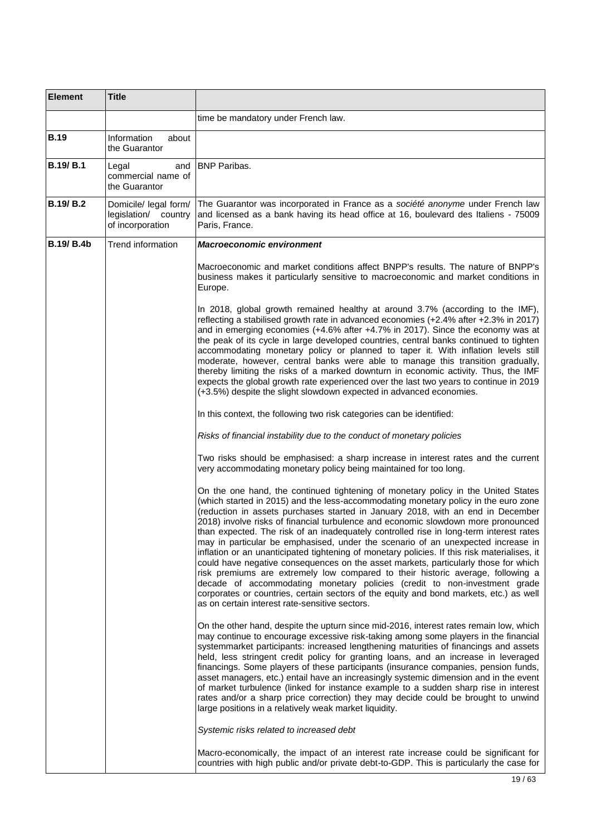| <b>Element</b>    | <b>Title</b>                                                      |                                                                                                                                                                                                                                                                                                                                                                                                                                                                                                                                                                                                                                                                                                                                                                                                                                                                                                                                                                                                                                   |
|-------------------|-------------------------------------------------------------------|-----------------------------------------------------------------------------------------------------------------------------------------------------------------------------------------------------------------------------------------------------------------------------------------------------------------------------------------------------------------------------------------------------------------------------------------------------------------------------------------------------------------------------------------------------------------------------------------------------------------------------------------------------------------------------------------------------------------------------------------------------------------------------------------------------------------------------------------------------------------------------------------------------------------------------------------------------------------------------------------------------------------------------------|
|                   |                                                                   | time be mandatory under French law.                                                                                                                                                                                                                                                                                                                                                                                                                                                                                                                                                                                                                                                                                                                                                                                                                                                                                                                                                                                               |
| <b>B.19</b>       | Information<br>about<br>the Guarantor                             |                                                                                                                                                                                                                                                                                                                                                                                                                                                                                                                                                                                                                                                                                                                                                                                                                                                                                                                                                                                                                                   |
| <b>B.19/B.1</b>   | and<br>Legal<br>commercial name of<br>the Guarantor               | <b>BNP Paribas.</b>                                                                                                                                                                                                                                                                                                                                                                                                                                                                                                                                                                                                                                                                                                                                                                                                                                                                                                                                                                                                               |
| <b>B.19/B.2</b>   | Domicile/ legal form/<br>legislation/ country<br>of incorporation | The Guarantor was incorporated in France as a société anonyme under French law<br>and licensed as a bank having its head office at 16, boulevard des Italiens - 75009<br>Paris, France.                                                                                                                                                                                                                                                                                                                                                                                                                                                                                                                                                                                                                                                                                                                                                                                                                                           |
| <b>B.19/ B.4b</b> | Trend information                                                 | <b>Macroeconomic environment</b>                                                                                                                                                                                                                                                                                                                                                                                                                                                                                                                                                                                                                                                                                                                                                                                                                                                                                                                                                                                                  |
|                   |                                                                   | Macroeconomic and market conditions affect BNPP's results. The nature of BNPP's<br>business makes it particularly sensitive to macroeconomic and market conditions in<br>Europe.                                                                                                                                                                                                                                                                                                                                                                                                                                                                                                                                                                                                                                                                                                                                                                                                                                                  |
|                   |                                                                   | In 2018, global growth remained healthy at around 3.7% (according to the IMF),<br>reflecting a stabilised growth rate in advanced economies (+2.4% after +2.3% in 2017)<br>and in emerging economies (+4.6% after +4.7% in 2017). Since the economy was at<br>the peak of its cycle in large developed countries, central banks continued to tighten<br>accommodating monetary policy or planned to taper it. With inflation levels still<br>moderate, however, central banks were able to manage this transition gradually,<br>thereby limiting the risks of a marked downturn in economic activity. Thus, the IMF<br>expects the global growth rate experienced over the last two years to continue in 2019<br>(+3.5%) despite the slight slowdown expected in advanced economies.                                                                                                                                                                                                                                              |
|                   |                                                                   | In this context, the following two risk categories can be identified:                                                                                                                                                                                                                                                                                                                                                                                                                                                                                                                                                                                                                                                                                                                                                                                                                                                                                                                                                             |
|                   |                                                                   | Risks of financial instability due to the conduct of monetary policies                                                                                                                                                                                                                                                                                                                                                                                                                                                                                                                                                                                                                                                                                                                                                                                                                                                                                                                                                            |
|                   |                                                                   | Two risks should be emphasised: a sharp increase in interest rates and the current<br>very accommodating monetary policy being maintained for too long.                                                                                                                                                                                                                                                                                                                                                                                                                                                                                                                                                                                                                                                                                                                                                                                                                                                                           |
|                   |                                                                   | On the one hand, the continued tightening of monetary policy in the United States<br>(which started in 2015) and the less-accommodating monetary policy in the euro zone<br>(reduction in assets purchases started in January 2018, with an end in December<br>2018) involve risks of financial turbulence and economic slowdown more pronounced<br>than expected. The risk of an inadequately controlled rise in long-term interest rates<br>may in particular be emphasised, under the scenario of an unexpected increase in<br>inflation or an unanticipated tightening of monetary policies. If this risk materialises, it<br>could have negative consequences on the asset markets, particularly those for which<br>risk premiums are extremely low compared to their historic average, following a<br>decade of accommodating monetary policies (credit to non-investment grade<br>corporates or countries, certain sectors of the equity and bond markets, etc.) as well<br>as on certain interest rate-sensitive sectors. |
|                   |                                                                   | On the other hand, despite the upturn since mid-2016, interest rates remain low, which<br>may continue to encourage excessive risk-taking among some players in the financial<br>systemmarket participants: increased lengthening maturities of financings and assets<br>held, less stringent credit policy for granting loans, and an increase in leveraged<br>financings. Some players of these participants (insurance companies, pension funds,<br>asset managers, etc.) entail have an increasingly systemic dimension and in the event<br>of market turbulence (linked for instance example to a sudden sharp rise in interest<br>rates and/or a sharp price correction) they may decide could be brought to unwind<br>large positions in a relatively weak market liquidity.                                                                                                                                                                                                                                               |
|                   |                                                                   | Systemic risks related to increased debt                                                                                                                                                                                                                                                                                                                                                                                                                                                                                                                                                                                                                                                                                                                                                                                                                                                                                                                                                                                          |
|                   |                                                                   | Macro-economically, the impact of an interest rate increase could be significant for<br>countries with high public and/or private debt-to-GDP. This is particularly the case for                                                                                                                                                                                                                                                                                                                                                                                                                                                                                                                                                                                                                                                                                                                                                                                                                                                  |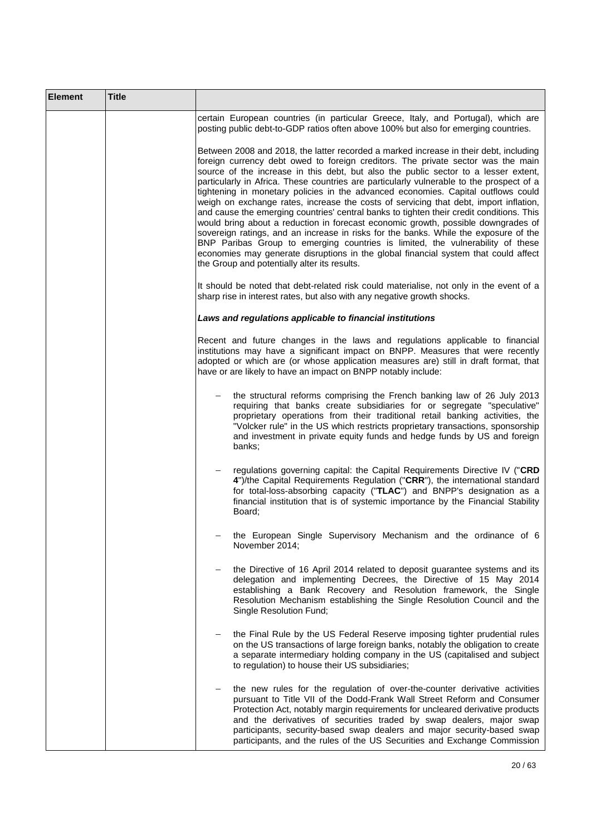| <b>Element</b> | <b>Title</b> |                                                                                                                                                                                                                                                                                                                                                                                                                                                                                                                                                                                                                                                                                                                                                                                                                                                                                                                                                                                                                                              |
|----------------|--------------|----------------------------------------------------------------------------------------------------------------------------------------------------------------------------------------------------------------------------------------------------------------------------------------------------------------------------------------------------------------------------------------------------------------------------------------------------------------------------------------------------------------------------------------------------------------------------------------------------------------------------------------------------------------------------------------------------------------------------------------------------------------------------------------------------------------------------------------------------------------------------------------------------------------------------------------------------------------------------------------------------------------------------------------------|
|                |              | certain European countries (in particular Greece, Italy, and Portugal), which are<br>posting public debt-to-GDP ratios often above 100% but also for emerging countries.                                                                                                                                                                                                                                                                                                                                                                                                                                                                                                                                                                                                                                                                                                                                                                                                                                                                     |
|                |              | Between 2008 and 2018, the latter recorded a marked increase in their debt, including<br>foreign currency debt owed to foreign creditors. The private sector was the main<br>source of the increase in this debt, but also the public sector to a lesser extent,<br>particularly in Africa. These countries are particularly vulnerable to the prospect of a<br>tightening in monetary policies in the advanced economies. Capital outflows could<br>weigh on exchange rates, increase the costs of servicing that debt, import inflation,<br>and cause the emerging countries' central banks to tighten their credit conditions. This<br>would bring about a reduction in forecast economic growth, possible downgrades of<br>sovereign ratings, and an increase in risks for the banks. While the exposure of the<br>BNP Paribas Group to emerging countries is limited, the vulnerability of these<br>economies may generate disruptions in the global financial system that could affect<br>the Group and potentially alter its results. |
|                |              | It should be noted that debt-related risk could materialise, not only in the event of a<br>sharp rise in interest rates, but also with any negative growth shocks.                                                                                                                                                                                                                                                                                                                                                                                                                                                                                                                                                                                                                                                                                                                                                                                                                                                                           |
|                |              | Laws and regulations applicable to financial institutions                                                                                                                                                                                                                                                                                                                                                                                                                                                                                                                                                                                                                                                                                                                                                                                                                                                                                                                                                                                    |
|                |              | Recent and future changes in the laws and regulations applicable to financial<br>institutions may have a significant impact on BNPP. Measures that were recently<br>adopted or which are (or whose application measures are) still in draft format, that<br>have or are likely to have an impact on BNPP notably include:                                                                                                                                                                                                                                                                                                                                                                                                                                                                                                                                                                                                                                                                                                                    |
|                |              | the structural reforms comprising the French banking law of 26 July 2013<br>requiring that banks create subsidiaries for or segregate "speculative"<br>proprietary operations from their traditional retail banking activities, the<br>"Volcker rule" in the US which restricts proprietary transactions, sponsorship<br>and investment in private equity funds and hedge funds by US and foreign<br>banks;                                                                                                                                                                                                                                                                                                                                                                                                                                                                                                                                                                                                                                  |
|                |              | regulations governing capital: the Capital Requirements Directive IV ("CRD<br>4")/the Capital Requirements Regulation ("CRR"), the international standard<br>for total-loss-absorbing capacity ("TLAC") and BNPP's designation as a<br>financial institution that is of systemic importance by the Financial Stability<br>Board;                                                                                                                                                                                                                                                                                                                                                                                                                                                                                                                                                                                                                                                                                                             |
|                |              | the European Single Supervisory Mechanism and the ordinance of 6<br>November 2014;                                                                                                                                                                                                                                                                                                                                                                                                                                                                                                                                                                                                                                                                                                                                                                                                                                                                                                                                                           |
|                |              | the Directive of 16 April 2014 related to deposit guarantee systems and its<br>delegation and implementing Decrees, the Directive of 15 May 2014<br>establishing a Bank Recovery and Resolution framework, the Single<br>Resolution Mechanism establishing the Single Resolution Council and the<br>Single Resolution Fund;                                                                                                                                                                                                                                                                                                                                                                                                                                                                                                                                                                                                                                                                                                                  |
|                |              | the Final Rule by the US Federal Reserve imposing tighter prudential rules<br>on the US transactions of large foreign banks, notably the obligation to create<br>a separate intermediary holding company in the US (capitalised and subject<br>to regulation) to house their US subsidiaries;                                                                                                                                                                                                                                                                                                                                                                                                                                                                                                                                                                                                                                                                                                                                                |
|                |              | the new rules for the regulation of over-the-counter derivative activities<br>pursuant to Title VII of the Dodd-Frank Wall Street Reform and Consumer<br>Protection Act, notably margin requirements for uncleared derivative products<br>and the derivatives of securities traded by swap dealers, major swap<br>participants, security-based swap dealers and major security-based swap<br>participants, and the rules of the US Securities and Exchange Commission                                                                                                                                                                                                                                                                                                                                                                                                                                                                                                                                                                        |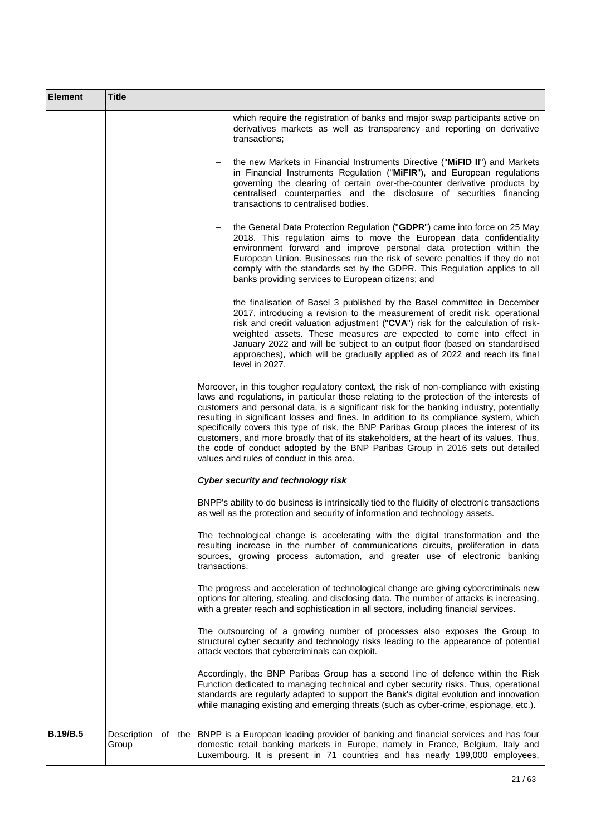| <b>Element</b>  | <b>Title</b> |                                                                                                                                                                                                                                                                                                                                                                                                                                                                                                                                                                                                                                                                                               |
|-----------------|--------------|-----------------------------------------------------------------------------------------------------------------------------------------------------------------------------------------------------------------------------------------------------------------------------------------------------------------------------------------------------------------------------------------------------------------------------------------------------------------------------------------------------------------------------------------------------------------------------------------------------------------------------------------------------------------------------------------------|
|                 |              | which require the registration of banks and major swap participants active on<br>derivatives markets as well as transparency and reporting on derivative<br>transactions:                                                                                                                                                                                                                                                                                                                                                                                                                                                                                                                     |
|                 |              | the new Markets in Financial Instruments Directive ("MiFID II") and Markets<br>in Financial Instruments Regulation ("MiFIR"), and European regulations<br>governing the clearing of certain over-the-counter derivative products by<br>centralised counterparties and the disclosure of securities financing<br>transactions to centralised bodies.                                                                                                                                                                                                                                                                                                                                           |
|                 |              | the General Data Protection Regulation ("GDPR") came into force on 25 May<br>2018. This regulation aims to move the European data confidentiality<br>environment forward and improve personal data protection within the<br>European Union. Businesses run the risk of severe penalties if they do not<br>comply with the standards set by the GDPR. This Regulation applies to all<br>banks providing services to European citizens; and                                                                                                                                                                                                                                                     |
|                 |              | the finalisation of Basel 3 published by the Basel committee in December<br>2017, introducing a revision to the measurement of credit risk, operational<br>risk and credit valuation adjustment ("CVA") risk for the calculation of risk-<br>weighted assets. These measures are expected to come into effect in<br>January 2022 and will be subject to an output floor (based on standardised<br>approaches), which will be gradually applied as of 2022 and reach its final<br>level in 2027.                                                                                                                                                                                               |
|                 |              | Moreover, in this tougher regulatory context, the risk of non-compliance with existing<br>laws and regulations, in particular those relating to the protection of the interests of<br>customers and personal data, is a significant risk for the banking industry, potentially<br>resulting in significant losses and fines. In addition to its compliance system, which<br>specifically covers this type of risk, the BNP Paribas Group places the interest of its<br>customers, and more broadly that of its stakeholders, at the heart of its values. Thus,<br>the code of conduct adopted by the BNP Paribas Group in 2016 sets out detailed<br>values and rules of conduct in this area. |
|                 |              | Cyber security and technology risk                                                                                                                                                                                                                                                                                                                                                                                                                                                                                                                                                                                                                                                            |
|                 |              | BNPP's ability to do business is intrinsically tied to the fluidity of electronic transactions<br>as well as the protection and security of information and technology assets.                                                                                                                                                                                                                                                                                                                                                                                                                                                                                                                |
|                 |              | The technological change is accelerating with the digital transformation and the<br>resulting increase in the number of communications circuits, proliferation in data<br>sources, growing process automation, and greater use of electronic banking<br>transactions.                                                                                                                                                                                                                                                                                                                                                                                                                         |
|                 |              | The progress and acceleration of technological change are giving cybercriminals new<br>options for altering, stealing, and disclosing data. The number of attacks is increasing,<br>with a greater reach and sophistication in all sectors, including financial services.                                                                                                                                                                                                                                                                                                                                                                                                                     |
|                 |              | The outsourcing of a growing number of processes also exposes the Group to<br>structural cyber security and technology risks leading to the appearance of potential<br>attack vectors that cybercriminals can exploit.                                                                                                                                                                                                                                                                                                                                                                                                                                                                        |
|                 |              | Accordingly, the BNP Paribas Group has a second line of defence within the Risk<br>Function dedicated to managing technical and cyber security risks. Thus, operational<br>standards are regularly adapted to support the Bank's digital evolution and innovation<br>while managing existing and emerging threats (such as cyber-crime, espionage, etc.).                                                                                                                                                                                                                                                                                                                                     |
| <b>B.19/B.5</b> | Group        | Description of the BNPP is a European leading provider of banking and financial services and has four<br>domestic retail banking markets in Europe, namely in France, Belgium, Italy and<br>Luxembourg. It is present in 71 countries and has nearly 199,000 employees,                                                                                                                                                                                                                                                                                                                                                                                                                       |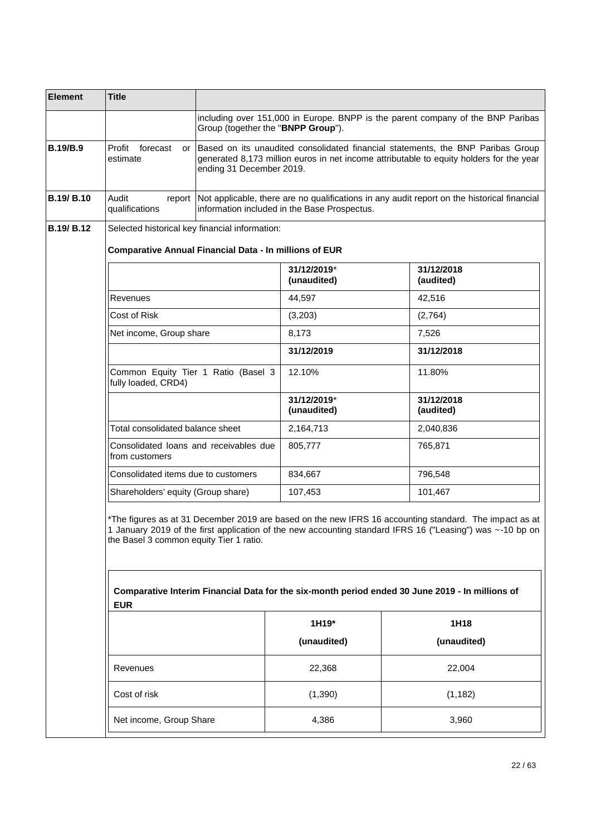| <b>Element</b>    | <b>Title</b>                                                  |                                    |                                              |                                                                                                                                                                                                                                                                                                                        |
|-------------------|---------------------------------------------------------------|------------------------------------|----------------------------------------------|------------------------------------------------------------------------------------------------------------------------------------------------------------------------------------------------------------------------------------------------------------------------------------------------------------------------|
|                   |                                                               | Group (together the "BNPP Group"). |                                              | including over 151,000 in Europe. BNPP is the parent company of the BNP Paribas                                                                                                                                                                                                                                        |
| <b>B.19/B.9</b>   | Profit<br>forecast<br>or<br>estimate                          | ending 31 December 2019.           |                                              | Based on its unaudited consolidated financial statements, the BNP Paribas Group<br>generated 8,173 million euros in net income attributable to equity holders for the year                                                                                                                                             |
| <b>B.19/ B.10</b> | Audit<br>report<br>qualifications                             |                                    | information included in the Base Prospectus. | Not applicable, there are no qualifications in any audit report on the historical financial                                                                                                                                                                                                                            |
| <b>B.19/ B.12</b> | Selected historical key financial information:                |                                    |                                              |                                                                                                                                                                                                                                                                                                                        |
|                   | <b>Comparative Annual Financial Data - In millions of EUR</b> |                                    |                                              |                                                                                                                                                                                                                                                                                                                        |
|                   |                                                               |                                    | 31/12/2019*<br>(unaudited)                   | 31/12/2018<br>(audited)                                                                                                                                                                                                                                                                                                |
|                   | Revenues                                                      |                                    | 44,597                                       | 42,516                                                                                                                                                                                                                                                                                                                 |
|                   | Cost of Risk                                                  |                                    | (3,203)                                      | (2,764)                                                                                                                                                                                                                                                                                                                |
|                   | Net income, Group share                                       |                                    | 8,173                                        | 7,526                                                                                                                                                                                                                                                                                                                  |
|                   |                                                               |                                    | 31/12/2019                                   | 31/12/2018                                                                                                                                                                                                                                                                                                             |
|                   | Common Equity Tier 1 Ratio (Basel 3<br>fully loaded, CRD4)    |                                    | 12.10%                                       | 11.80%                                                                                                                                                                                                                                                                                                                 |
|                   |                                                               |                                    | 31/12/2019*<br>(unaudited)                   | 31/12/2018<br>(audited)                                                                                                                                                                                                                                                                                                |
|                   | Total consolidated balance sheet                              |                                    | 2,164,713                                    | 2,040,836                                                                                                                                                                                                                                                                                                              |
|                   | Consolidated loans and receivables due<br>from customers      |                                    | 805,777                                      | 765,871                                                                                                                                                                                                                                                                                                                |
|                   | Consolidated items due to customers                           |                                    | 834,667                                      | 796,548                                                                                                                                                                                                                                                                                                                |
|                   | Shareholders' equity (Group share)                            |                                    | 107,453                                      | 101,467                                                                                                                                                                                                                                                                                                                |
|                   | the Basel 3 common equity Tier 1 ratio.                       |                                    |                                              | *The figures as at 31 December 2019 are based on the new IFRS 16 accounting standard. The impact as at<br>1 January 2019 of the first application of the new accounting standard IFRS 16 ("Leasing") was ~-10 bp on<br>Comparative Interim Financial Data for the six-month period ended 30 June 2019 - In millions of |
|                   | <b>EUR</b>                                                    |                                    |                                              |                                                                                                                                                                                                                                                                                                                        |
|                   |                                                               |                                    | 1H19*                                        | 1H18                                                                                                                                                                                                                                                                                                                   |
|                   |                                                               |                                    | (unaudited)                                  | (unaudited)                                                                                                                                                                                                                                                                                                            |
|                   | Revenues                                                      |                                    | 22,368                                       | 22,004                                                                                                                                                                                                                                                                                                                 |
|                   | Cost of risk                                                  |                                    | (1,390)                                      | (1, 182)                                                                                                                                                                                                                                                                                                               |
|                   | Net income, Group Share                                       |                                    | 4,386                                        | 3,960                                                                                                                                                                                                                                                                                                                  |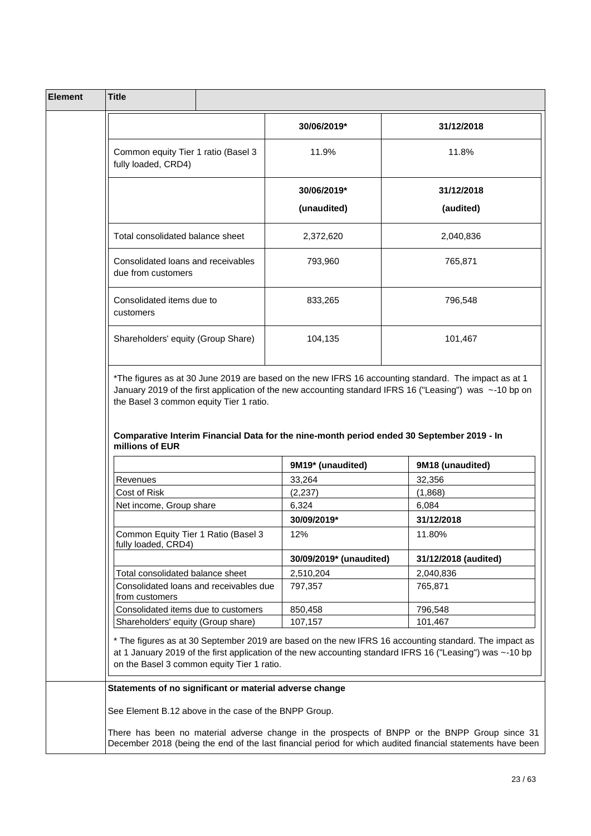| 30/06/2019*<br>Common equity Tier 1 ratio (Basel 3<br>11.9%<br>fully loaded, CRD4)<br>30/06/2019*<br>(unaudited)<br>Total consolidated balance sheet<br>2,372,620<br>Consolidated loans and receivables<br>793,960<br>due from customers<br>Consolidated items due to<br>833,265<br>customers<br>Shareholders' equity (Group Share)<br>104,135 |                         | 31/12/2018<br>11.8%<br>31/12/2018<br>(audited)<br>2,040,836<br>765,871<br>796,548 |
|------------------------------------------------------------------------------------------------------------------------------------------------------------------------------------------------------------------------------------------------------------------------------------------------------------------------------------------------|-------------------------|-----------------------------------------------------------------------------------|
|                                                                                                                                                                                                                                                                                                                                                |                         |                                                                                   |
|                                                                                                                                                                                                                                                                                                                                                |                         |                                                                                   |
|                                                                                                                                                                                                                                                                                                                                                |                         |                                                                                   |
|                                                                                                                                                                                                                                                                                                                                                |                         |                                                                                   |
|                                                                                                                                                                                                                                                                                                                                                |                         |                                                                                   |
|                                                                                                                                                                                                                                                                                                                                                |                         |                                                                                   |
|                                                                                                                                                                                                                                                                                                                                                |                         |                                                                                   |
|                                                                                                                                                                                                                                                                                                                                                |                         | 101,467                                                                           |
|                                                                                                                                                                                                                                                                                                                                                |                         | 9M18 (unaudited)                                                                  |
| 33,264<br>Revenues                                                                                                                                                                                                                                                                                                                             | 9M19* (unaudited)       | 32,356                                                                            |
| (2, 237)<br>Cost of Risk                                                                                                                                                                                                                                                                                                                       |                         | (1,868)                                                                           |
| Net income, Group share<br>6,324                                                                                                                                                                                                                                                                                                               |                         | 6,084                                                                             |
| 30/09/2019*<br>Common Equity Tier 1 Ratio (Basel 3<br>12%                                                                                                                                                                                                                                                                                      |                         | 31/12/2018<br>11.80%                                                              |
| fully loaded, CRD4)                                                                                                                                                                                                                                                                                                                            | 30/09/2019* (unaudited) | 31/12/2018 (audited)                                                              |
|                                                                                                                                                                                                                                                                                                                                                |                         |                                                                                   |
| Total consolidated balance sheet<br>2,510,204<br>Consolidated loans and receivables due<br>797,357<br>from customers                                                                                                                                                                                                                           |                         | 2,040,836<br>765,871                                                              |
| Consolidated items due to customers<br>850,458                                                                                                                                                                                                                                                                                                 |                         | 796,548                                                                           |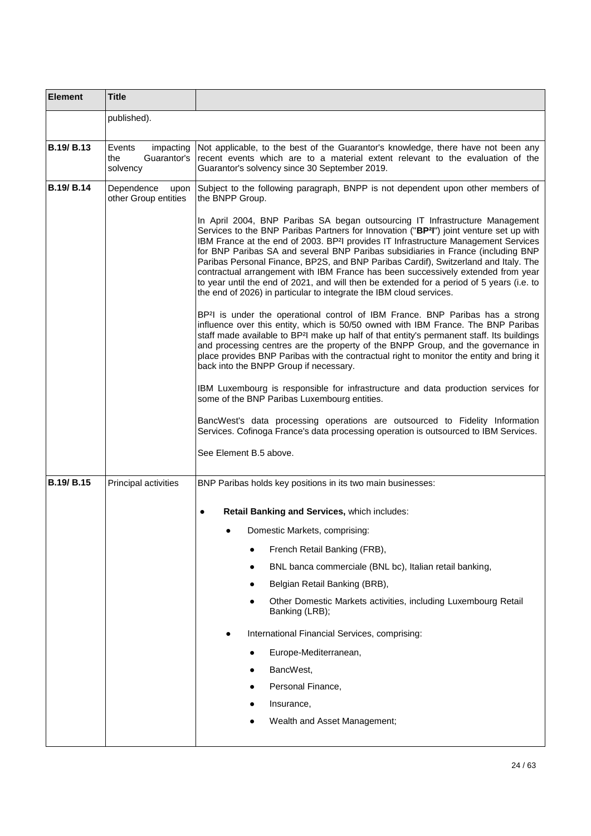| <b>Element</b>    | <b>Title</b>                                          |                                                                                                                                                                                                                                                                                                                                                                                                                                                                                                                                                                                                                                                                                                                           |
|-------------------|-------------------------------------------------------|---------------------------------------------------------------------------------------------------------------------------------------------------------------------------------------------------------------------------------------------------------------------------------------------------------------------------------------------------------------------------------------------------------------------------------------------------------------------------------------------------------------------------------------------------------------------------------------------------------------------------------------------------------------------------------------------------------------------------|
|                   | published).                                           |                                                                                                                                                                                                                                                                                                                                                                                                                                                                                                                                                                                                                                                                                                                           |
| <b>B.19/ B.13</b> | Events<br>impacting<br>Guarantor's<br>the<br>solvency | Not applicable, to the best of the Guarantor's knowledge, there have not been any<br>recent events which are to a material extent relevant to the evaluation of the<br>Guarantor's solvency since 30 September 2019.                                                                                                                                                                                                                                                                                                                                                                                                                                                                                                      |
| <b>B.19/ B.14</b> | Dependence<br>upon<br>other Group entities            | Subject to the following paragraph, BNPP is not dependent upon other members of<br>the BNPP Group.                                                                                                                                                                                                                                                                                                                                                                                                                                                                                                                                                                                                                        |
|                   |                                                       | In April 2004, BNP Paribas SA began outsourcing IT Infrastructure Management<br>Services to the BNP Paribas Partners for Innovation ("BP <sup>2</sup> I") joint venture set up with<br>IBM France at the end of 2003. BP <sup>2</sup> I provides IT Infrastructure Management Services<br>for BNP Paribas SA and several BNP Paribas subsidiaries in France (including BNP<br>Paribas Personal Finance, BP2S, and BNP Paribas Cardif), Switzerland and Italy. The<br>contractual arrangement with IBM France has been successively extended from year<br>to year until the end of 2021, and will then be extended for a period of 5 years (i.e. to<br>the end of 2026) in particular to integrate the IBM cloud services. |
|                   |                                                       | BP <sup>2</sup> I is under the operational control of IBM France. BNP Paribas has a strong<br>influence over this entity, which is 50/50 owned with IBM France. The BNP Paribas<br>staff made available to BP <sup>2</sup> I make up half of that entity's permanent staff. Its buildings<br>and processing centres are the property of the BNPP Group, and the governance in<br>place provides BNP Paribas with the contractual right to monitor the entity and bring it<br>back into the BNPP Group if necessary.                                                                                                                                                                                                       |
|                   |                                                       | IBM Luxembourg is responsible for infrastructure and data production services for<br>some of the BNP Paribas Luxembourg entities.                                                                                                                                                                                                                                                                                                                                                                                                                                                                                                                                                                                         |
|                   |                                                       | BancWest's data processing operations are outsourced to Fidelity Information<br>Services. Cofinoga France's data processing operation is outsourced to IBM Services.                                                                                                                                                                                                                                                                                                                                                                                                                                                                                                                                                      |
|                   |                                                       | See Element B.5 above.                                                                                                                                                                                                                                                                                                                                                                                                                                                                                                                                                                                                                                                                                                    |
| <b>B.19/ B.15</b> | Principal activities                                  | BNP Paribas holds key positions in its two main businesses:                                                                                                                                                                                                                                                                                                                                                                                                                                                                                                                                                                                                                                                               |
|                   |                                                       | Retail Banking and Services, which includes:<br>$\bullet$                                                                                                                                                                                                                                                                                                                                                                                                                                                                                                                                                                                                                                                                 |
|                   |                                                       | Domestic Markets, comprising:                                                                                                                                                                                                                                                                                                                                                                                                                                                                                                                                                                                                                                                                                             |
|                   |                                                       | French Retail Banking (FRB),                                                                                                                                                                                                                                                                                                                                                                                                                                                                                                                                                                                                                                                                                              |
|                   |                                                       | BNL banca commerciale (BNL bc), Italian retail banking,                                                                                                                                                                                                                                                                                                                                                                                                                                                                                                                                                                                                                                                                   |
|                   |                                                       | Belgian Retail Banking (BRB),                                                                                                                                                                                                                                                                                                                                                                                                                                                                                                                                                                                                                                                                                             |
|                   |                                                       | Other Domestic Markets activities, including Luxembourg Retail<br>Banking (LRB);                                                                                                                                                                                                                                                                                                                                                                                                                                                                                                                                                                                                                                          |
|                   |                                                       | International Financial Services, comprising:                                                                                                                                                                                                                                                                                                                                                                                                                                                                                                                                                                                                                                                                             |
|                   |                                                       | Europe-Mediterranean,                                                                                                                                                                                                                                                                                                                                                                                                                                                                                                                                                                                                                                                                                                     |
|                   |                                                       | BancWest,                                                                                                                                                                                                                                                                                                                                                                                                                                                                                                                                                                                                                                                                                                                 |
|                   |                                                       | Personal Finance,<br>٠                                                                                                                                                                                                                                                                                                                                                                                                                                                                                                                                                                                                                                                                                                    |
|                   |                                                       | Insurance,                                                                                                                                                                                                                                                                                                                                                                                                                                                                                                                                                                                                                                                                                                                |
|                   |                                                       | Wealth and Asset Management;                                                                                                                                                                                                                                                                                                                                                                                                                                                                                                                                                                                                                                                                                              |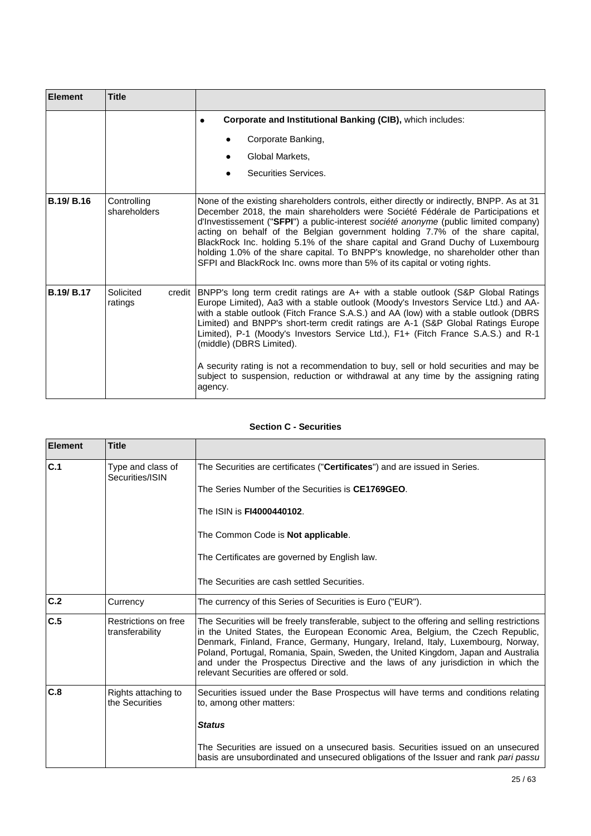| <b>Element</b>    | <b>Title</b>                   |                                                                                                                                                                                                                                                                                                                                                                                                                                                                                                                                                                                                                                                                |
|-------------------|--------------------------------|----------------------------------------------------------------------------------------------------------------------------------------------------------------------------------------------------------------------------------------------------------------------------------------------------------------------------------------------------------------------------------------------------------------------------------------------------------------------------------------------------------------------------------------------------------------------------------------------------------------------------------------------------------------|
|                   |                                | Corporate and Institutional Banking (CIB), which includes:<br>Corporate Banking,<br>Global Markets,<br>$\bullet$<br>Securities Services.<br>$\bullet$                                                                                                                                                                                                                                                                                                                                                                                                                                                                                                          |
| <b>B.19/B.16</b>  | Controlling<br>shareholders    | None of the existing shareholders controls, either directly or indirectly, BNPP. As at 31<br>December 2018, the main shareholders were Société Fédérale de Participations et<br>d'Investissement ("SFPI") a public-interest société anonyme (public limited company)<br>acting on behalf of the Belgian government holding 7.7% of the share capital,<br>BlackRock Inc. holding 5.1% of the share capital and Grand Duchy of Luxembourg<br>holding 1.0% of the share capital. To BNPP's knowledge, no shareholder other than<br>SFPI and BlackRock Inc. owns more than 5% of its capital or voting rights.                                                     |
| <b>B.19/ B.17</b> | Solicited<br>credit<br>ratings | [BNPP's long term credit ratings are A+ with a stable outlook (S&P Global Ratings<br>Europe Limited), Aa3 with a stable outlook (Moody's Investors Service Ltd.) and AA-<br>with a stable outlook (Fitch France S.A.S.) and AA (low) with a stable outlook (DBRS<br>Limited) and BNPP's short-term credit ratings are A-1 (S&P Global Ratings Europe<br>Limited), P-1 (Moody's Investors Service Ltd.), F1+ (Fitch France S.A.S.) and R-1<br>(middle) (DBRS Limited).<br>A security rating is not a recommendation to buy, sell or hold securities and may be<br>subject to suspension, reduction or withdrawal at any time by the assigning rating<br>agency. |

# **Section C - Securities**

| <b>Element</b> | <b>Title</b>                            |                                                                                                                                                                                                                                                                                                                                                                                                                                                                                        |
|----------------|-----------------------------------------|----------------------------------------------------------------------------------------------------------------------------------------------------------------------------------------------------------------------------------------------------------------------------------------------------------------------------------------------------------------------------------------------------------------------------------------------------------------------------------------|
| C.1            | Type and class of<br>Securities/ISIN    | The Securities are certificates ("Certificates") and are issued in Series.                                                                                                                                                                                                                                                                                                                                                                                                             |
|                |                                         | The Series Number of the Securities is CE1769GEO.                                                                                                                                                                                                                                                                                                                                                                                                                                      |
|                |                                         | The ISIN is <b>FI4000440102.</b>                                                                                                                                                                                                                                                                                                                                                                                                                                                       |
|                |                                         | The Common Code is Not applicable.                                                                                                                                                                                                                                                                                                                                                                                                                                                     |
|                |                                         | The Certificates are governed by English law.                                                                                                                                                                                                                                                                                                                                                                                                                                          |
|                |                                         | The Securities are cash settled Securities.                                                                                                                                                                                                                                                                                                                                                                                                                                            |
| C.2            | Currency                                | The currency of this Series of Securities is Euro ("EUR").                                                                                                                                                                                                                                                                                                                                                                                                                             |
| C.5            | Restrictions on free<br>transferability | The Securities will be freely transferable, subject to the offering and selling restrictions<br>in the United States, the European Economic Area, Belgium, the Czech Republic,<br>Denmark, Finland, France, Germany, Hungary, Ireland, Italy, Luxembourg, Norway,<br>Poland, Portugal, Romania, Spain, Sweden, the United Kingdom, Japan and Australia<br>and under the Prospectus Directive and the laws of any jurisdiction in which the<br>relevant Securities are offered or sold. |
| C.8            | Rights attaching to<br>the Securities   | Securities issued under the Base Prospectus will have terms and conditions relating<br>to, among other matters:                                                                                                                                                                                                                                                                                                                                                                        |
|                |                                         | <b>Status</b>                                                                                                                                                                                                                                                                                                                                                                                                                                                                          |
|                |                                         | The Securities are issued on a unsecured basis. Securities issued on an unsecured<br>basis are unsubordinated and unsecured obligations of the Issuer and rank pari passu                                                                                                                                                                                                                                                                                                              |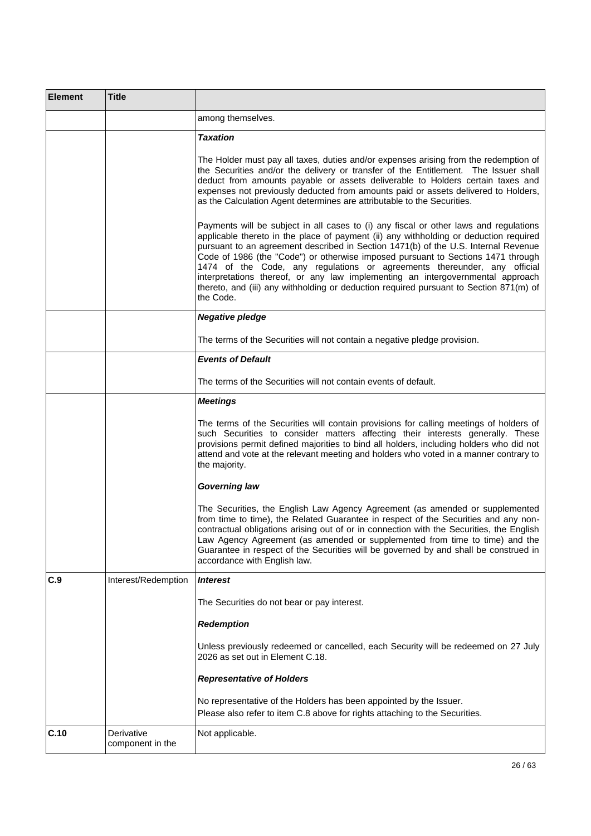| <b>Element</b> | <b>Title</b>                   |                                                                                                                                                                                                                                                                                                                                                                                                                                                                                                                                                                                                                               |
|----------------|--------------------------------|-------------------------------------------------------------------------------------------------------------------------------------------------------------------------------------------------------------------------------------------------------------------------------------------------------------------------------------------------------------------------------------------------------------------------------------------------------------------------------------------------------------------------------------------------------------------------------------------------------------------------------|
|                |                                | among themselves.                                                                                                                                                                                                                                                                                                                                                                                                                                                                                                                                                                                                             |
|                |                                | <b>Taxation</b>                                                                                                                                                                                                                                                                                                                                                                                                                                                                                                                                                                                                               |
|                |                                | The Holder must pay all taxes, duties and/or expenses arising from the redemption of<br>the Securities and/or the delivery or transfer of the Entitlement. The Issuer shall<br>deduct from amounts payable or assets deliverable to Holders certain taxes and<br>expenses not previously deducted from amounts paid or assets delivered to Holders,<br>as the Calculation Agent determines are attributable to the Securities.                                                                                                                                                                                                |
|                |                                | Payments will be subject in all cases to (i) any fiscal or other laws and regulations<br>applicable thereto in the place of payment (ii) any withholding or deduction required<br>pursuant to an agreement described in Section 1471(b) of the U.S. Internal Revenue<br>Code of 1986 (the "Code") or otherwise imposed pursuant to Sections 1471 through<br>1474 of the Code, any regulations or agreements thereunder, any official<br>interpretations thereof, or any law implementing an intergovernmental approach<br>thereto, and (iii) any withholding or deduction required pursuant to Section 871(m) of<br>the Code. |
|                |                                | <b>Negative pledge</b>                                                                                                                                                                                                                                                                                                                                                                                                                                                                                                                                                                                                        |
|                |                                | The terms of the Securities will not contain a negative pledge provision.                                                                                                                                                                                                                                                                                                                                                                                                                                                                                                                                                     |
|                |                                | <b>Events of Default</b>                                                                                                                                                                                                                                                                                                                                                                                                                                                                                                                                                                                                      |
|                |                                | The terms of the Securities will not contain events of default.                                                                                                                                                                                                                                                                                                                                                                                                                                                                                                                                                               |
|                |                                | <b>Meetings</b>                                                                                                                                                                                                                                                                                                                                                                                                                                                                                                                                                                                                               |
|                |                                | The terms of the Securities will contain provisions for calling meetings of holders of<br>such Securities to consider matters affecting their interests generally. These<br>provisions permit defined majorities to bind all holders, including holders who did not<br>attend and vote at the relevant meeting and holders who voted in a manner contrary to<br>the majority.                                                                                                                                                                                                                                                 |
|                |                                | <b>Governing law</b>                                                                                                                                                                                                                                                                                                                                                                                                                                                                                                                                                                                                          |
|                |                                | The Securities, the English Law Agency Agreement (as amended or supplemented<br>from time to time), the Related Guarantee in respect of the Securities and any non-<br>contractual obligations arising out of or in connection with the Securities, the English<br>Law Agency Agreement (as amended or supplemented from time to time) and the<br>Guarantee in respect of the Securities will be governed by and shall be construed in<br>accordance with English law.                                                                                                                                                        |
| C.9            | Interest/Redemption            | <i><b>Interest</b></i>                                                                                                                                                                                                                                                                                                                                                                                                                                                                                                                                                                                                        |
|                |                                | The Securities do not bear or pay interest.                                                                                                                                                                                                                                                                                                                                                                                                                                                                                                                                                                                   |
|                |                                | <b>Redemption</b>                                                                                                                                                                                                                                                                                                                                                                                                                                                                                                                                                                                                             |
|                |                                | Unless previously redeemed or cancelled, each Security will be redeemed on 27 July<br>2026 as set out in Element C.18.                                                                                                                                                                                                                                                                                                                                                                                                                                                                                                        |
|                |                                | <b>Representative of Holders</b>                                                                                                                                                                                                                                                                                                                                                                                                                                                                                                                                                                                              |
|                |                                | No representative of the Holders has been appointed by the Issuer.<br>Please also refer to item C.8 above for rights attaching to the Securities.                                                                                                                                                                                                                                                                                                                                                                                                                                                                             |
| C.10           | Derivative<br>component in the | Not applicable.                                                                                                                                                                                                                                                                                                                                                                                                                                                                                                                                                                                                               |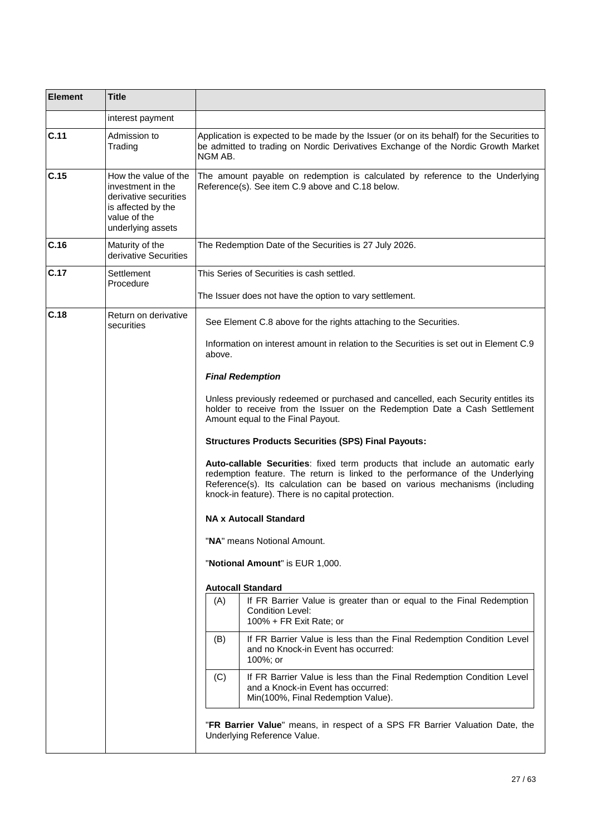| <b>Element</b>                                                                  | <b>Title</b>                                                                                                                  |                                                                                                                                                                                                                                                                                                     |
|---------------------------------------------------------------------------------|-------------------------------------------------------------------------------------------------------------------------------|-----------------------------------------------------------------------------------------------------------------------------------------------------------------------------------------------------------------------------------------------------------------------------------------------------|
|                                                                                 | interest payment                                                                                                              |                                                                                                                                                                                                                                                                                                     |
| C.11                                                                            | Admission to<br>Trading                                                                                                       | Application is expected to be made by the Issuer (or on its behalf) for the Securities to<br>be admitted to trading on Nordic Derivatives Exchange of the Nordic Growth Market<br>NGM AB.                                                                                                           |
| C.15                                                                            | How the value of the<br>investment in the<br>derivative securities<br>is affected by the<br>value of the<br>underlying assets | The amount payable on redemption is calculated by reference to the Underlying<br>Reference(s). See item C.9 above and C.18 below.                                                                                                                                                                   |
| C.16                                                                            | Maturity of the<br>derivative Securities                                                                                      | The Redemption Date of the Securities is 27 July 2026.                                                                                                                                                                                                                                              |
| C.17                                                                            | Settlement<br>Procedure                                                                                                       | This Series of Securities is cash settled.                                                                                                                                                                                                                                                          |
|                                                                                 |                                                                                                                               | The Issuer does not have the option to vary settlement.                                                                                                                                                                                                                                             |
| C.18                                                                            | Return on derivative<br>securities                                                                                            | See Element C.8 above for the rights attaching to the Securities.                                                                                                                                                                                                                                   |
|                                                                                 |                                                                                                                               | Information on interest amount in relation to the Securities is set out in Element C.9<br>above.                                                                                                                                                                                                    |
|                                                                                 |                                                                                                                               | <b>Final Redemption</b>                                                                                                                                                                                                                                                                             |
|                                                                                 |                                                                                                                               | Unless previously redeemed or purchased and cancelled, each Security entitles its<br>holder to receive from the Issuer on the Redemption Date a Cash Settlement<br>Amount equal to the Final Payout.                                                                                                |
|                                                                                 |                                                                                                                               | <b>Structures Products Securities (SPS) Final Payouts:</b>                                                                                                                                                                                                                                          |
|                                                                                 |                                                                                                                               | Auto-callable Securities: fixed term products that include an automatic early<br>redemption feature. The return is linked to the performance of the Underlying<br>Reference(s). Its calculation can be based on various mechanisms (including<br>knock-in feature). There is no capital protection. |
|                                                                                 |                                                                                                                               | <b>NA x Autocall Standard</b>                                                                                                                                                                                                                                                                       |
|                                                                                 |                                                                                                                               | "NA" means Notional Amount.                                                                                                                                                                                                                                                                         |
|                                                                                 |                                                                                                                               | "Notional Amount" is EUR 1,000.                                                                                                                                                                                                                                                                     |
|                                                                                 |                                                                                                                               | <b>Autocall Standard</b>                                                                                                                                                                                                                                                                            |
|                                                                                 |                                                                                                                               | If FR Barrier Value is greater than or equal to the Final Redemption<br>(A)<br><b>Condition Level:</b><br>100% + FR Exit Rate; or                                                                                                                                                                   |
|                                                                                 |                                                                                                                               | If FR Barrier Value is less than the Final Redemption Condition Level<br>(B)<br>and no Knock-in Event has occurred:<br>100%; or                                                                                                                                                                     |
| (C)<br>and a Knock-in Event has occurred:<br>Min(100%, Final Redemption Value). |                                                                                                                               | If FR Barrier Value is less than the Final Redemption Condition Level                                                                                                                                                                                                                               |
|                                                                                 |                                                                                                                               | "FR Barrier Value" means, in respect of a SPS FR Barrier Valuation Date, the<br>Underlying Reference Value.                                                                                                                                                                                         |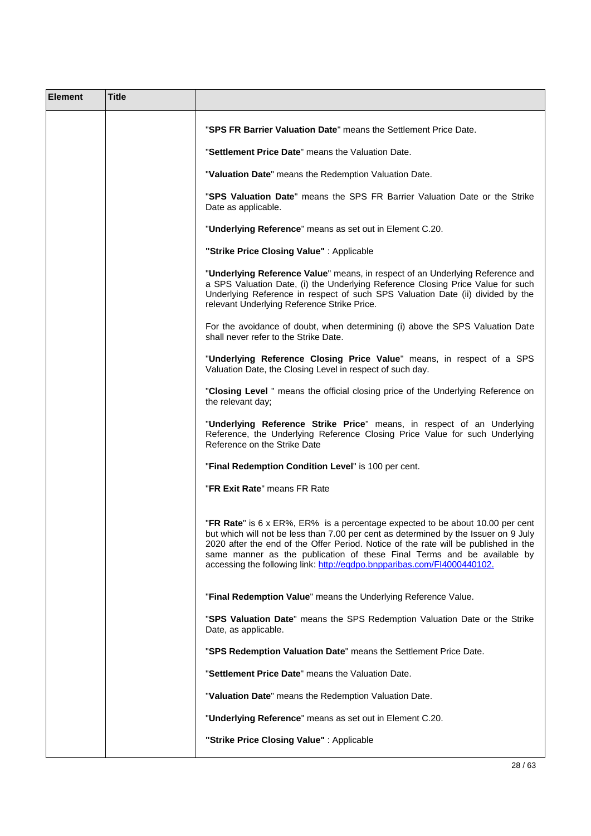| <b>Element</b> | <b>Title</b> |                                                                                                                                                                                                                                                                                                                                                                                                                   |
|----------------|--------------|-------------------------------------------------------------------------------------------------------------------------------------------------------------------------------------------------------------------------------------------------------------------------------------------------------------------------------------------------------------------------------------------------------------------|
|                |              | "SPS FR Barrier Valuation Date" means the Settlement Price Date.                                                                                                                                                                                                                                                                                                                                                  |
|                |              | "Settlement Price Date" means the Valuation Date.                                                                                                                                                                                                                                                                                                                                                                 |
|                |              | "Valuation Date" means the Redemption Valuation Date.                                                                                                                                                                                                                                                                                                                                                             |
|                |              | "SPS Valuation Date" means the SPS FR Barrier Valuation Date or the Strike<br>Date as applicable.                                                                                                                                                                                                                                                                                                                 |
|                |              | "Underlying Reference" means as set out in Element C.20.                                                                                                                                                                                                                                                                                                                                                          |
|                |              | "Strike Price Closing Value": Applicable                                                                                                                                                                                                                                                                                                                                                                          |
|                |              | "Underlying Reference Value" means, in respect of an Underlying Reference and<br>a SPS Valuation Date, (i) the Underlying Reference Closing Price Value for such<br>Underlying Reference in respect of such SPS Valuation Date (ii) divided by the<br>relevant Underlying Reference Strike Price.                                                                                                                 |
|                |              | For the avoidance of doubt, when determining (i) above the SPS Valuation Date<br>shall never refer to the Strike Date.                                                                                                                                                                                                                                                                                            |
|                |              | "Underlying Reference Closing Price Value" means, in respect of a SPS<br>Valuation Date, the Closing Level in respect of such day.                                                                                                                                                                                                                                                                                |
|                |              | "Closing Level " means the official closing price of the Underlying Reference on<br>the relevant day;                                                                                                                                                                                                                                                                                                             |
|                |              | "Underlying Reference Strike Price" means, in respect of an Underlying<br>Reference, the Underlying Reference Closing Price Value for such Underlying<br>Reference on the Strike Date                                                                                                                                                                                                                             |
|                |              | "Final Redemption Condition Level" is 100 per cent.                                                                                                                                                                                                                                                                                                                                                               |
|                |              | "FR Exit Rate" means FR Rate                                                                                                                                                                                                                                                                                                                                                                                      |
|                |              | "FR Rate" is 6 x ER%, ER% is a percentage expected to be about 10.00 per cent<br>but which will not be less than 7.00 per cent as determined by the Issuer on 9 July<br>2020 after the end of the Offer Period. Notice of the rate will be published in the<br>same manner as the publication of these Final Terms and be available by<br>accessing the following link: http://eqdpo.bnpparibas.com/FI4000440102. |
|                |              | "Final Redemption Value" means the Underlying Reference Value.                                                                                                                                                                                                                                                                                                                                                    |
|                |              | "SPS Valuation Date" means the SPS Redemption Valuation Date or the Strike<br>Date, as applicable.                                                                                                                                                                                                                                                                                                                |
|                |              | "SPS Redemption Valuation Date" means the Settlement Price Date.                                                                                                                                                                                                                                                                                                                                                  |
|                |              | "Settlement Price Date" means the Valuation Date.                                                                                                                                                                                                                                                                                                                                                                 |
|                |              | "Valuation Date" means the Redemption Valuation Date.                                                                                                                                                                                                                                                                                                                                                             |
|                |              | "Underlying Reference" means as set out in Element C.20.                                                                                                                                                                                                                                                                                                                                                          |
|                |              | "Strike Price Closing Value" : Applicable                                                                                                                                                                                                                                                                                                                                                                         |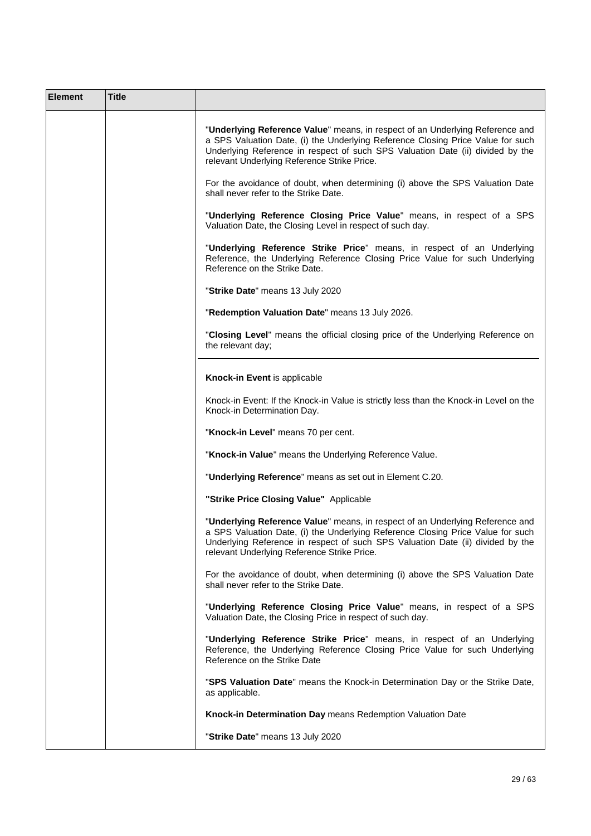| <b>Element</b> | <b>Title</b> |                                                                                                                                                                                                                                                                                                   |
|----------------|--------------|---------------------------------------------------------------------------------------------------------------------------------------------------------------------------------------------------------------------------------------------------------------------------------------------------|
|                |              | "Underlying Reference Value" means, in respect of an Underlying Reference and<br>a SPS Valuation Date, (i) the Underlying Reference Closing Price Value for such<br>Underlying Reference in respect of such SPS Valuation Date (ii) divided by the<br>relevant Underlying Reference Strike Price. |
|                |              | For the avoidance of doubt, when determining (i) above the SPS Valuation Date<br>shall never refer to the Strike Date.                                                                                                                                                                            |
|                |              | "Underlying Reference Closing Price Value" means, in respect of a SPS<br>Valuation Date, the Closing Level in respect of such day.                                                                                                                                                                |
|                |              | "Underlying Reference Strike Price" means, in respect of an Underlying<br>Reference, the Underlying Reference Closing Price Value for such Underlying<br>Reference on the Strike Date.                                                                                                            |
|                |              | "Strike Date" means 13 July 2020                                                                                                                                                                                                                                                                  |
|                |              | "Redemption Valuation Date" means 13 July 2026.                                                                                                                                                                                                                                                   |
|                |              | "Closing Level" means the official closing price of the Underlying Reference on<br>the relevant day;                                                                                                                                                                                              |
|                |              | Knock-in Event is applicable                                                                                                                                                                                                                                                                      |
|                |              | Knock-in Event: If the Knock-in Value is strictly less than the Knock-in Level on the<br>Knock-in Determination Day.                                                                                                                                                                              |
|                |              | "Knock-in Level" means 70 per cent.                                                                                                                                                                                                                                                               |
|                |              | "Knock-in Value" means the Underlying Reference Value.                                                                                                                                                                                                                                            |
|                |              | "Underlying Reference" means as set out in Element C.20.                                                                                                                                                                                                                                          |
|                |              | "Strike Price Closing Value" Applicable                                                                                                                                                                                                                                                           |
|                |              | "Underlying Reference Value" means, in respect of an Underlying Reference and<br>a SPS Valuation Date, (i) the Underlying Reference Closing Price Value for such<br>Underlying Reference in respect of such SPS Valuation Date (ii) divided by the<br>relevant Underlying Reference Strike Price. |
|                |              | For the avoidance of doubt, when determining (i) above the SPS Valuation Date<br>shall never refer to the Strike Date.                                                                                                                                                                            |
|                |              | "Underlying Reference Closing Price Value" means, in respect of a SPS<br>Valuation Date, the Closing Price in respect of such day.                                                                                                                                                                |
|                |              | "Underlying Reference Strike Price" means, in respect of an Underlying<br>Reference, the Underlying Reference Closing Price Value for such Underlying<br>Reference on the Strike Date                                                                                                             |
|                |              | "SPS Valuation Date" means the Knock-in Determination Day or the Strike Date,<br>as applicable.                                                                                                                                                                                                   |
|                |              | Knock-in Determination Day means Redemption Valuation Date                                                                                                                                                                                                                                        |
|                |              | "Strike Date" means 13 July 2020                                                                                                                                                                                                                                                                  |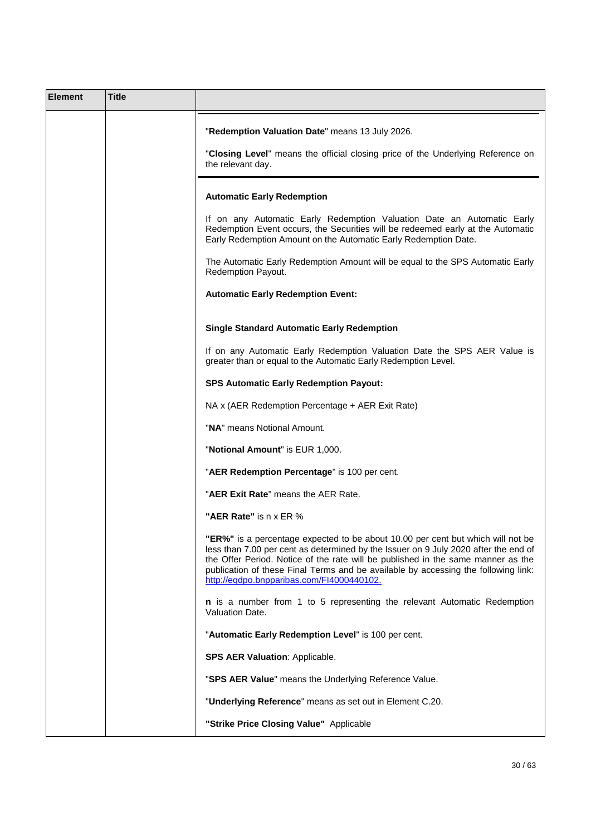| <b>Element</b> | <b>Title</b> |                                                                                                                                                                                                                                                                                                                                                                                               |
|----------------|--------------|-----------------------------------------------------------------------------------------------------------------------------------------------------------------------------------------------------------------------------------------------------------------------------------------------------------------------------------------------------------------------------------------------|
|                |              | "Redemption Valuation Date" means 13 July 2026.                                                                                                                                                                                                                                                                                                                                               |
|                |              | "Closing Level" means the official closing price of the Underlying Reference on<br>the relevant day.                                                                                                                                                                                                                                                                                          |
|                |              | <b>Automatic Early Redemption</b>                                                                                                                                                                                                                                                                                                                                                             |
|                |              | If on any Automatic Early Redemption Valuation Date an Automatic Early<br>Redemption Event occurs, the Securities will be redeemed early at the Automatic<br>Early Redemption Amount on the Automatic Early Redemption Date.                                                                                                                                                                  |
|                |              | The Automatic Early Redemption Amount will be equal to the SPS Automatic Early<br>Redemption Payout.                                                                                                                                                                                                                                                                                          |
|                |              | <b>Automatic Early Redemption Event:</b>                                                                                                                                                                                                                                                                                                                                                      |
|                |              | <b>Single Standard Automatic Early Redemption</b>                                                                                                                                                                                                                                                                                                                                             |
|                |              | If on any Automatic Early Redemption Valuation Date the SPS AER Value is<br>greater than or equal to the Automatic Early Redemption Level.                                                                                                                                                                                                                                                    |
|                |              | <b>SPS Automatic Early Redemption Payout:</b>                                                                                                                                                                                                                                                                                                                                                 |
|                |              | NA x (AER Redemption Percentage + AER Exit Rate)                                                                                                                                                                                                                                                                                                                                              |
|                |              | "NA" means Notional Amount.                                                                                                                                                                                                                                                                                                                                                                   |
|                |              | "Notional Amount" is EUR 1,000.                                                                                                                                                                                                                                                                                                                                                               |
|                |              | "AER Redemption Percentage" is 100 per cent.                                                                                                                                                                                                                                                                                                                                                  |
|                |              | "AER Exit Rate" means the AER Rate.                                                                                                                                                                                                                                                                                                                                                           |
|                |              | "AER Rate" is n x ER $\%$                                                                                                                                                                                                                                                                                                                                                                     |
|                |              | "ER%" is a percentage expected to be about 10.00 per cent but which will not be<br>less than 7.00 per cent as determined by the Issuer on 9 July 2020 after the end of<br>the Offer Period. Notice of the rate will be published in the same manner as the<br>publication of these Final Terms and be available by accessing the following link:<br>http://eqdpo.bnpparibas.com/FI4000440102. |
|                |              | n is a number from 1 to 5 representing the relevant Automatic Redemption<br>Valuation Date.                                                                                                                                                                                                                                                                                                   |
|                |              | "Automatic Early Redemption Level" is 100 per cent.                                                                                                                                                                                                                                                                                                                                           |
|                |              | <b>SPS AER Valuation: Applicable.</b>                                                                                                                                                                                                                                                                                                                                                         |
|                |              | "SPS AER Value" means the Underlying Reference Value.                                                                                                                                                                                                                                                                                                                                         |
|                |              | "Underlying Reference" means as set out in Element C.20.                                                                                                                                                                                                                                                                                                                                      |
|                |              | "Strike Price Closing Value" Applicable                                                                                                                                                                                                                                                                                                                                                       |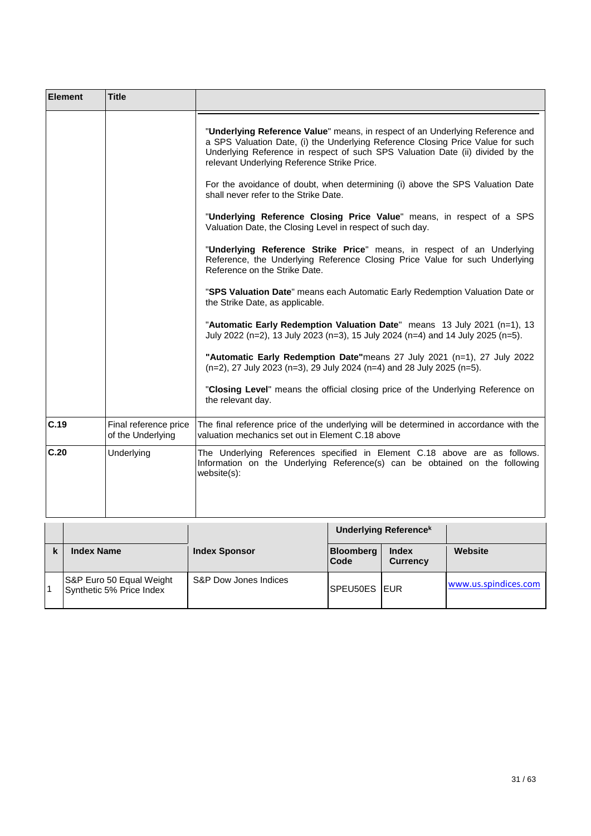| <b>Element</b> | <b>Title</b>                               |                                                                                                                                                                                                                                                                                                   |
|----------------|--------------------------------------------|---------------------------------------------------------------------------------------------------------------------------------------------------------------------------------------------------------------------------------------------------------------------------------------------------|
|                |                                            | "Underlying Reference Value" means, in respect of an Underlying Reference and<br>a SPS Valuation Date, (i) the Underlying Reference Closing Price Value for such<br>Underlying Reference in respect of such SPS Valuation Date (ii) divided by the<br>relevant Underlying Reference Strike Price. |
|                |                                            | For the avoidance of doubt, when determining (i) above the SPS Valuation Date<br>shall never refer to the Strike Date.                                                                                                                                                                            |
|                |                                            | "Underlying Reference Closing Price Value" means, in respect of a SPS<br>Valuation Date, the Closing Level in respect of such day.                                                                                                                                                                |
|                |                                            | "Underlying Reference Strike Price" means, in respect of an Underlying<br>Reference, the Underlying Reference Closing Price Value for such Underlying<br>Reference on the Strike Date.                                                                                                            |
|                |                                            | "SPS Valuation Date" means each Automatic Early Redemption Valuation Date or<br>the Strike Date, as applicable.                                                                                                                                                                                   |
|                |                                            | "Automatic Early Redemption Valuation Date" means 13 July 2021 (n=1), 13<br>July 2022 (n=2), 13 July 2023 (n=3), 15 July 2024 (n=4) and 14 July 2025 (n=5).                                                                                                                                       |
|                |                                            | "Automatic Early Redemption Date"means 27 July 2021 (n=1), 27 July 2022<br>(n=2), 27 July 2023 (n=3), 29 July 2024 (n=4) and 28 July 2025 (n=5).                                                                                                                                                  |
|                |                                            | "Closing Level" means the official closing price of the Underlying Reference on<br>the relevant day.                                                                                                                                                                                              |
| C.19           | Final reference price<br>of the Underlying | The final reference price of the underlying will be determined in accordance with the<br>valuation mechanics set out in Element C.18 above                                                                                                                                                        |
| C.20           | Underlying                                 | The Underlying References specified in Element C.18 above are as follows.<br>Information on the Underlying Reference(s) can be obtained on the following<br>website(s):                                                                                                                           |
|                |                                            | <b>Underlying Referencek</b>                                                                                                                                                                                                                                                                      |

|                                                      |                       |                          | <b>Underlying Referencek</b> |                      |
|------------------------------------------------------|-----------------------|--------------------------|------------------------------|----------------------|
| <b>Index Name</b>                                    | <b>Index Sponsor</b>  | <b>Bloomberg</b><br>Code | Index<br><b>Currency</b>     | Website              |
| S&P Euro 50 Equal Weight<br>Synthetic 5% Price Index | S&P Dow Jones Indices | <b>SPEU50ES IEUR</b>     |                              | www.us.spindices.com |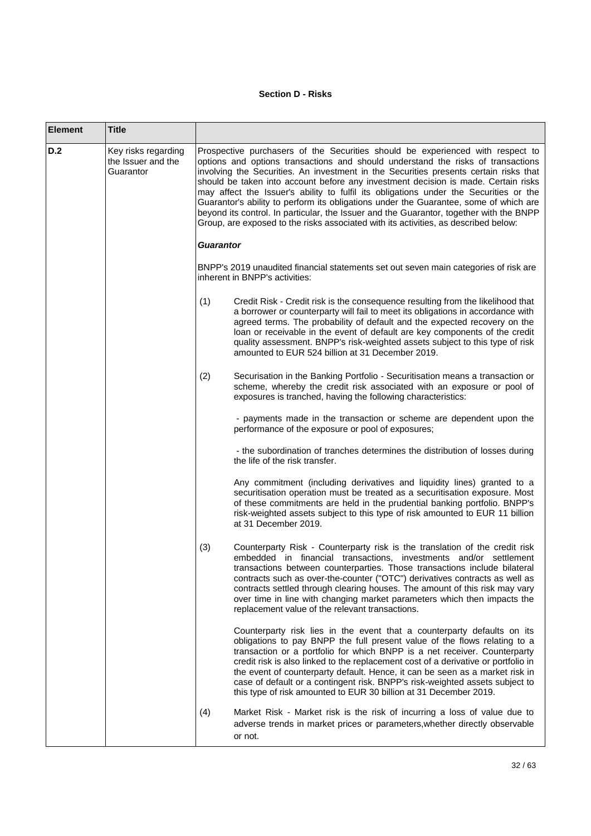# **Section D - Risks**

| <b>Element</b> | <b>Title</b>                                           |                  |                                                                                                                                                                                                                                                                                                                                                                                                                                                                                                                                                                                                                                                                                                                       |
|----------------|--------------------------------------------------------|------------------|-----------------------------------------------------------------------------------------------------------------------------------------------------------------------------------------------------------------------------------------------------------------------------------------------------------------------------------------------------------------------------------------------------------------------------------------------------------------------------------------------------------------------------------------------------------------------------------------------------------------------------------------------------------------------------------------------------------------------|
| D.2            | Key risks regarding<br>the Issuer and the<br>Guarantor |                  | Prospective purchasers of the Securities should be experienced with respect to<br>options and options transactions and should understand the risks of transactions<br>involving the Securities. An investment in the Securities presents certain risks that<br>should be taken into account before any investment decision is made. Certain risks<br>may affect the Issuer's ability to fulfil its obligations under the Securities or the<br>Guarantor's ability to perform its obligations under the Guarantee, some of which are<br>beyond its control. In particular, the Issuer and the Guarantor, together with the BNPP<br>Group, are exposed to the risks associated with its activities, as described below: |
|                |                                                        | <b>Guarantor</b> |                                                                                                                                                                                                                                                                                                                                                                                                                                                                                                                                                                                                                                                                                                                       |
|                |                                                        |                  | BNPP's 2019 unaudited financial statements set out seven main categories of risk are<br>inherent in BNPP's activities:                                                                                                                                                                                                                                                                                                                                                                                                                                                                                                                                                                                                |
|                |                                                        | (1)              | Credit Risk - Credit risk is the consequence resulting from the likelihood that<br>a borrower or counterparty will fail to meet its obligations in accordance with<br>agreed terms. The probability of default and the expected recovery on the<br>loan or receivable in the event of default are key components of the credit<br>quality assessment. BNPP's risk-weighted assets subject to this type of risk<br>amounted to EUR 524 billion at 31 December 2019.                                                                                                                                                                                                                                                    |
|                |                                                        | (2)              | Securisation in the Banking Portfolio - Securitisation means a transaction or<br>scheme, whereby the credit risk associated with an exposure or pool of<br>exposures is tranched, having the following characteristics:                                                                                                                                                                                                                                                                                                                                                                                                                                                                                               |
|                |                                                        |                  | - payments made in the transaction or scheme are dependent upon the<br>performance of the exposure or pool of exposures;                                                                                                                                                                                                                                                                                                                                                                                                                                                                                                                                                                                              |
|                |                                                        |                  | - the subordination of tranches determines the distribution of losses during<br>the life of the risk transfer.                                                                                                                                                                                                                                                                                                                                                                                                                                                                                                                                                                                                        |
|                |                                                        |                  | Any commitment (including derivatives and liquidity lines) granted to a<br>securitisation operation must be treated as a securitisation exposure. Most<br>of these commitments are held in the prudential banking portfolio. BNPP's<br>risk-weighted assets subject to this type of risk amounted to EUR 11 billion<br>at 31 December 2019.                                                                                                                                                                                                                                                                                                                                                                           |
|                |                                                        | (3)              | Counterparty Risk - Counterparty risk is the translation of the credit risk<br>embedded in financial transactions, investments and/or settlement<br>transactions between counterparties. Those transactions include bilateral<br>contracts such as over-the-counter ("OTC") derivatives contracts as well as<br>contracts settled through clearing houses. The amount of this risk may vary<br>over time in line with changing market parameters which then impacts the<br>replacement value of the relevant transactions.                                                                                                                                                                                            |
|                |                                                        |                  | Counterparty risk lies in the event that a counterparty defaults on its<br>obligations to pay BNPP the full present value of the flows relating to a<br>transaction or a portfolio for which BNPP is a net receiver. Counterparty<br>credit risk is also linked to the replacement cost of a derivative or portfolio in<br>the event of counterparty default. Hence, it can be seen as a market risk in<br>case of default or a contingent risk. BNPP's risk-weighted assets subject to<br>this type of risk amounted to EUR 30 billion at 31 December 2019.                                                                                                                                                          |
|                |                                                        | (4)              | Market Risk - Market risk is the risk of incurring a loss of value due to<br>adverse trends in market prices or parameters, whether directly observable<br>or not.                                                                                                                                                                                                                                                                                                                                                                                                                                                                                                                                                    |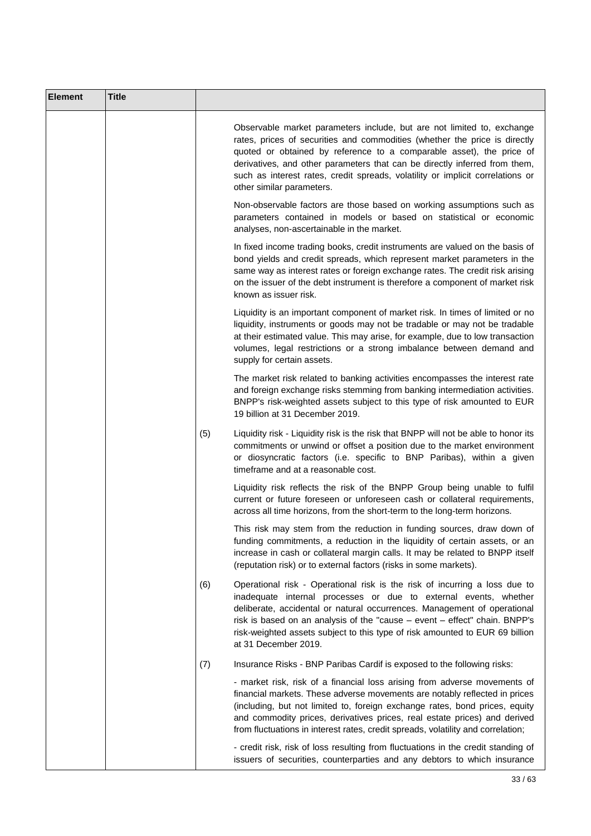| <b>Element</b> | <b>Title</b> |     |                                                                                                                                                                                                                                                                                                                                                                                                                           |
|----------------|--------------|-----|---------------------------------------------------------------------------------------------------------------------------------------------------------------------------------------------------------------------------------------------------------------------------------------------------------------------------------------------------------------------------------------------------------------------------|
|                |              |     | Observable market parameters include, but are not limited to, exchange<br>rates, prices of securities and commodities (whether the price is directly<br>quoted or obtained by reference to a comparable asset), the price of<br>derivatives, and other parameters that can be directly inferred from them,<br>such as interest rates, credit spreads, volatility or implicit correlations or<br>other similar parameters. |
|                |              |     | Non-observable factors are those based on working assumptions such as<br>parameters contained in models or based on statistical or economic<br>analyses, non-ascertainable in the market.                                                                                                                                                                                                                                 |
|                |              |     | In fixed income trading books, credit instruments are valued on the basis of<br>bond yields and credit spreads, which represent market parameters in the<br>same way as interest rates or foreign exchange rates. The credit risk arising<br>on the issuer of the debt instrument is therefore a component of market risk<br>known as issuer risk.                                                                        |
|                |              |     | Liquidity is an important component of market risk. In times of limited or no<br>liquidity, instruments or goods may not be tradable or may not be tradable<br>at their estimated value. This may arise, for example, due to low transaction<br>volumes, legal restrictions or a strong imbalance between demand and<br>supply for certain assets.                                                                        |
|                |              |     | The market risk related to banking activities encompasses the interest rate<br>and foreign exchange risks stemming from banking intermediation activities.<br>BNPP's risk-weighted assets subject to this type of risk amounted to EUR<br>19 billion at 31 December 2019.                                                                                                                                                 |
|                |              | (5) | Liquidity risk - Liquidity risk is the risk that BNPP will not be able to honor its<br>commitments or unwind or offset a position due to the market environment<br>or diosyncratic factors (i.e. specific to BNP Paribas), within a given<br>timeframe and at a reasonable cost.                                                                                                                                          |
|                |              |     | Liquidity risk reflects the risk of the BNPP Group being unable to fulfil<br>current or future foreseen or unforeseen cash or collateral requirements,<br>across all time horizons, from the short-term to the long-term horizons.                                                                                                                                                                                        |
|                |              |     | This risk may stem from the reduction in funding sources, draw down of<br>funding commitments, a reduction in the liquidity of certain assets, or an<br>increase in cash or collateral margin calls. It may be related to BNPP itself<br>(reputation risk) or to external factors (risks in some markets).                                                                                                                |
|                |              | (6) | Operational risk - Operational risk is the risk of incurring a loss due to<br>inadequate internal processes or due to external events, whether<br>deliberate, accidental or natural occurrences. Management of operational<br>risk is based on an analysis of the "cause - event - effect" chain. BNPP's<br>risk-weighted assets subject to this type of risk amounted to EUR 69 billion<br>at 31 December 2019.          |
|                |              | (7) | Insurance Risks - BNP Paribas Cardif is exposed to the following risks:                                                                                                                                                                                                                                                                                                                                                   |
|                |              |     | - market risk, risk of a financial loss arising from adverse movements of<br>financial markets. These adverse movements are notably reflected in prices<br>(including, but not limited to, foreign exchange rates, bond prices, equity<br>and commodity prices, derivatives prices, real estate prices) and derived<br>from fluctuations in interest rates, credit spreads, volatility and correlation;                   |
|                |              |     | - credit risk, risk of loss resulting from fluctuations in the credit standing of<br>issuers of securities, counterparties and any debtors to which insurance                                                                                                                                                                                                                                                             |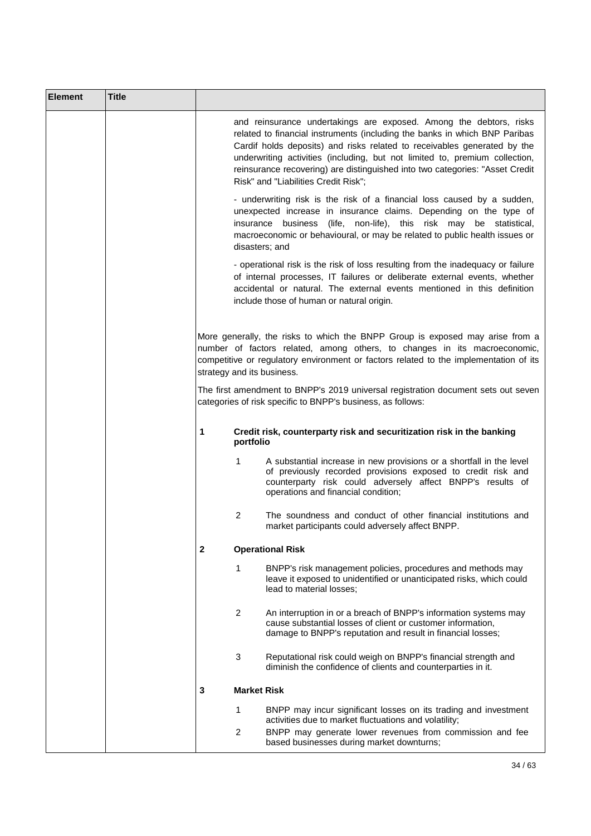| <b>Element</b> | <b>Title</b> |                                                                                                                                                                                                                                                                                                                                                                                                                                     |
|----------------|--------------|-------------------------------------------------------------------------------------------------------------------------------------------------------------------------------------------------------------------------------------------------------------------------------------------------------------------------------------------------------------------------------------------------------------------------------------|
|                |              | and reinsurance undertakings are exposed. Among the debtors, risks<br>related to financial instruments (including the banks in which BNP Paribas<br>Cardif holds deposits) and risks related to receivables generated by the<br>underwriting activities (including, but not limited to, premium collection,<br>reinsurance recovering) are distinguished into two categories: "Asset Credit<br>Risk" and "Liabilities Credit Risk"; |
|                |              | - underwriting risk is the risk of a financial loss caused by a sudden,<br>unexpected increase in insurance claims. Depending on the type of<br>insurance business (life, non-life), this risk may be statistical,<br>macroeconomic or behavioural, or may be related to public health issues or<br>disasters; and                                                                                                                  |
|                |              | - operational risk is the risk of loss resulting from the inadequacy or failure<br>of internal processes, IT failures or deliberate external events, whether<br>accidental or natural. The external events mentioned in this definition<br>include those of human or natural origin.                                                                                                                                                |
|                |              | More generally, the risks to which the BNPP Group is exposed may arise from a<br>number of factors related, among others, to changes in its macroeconomic,<br>competitive or regulatory environment or factors related to the implementation of its<br>strategy and its business.                                                                                                                                                   |
|                |              | The first amendment to BNPP's 2019 universal registration document sets out seven<br>categories of risk specific to BNPP's business, as follows:                                                                                                                                                                                                                                                                                    |
|                |              | Credit risk, counterparty risk and securitization risk in the banking<br>1<br>portfolio                                                                                                                                                                                                                                                                                                                                             |
|                |              | $\mathbf{1}$<br>A substantial increase in new provisions or a shortfall in the level<br>of previously recorded provisions exposed to credit risk and<br>counterparty risk could adversely affect BNPP's results of<br>operations and financial condition;                                                                                                                                                                           |
|                |              | 2<br>The soundness and conduct of other financial institutions and<br>market participants could adversely affect BNPP.                                                                                                                                                                                                                                                                                                              |
|                |              | <b>Operational Risk</b><br>2                                                                                                                                                                                                                                                                                                                                                                                                        |
|                |              | 1<br>BNPP's risk management policies, procedures and methods may<br>leave it exposed to unidentified or unanticipated risks, which could<br>lead to material losses;                                                                                                                                                                                                                                                                |
|                |              | 2<br>An interruption in or a breach of BNPP's information systems may<br>cause substantial losses of client or customer information,<br>damage to BNPP's reputation and result in financial losses;                                                                                                                                                                                                                                 |
|                |              | 3<br>Reputational risk could weigh on BNPP's financial strength and<br>diminish the confidence of clients and counterparties in it.                                                                                                                                                                                                                                                                                                 |
|                |              | <b>Market Risk</b><br>3                                                                                                                                                                                                                                                                                                                                                                                                             |
|                |              | 1<br>BNPP may incur significant losses on its trading and investment<br>activities due to market fluctuations and volatility;<br>2<br>BNPP may generate lower revenues from commission and fee<br>based businesses during market downturns;                                                                                                                                                                                         |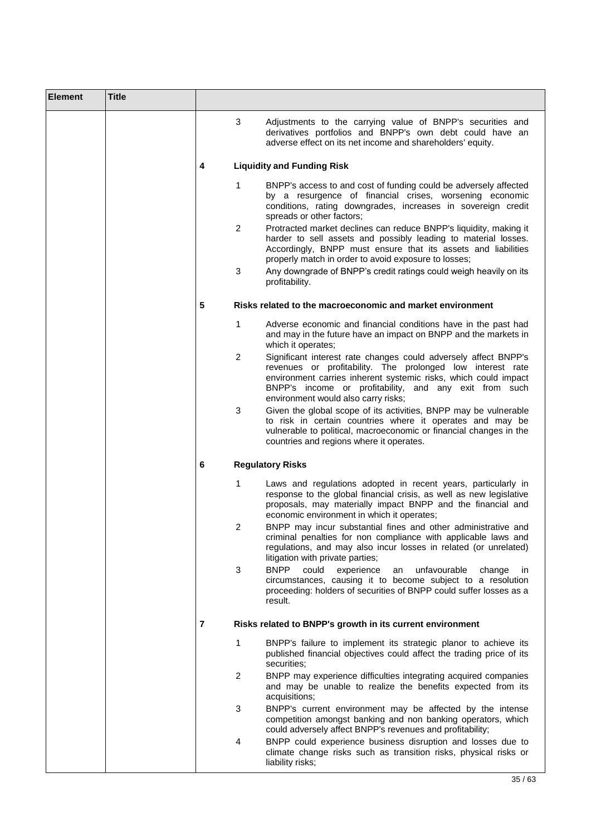| <b>Element</b> | <b>Title</b> |                |                                                                                                                                                                                                                                                                                                   |
|----------------|--------------|----------------|---------------------------------------------------------------------------------------------------------------------------------------------------------------------------------------------------------------------------------------------------------------------------------------------------|
|                |              | 3              | Adjustments to the carrying value of BNPP's securities and<br>derivatives portfolios and BNPP's own debt could have an<br>adverse effect on its net income and shareholders' equity.                                                                                                              |
|                |              | 4              | <b>Liquidity and Funding Risk</b>                                                                                                                                                                                                                                                                 |
|                |              | 1              | BNPP's access to and cost of funding could be adversely affected<br>by a resurgence of financial crises, worsening economic<br>conditions, rating downgrades, increases in sovereign credit<br>spreads or other factors;                                                                          |
|                |              | $\overline{2}$ | Protracted market declines can reduce BNPP's liquidity, making it<br>harder to sell assets and possibly leading to material losses.<br>Accordingly, BNPP must ensure that its assets and liabilities<br>properly match in order to avoid exposure to losses;                                      |
|                |              | 3              | Any downgrade of BNPP's credit ratings could weigh heavily on its<br>profitability.                                                                                                                                                                                                               |
|                |              | 5              | Risks related to the macroeconomic and market environment                                                                                                                                                                                                                                         |
|                |              | 1              | Adverse economic and financial conditions have in the past had<br>and may in the future have an impact on BNPP and the markets in<br>which it operates;                                                                                                                                           |
|                |              | 2              | Significant interest rate changes could adversely affect BNPP's<br>revenues or profitability. The prolonged low interest rate<br>environment carries inherent systemic risks, which could impact<br>BNPP's income or profitability, and any exit from such<br>environment would also carry risks; |
|                |              | 3              | Given the global scope of its activities, BNPP may be vulnerable<br>to risk in certain countries where it operates and may be<br>vulnerable to political, macroeconomic or financial changes in the<br>countries and regions where it operates.                                                   |
|                |              | 6              | <b>Regulatory Risks</b>                                                                                                                                                                                                                                                                           |
|                |              | 1              | Laws and regulations adopted in recent years, particularly in<br>response to the global financial crisis, as well as new legislative<br>proposals, may materially impact BNPP and the financial and<br>economic environment in which it operates;                                                 |
|                |              | 2              | BNPP may incur substantial fines and other administrative and<br>criminal penalties for non compliance with applicable laws and<br>regulations, and may also incur losses in related (or unrelated)<br>litigation with private parties;                                                           |
|                |              | 3              | <b>BNPP</b><br>could<br>unfavourable<br>experience<br>change<br>an<br>ın<br>circumstances, causing it to become subject to a resolution<br>proceeding: holders of securities of BNPP could suffer losses as a<br>result.                                                                          |
|                |              | $\overline{7}$ | Risks related to BNPP's growth in its current environment                                                                                                                                                                                                                                         |
|                |              | 1              | BNPP's failure to implement its strategic planor to achieve its<br>published financial objectives could affect the trading price of its<br>securities;                                                                                                                                            |
|                |              | $\overline{2}$ | BNPP may experience difficulties integrating acquired companies<br>and may be unable to realize the benefits expected from its<br>acquisitions;                                                                                                                                                   |
|                |              | 3              | BNPP's current environment may be affected by the intense<br>competition amongst banking and non banking operators, which<br>could adversely affect BNPP's revenues and profitability;                                                                                                            |
|                |              | 4              | BNPP could experience business disruption and losses due to<br>climate change risks such as transition risks, physical risks or<br>liability risks;                                                                                                                                               |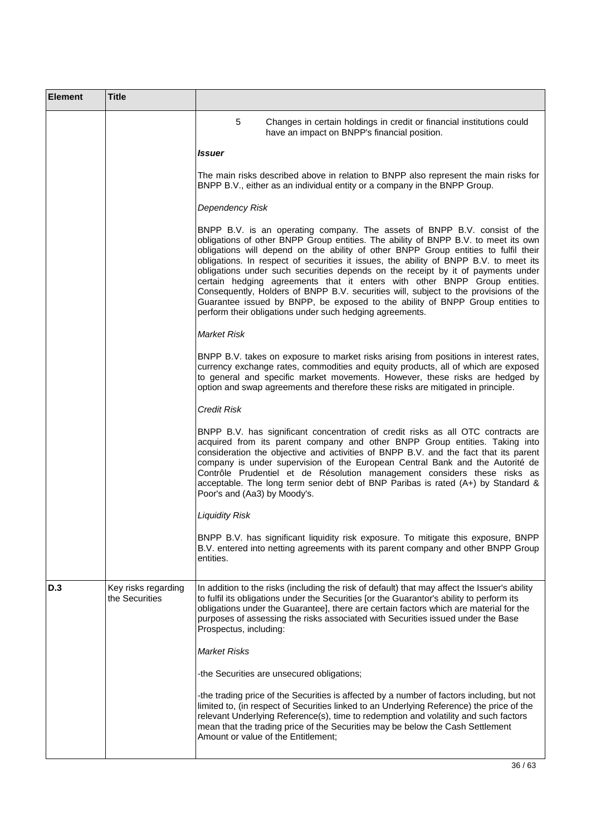| <b>Element</b> | <b>Title</b>                          |                                                                                                                                                                                                                                                                                                                                                                                                                                                                                                                                                                                                                                                                                                                                                       |
|----------------|---------------------------------------|-------------------------------------------------------------------------------------------------------------------------------------------------------------------------------------------------------------------------------------------------------------------------------------------------------------------------------------------------------------------------------------------------------------------------------------------------------------------------------------------------------------------------------------------------------------------------------------------------------------------------------------------------------------------------------------------------------------------------------------------------------|
|                |                                       | 5<br>Changes in certain holdings in credit or financial institutions could<br>have an impact on BNPP's financial position.                                                                                                                                                                                                                                                                                                                                                                                                                                                                                                                                                                                                                            |
|                |                                       | Issuer                                                                                                                                                                                                                                                                                                                                                                                                                                                                                                                                                                                                                                                                                                                                                |
|                |                                       | The main risks described above in relation to BNPP also represent the main risks for<br>BNPP B.V., either as an individual entity or a company in the BNPP Group.                                                                                                                                                                                                                                                                                                                                                                                                                                                                                                                                                                                     |
|                |                                       | <b>Dependency Risk</b>                                                                                                                                                                                                                                                                                                                                                                                                                                                                                                                                                                                                                                                                                                                                |
|                |                                       | BNPP B.V. is an operating company. The assets of BNPP B.V. consist of the<br>obligations of other BNPP Group entities. The ability of BNPP B.V. to meet its own<br>obligations will depend on the ability of other BNPP Group entities to fulfil their<br>obligations. In respect of securities it issues, the ability of BNPP B.V. to meet its<br>obligations under such securities depends on the receipt by it of payments under<br>certain hedging agreements that it enters with other BNPP Group entities.<br>Consequently, Holders of BNPP B.V. securities will, subject to the provisions of the<br>Guarantee issued by BNPP, be exposed to the ability of BNPP Group entities to<br>perform their obligations under such hedging agreements. |
|                |                                       | Market Risk                                                                                                                                                                                                                                                                                                                                                                                                                                                                                                                                                                                                                                                                                                                                           |
|                |                                       | BNPP B.V. takes on exposure to market risks arising from positions in interest rates,<br>currency exchange rates, commodities and equity products, all of which are exposed<br>to general and specific market movements. However, these risks are hedged by<br>option and swap agreements and therefore these risks are mitigated in principle.                                                                                                                                                                                                                                                                                                                                                                                                       |
|                |                                       | <b>Credit Risk</b>                                                                                                                                                                                                                                                                                                                                                                                                                                                                                                                                                                                                                                                                                                                                    |
|                |                                       | BNPP B.V. has significant concentration of credit risks as all OTC contracts are<br>acquired from its parent company and other BNPP Group entities. Taking into<br>consideration the objective and activities of BNPP B.V. and the fact that its parent<br>company is under supervision of the European Central Bank and the Autorité de<br>Contrôle Prudentiel et de Résolution management considers these risks as<br>acceptable. The long term senior debt of BNP Paribas is rated (A+) by Standard &<br>Poor's and (Aa3) by Moody's.                                                                                                                                                                                                              |
|                |                                       | <b>Liquidity Risk</b>                                                                                                                                                                                                                                                                                                                                                                                                                                                                                                                                                                                                                                                                                                                                 |
|                |                                       | BNPP B.V. has significant liquidity risk exposure. To mitigate this exposure, BNPP<br>B.V. entered into netting agreements with its parent company and other BNPP Group<br>entities.                                                                                                                                                                                                                                                                                                                                                                                                                                                                                                                                                                  |
| D.3            | Key risks regarding<br>the Securities | In addition to the risks (including the risk of default) that may affect the Issuer's ability<br>to fulfil its obligations under the Securities [or the Guarantor's ability to perform its<br>obligations under the Guarantee], there are certain factors which are material for the<br>purposes of assessing the risks associated with Securities issued under the Base<br>Prospectus, including:                                                                                                                                                                                                                                                                                                                                                    |
|                |                                       | <b>Market Risks</b>                                                                                                                                                                                                                                                                                                                                                                                                                                                                                                                                                                                                                                                                                                                                   |
|                |                                       | -the Securities are unsecured obligations;                                                                                                                                                                                                                                                                                                                                                                                                                                                                                                                                                                                                                                                                                                            |
|                |                                       | -the trading price of the Securities is affected by a number of factors including, but not<br>limited to, (in respect of Securities linked to an Underlying Reference) the price of the<br>relevant Underlying Reference(s), time to redemption and volatility and such factors<br>mean that the trading price of the Securities may be below the Cash Settlement<br>Amount or value of the Entitlement;                                                                                                                                                                                                                                                                                                                                              |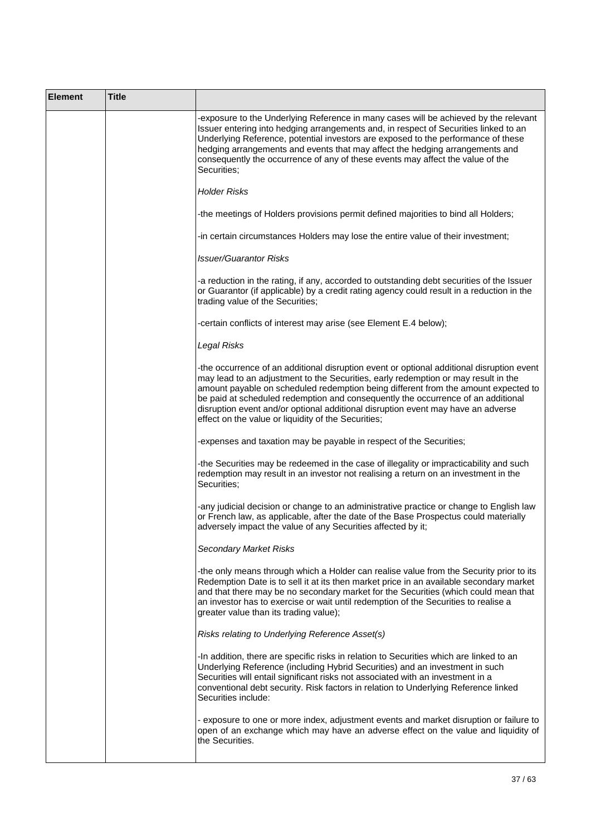| <b>Element</b> | <b>Title</b> |                                                                                                                                                                                                                                                                                                                                                                                                                                                                                                      |
|----------------|--------------|------------------------------------------------------------------------------------------------------------------------------------------------------------------------------------------------------------------------------------------------------------------------------------------------------------------------------------------------------------------------------------------------------------------------------------------------------------------------------------------------------|
|                |              | -exposure to the Underlying Reference in many cases will be achieved by the relevant<br>Issuer entering into hedging arrangements and, in respect of Securities linked to an<br>Underlying Reference, potential investors are exposed to the performance of these<br>hedging arrangements and events that may affect the hedging arrangements and<br>consequently the occurrence of any of these events may affect the value of the<br>Securities;                                                   |
|                |              | <b>Holder Risks</b>                                                                                                                                                                                                                                                                                                                                                                                                                                                                                  |
|                |              | -the meetings of Holders provisions permit defined majorities to bind all Holders;                                                                                                                                                                                                                                                                                                                                                                                                                   |
|                |              | -in certain circumstances Holders may lose the entire value of their investment;                                                                                                                                                                                                                                                                                                                                                                                                                     |
|                |              | <b>Issuer/Guarantor Risks</b>                                                                                                                                                                                                                                                                                                                                                                                                                                                                        |
|                |              | -a reduction in the rating, if any, accorded to outstanding debt securities of the Issuer<br>or Guarantor (if applicable) by a credit rating agency could result in a reduction in the<br>trading value of the Securities;                                                                                                                                                                                                                                                                           |
|                |              | -certain conflicts of interest may arise (see Element E.4 below);                                                                                                                                                                                                                                                                                                                                                                                                                                    |
|                |              | Legal Risks                                                                                                                                                                                                                                                                                                                                                                                                                                                                                          |
|                |              | -the occurrence of an additional disruption event or optional additional disruption event<br>may lead to an adjustment to the Securities, early redemption or may result in the<br>amount payable on scheduled redemption being different from the amount expected to<br>be paid at scheduled redemption and consequently the occurrence of an additional<br>disruption event and/or optional additional disruption event may have an adverse<br>effect on the value or liquidity of the Securities; |
|                |              | expenses and taxation may be payable in respect of the Securities;                                                                                                                                                                                                                                                                                                                                                                                                                                   |
|                |              | -the Securities may be redeemed in the case of illegality or impracticability and such<br>redemption may result in an investor not realising a return on an investment in the<br>Securities;                                                                                                                                                                                                                                                                                                         |
|                |              | -any judicial decision or change to an administrative practice or change to English law<br>or French law, as applicable, after the date of the Base Prospectus could materially<br>adversely impact the value of any Securities affected by it;                                                                                                                                                                                                                                                      |
|                |              | <b>Secondary Market Risks</b>                                                                                                                                                                                                                                                                                                                                                                                                                                                                        |
|                |              | -the only means through which a Holder can realise value from the Security prior to its<br>Redemption Date is to sell it at its then market price in an available secondary market<br>and that there may be no secondary market for the Securities (which could mean that<br>an investor has to exercise or wait until redemption of the Securities to realise a<br>greater value than its trading value);                                                                                           |
|                |              | Risks relating to Underlying Reference Asset(s)                                                                                                                                                                                                                                                                                                                                                                                                                                                      |
|                |              | -In addition, there are specific risks in relation to Securities which are linked to an<br>Underlying Reference (including Hybrid Securities) and an investment in such<br>Securities will entail significant risks not associated with an investment in a<br>conventional debt security. Risk factors in relation to Underlying Reference linked<br>Securities include:                                                                                                                             |
|                |              | - exposure to one or more index, adjustment events and market disruption or failure to<br>open of an exchange which may have an adverse effect on the value and liquidity of<br>the Securities.                                                                                                                                                                                                                                                                                                      |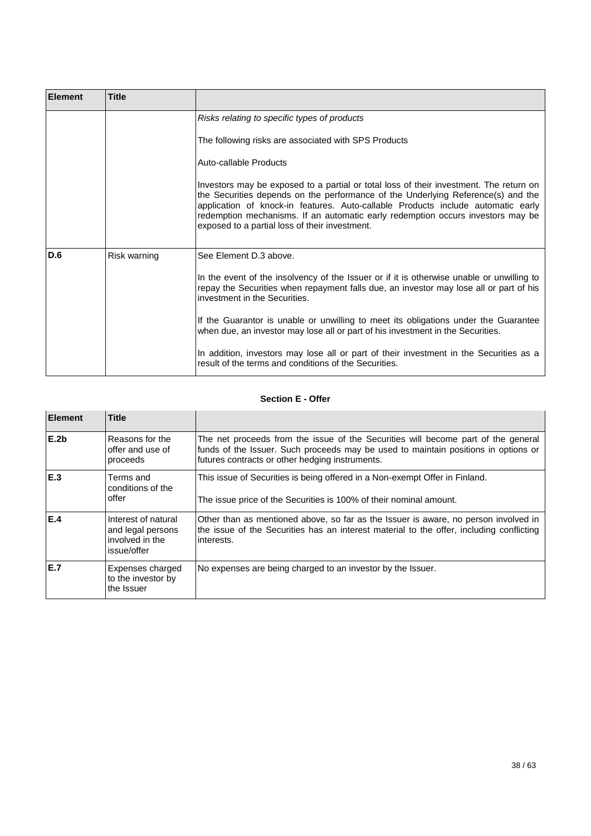| <b>Element</b> | <b>Title</b> |                                                                                                                                                                                                                                                                                                                                                                                                     |
|----------------|--------------|-----------------------------------------------------------------------------------------------------------------------------------------------------------------------------------------------------------------------------------------------------------------------------------------------------------------------------------------------------------------------------------------------------|
|                |              | Risks relating to specific types of products                                                                                                                                                                                                                                                                                                                                                        |
|                |              | The following risks are associated with SPS Products                                                                                                                                                                                                                                                                                                                                                |
|                |              | Auto-callable Products                                                                                                                                                                                                                                                                                                                                                                              |
|                |              | Investors may be exposed to a partial or total loss of their investment. The return on<br>the Securities depends on the performance of the Underlying Reference(s) and the<br>application of knock-in features. Auto-callable Products include automatic early<br>redemption mechanisms. If an automatic early redemption occurs investors may be<br>exposed to a partial loss of their investment. |
| D.6            | Risk warning | See Element D.3 above.                                                                                                                                                                                                                                                                                                                                                                              |
|                |              | In the event of the insolvency of the Issuer or if it is otherwise unable or unwilling to<br>repay the Securities when repayment falls due, an investor may lose all or part of his<br>investment in the Securities.                                                                                                                                                                                |
|                |              | If the Guarantor is unable or unwilling to meet its obligations under the Guarantee<br>when due, an investor may lose all or part of his investment in the Securities.                                                                                                                                                                                                                              |
|                |              | In addition, investors may lose all or part of their investment in the Securities as a<br>result of the terms and conditions of the Securities.                                                                                                                                                                                                                                                     |

# **Section E - Offer**

| <b>Element</b>   | <b>Title</b>                                                               |                                                                                                                                                                                                                            |
|------------------|----------------------------------------------------------------------------|----------------------------------------------------------------------------------------------------------------------------------------------------------------------------------------------------------------------------|
| E.2 <sub>b</sub> | Reasons for the<br>offer and use of<br>proceeds                            | The net proceeds from the issue of the Securities will become part of the general<br>funds of the Issuer. Such proceeds may be used to maintain positions in options or<br>futures contracts or other hedging instruments. |
| E.3              | Terms and<br>conditions of the<br>offer                                    | This issue of Securities is being offered in a Non-exempt Offer in Finland.<br>The issue price of the Securities is 100% of their nominal amount.                                                                          |
| IE.4             | Interest of natural<br>and legal persons<br>involved in the<br>issue/offer | Other than as mentioned above, so far as the Issuer is aware, no person involved in<br>the issue of the Securities has an interest material to the offer, including conflicting<br>interests.                              |
| IE.7             | Expenses charged<br>to the investor by<br>the Issuer                       | No expenses are being charged to an investor by the Issuer.                                                                                                                                                                |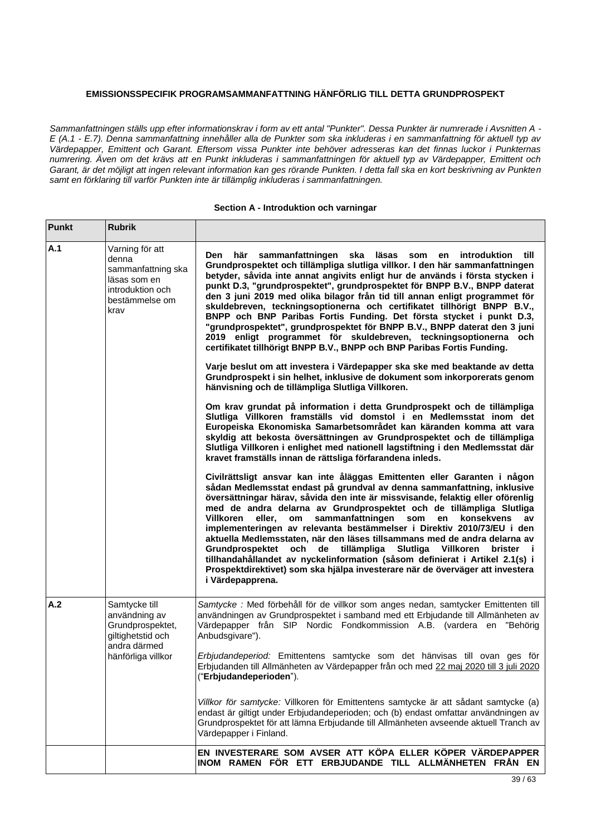# **EMISSIONSSPECIFIK PROGRAMSAMMANFATTNING HÄNFÖRLIG TILL DETTA GRUNDPROSPEKT**

*Sammanfattningen ställs upp efter informationskrav i form av ett antal "Punkter". Dessa Punkter är numrerade i Avsnitten A - E (A.1 - E.7). Denna sammanfattning innehåller alla de Punkter som ska inkluderas i en sammanfattning för aktuell typ av Värdepapper, Emittent och Garant. Eftersom vissa Punkter inte behöver adresseras kan det finnas luckor i Punkternas numrering. Även om det krävs att en Punkt inkluderas i sammanfattningen för aktuell typ av Värdepapper, Emittent och Garant, är det möjligt att ingen relevant information kan ges rörande Punkten. I detta fall ska en kort beskrivning av Punkten samt en förklaring till varför Punkten inte är tillämplig inkluderas i sammanfattningen.*

#### **Section A - Introduktion och varningar**

| <b>Punkt</b> | <b>Rubrik</b>                                                                                                 |                                                                                                                                                                                                                                                                                                                                                                                                                                                                                                                                                                                                                                                                                                                                                                                                                           |
|--------------|---------------------------------------------------------------------------------------------------------------|---------------------------------------------------------------------------------------------------------------------------------------------------------------------------------------------------------------------------------------------------------------------------------------------------------------------------------------------------------------------------------------------------------------------------------------------------------------------------------------------------------------------------------------------------------------------------------------------------------------------------------------------------------------------------------------------------------------------------------------------------------------------------------------------------------------------------|
| A.1          | Varning för att<br>denna<br>sammanfattning ska<br>läsas som en<br>introduktion och<br>bestämmelse om<br>krav  | här<br>sammanfattningen<br>ska<br>läsas<br>Den<br>som<br><i>introduktion</i><br>till)<br>en<br>Grundprospektet och tillämpliga slutliga villkor. I den här sammanfattningen<br>betyder, såvida inte annat angivits enligt hur de används i första stycken i<br>punkt D.3, "grundprospektet", grundprospektet för BNPP B.V., BNPP daterat<br>den 3 juni 2019 med olika bilagor från tid till annan enligt programmet för<br>skuldebreven, teckningsoptionerna och certifikatet tillhörigt BNPP B.V.,<br>BNPP och BNP Paribas Fortis Funding. Det första stycket i punkt D.3,<br>"grundprospektet", grundprospektet för BNPP B.V., BNPP daterat den 3 juni<br>2019 enligt programmet för skuldebreven, teckningsoptionerna och<br>certifikatet tillhörigt BNPP B.V., BNPP och BNP Paribas Fortis Funding.                   |
|              |                                                                                                               | Varje beslut om att investera i Värdepapper ska ske med beaktande av detta<br>Grundprospekt i sin helhet, inklusive de dokument som inkorporerats genom<br>hänvisning och de tillämpliga Slutliga Villkoren.                                                                                                                                                                                                                                                                                                                                                                                                                                                                                                                                                                                                              |
|              |                                                                                                               | Om krav grundat på information i detta Grundprospekt och de tillämpliga<br>Slutliga Villkoren framställs vid domstol i en Medlemsstat inom det<br>Europeiska Ekonomiska Samarbetsområdet kan käranden komma att vara<br>skyldig att bekosta översättningen av Grundprospektet och de tillämpliga<br>Slutliga Villkoren i enlighet med nationell lagstiftning i den Medlemsstat där<br>kravet framställs innan de rättsliga förfarandena inleds.                                                                                                                                                                                                                                                                                                                                                                           |
|              |                                                                                                               | Civilrättsligt ansvar kan inte åläggas Emittenten eller Garanten i någon<br>sådan Medlemsstat endast på grundval av denna sammanfattning, inklusive<br>översättningar härav, såvida den inte är missvisande, felaktig eller oförenlig<br>med de andra delarna av Grundprospektet och de tillämpliga Slutliga<br>sammanfattningen<br>Villkoren<br>eller,<br>som<br>en<br>konsekvens<br>om<br>av<br>implementeringen av relevanta bestämmelser i Direktiv 2010/73/EU i den<br>aktuella Medlemsstaten, när den läses tillsammans med de andra delarna av<br>och<br>de tillämpliga<br>Slutliga Villkoren<br>Grundprospektet<br>brister i<br>tillhandahållandet av nyckelinformation (såsom definierat i Artikel 2.1(s) i<br>Prospektdirektivet) som ska hjälpa investerare när de överväger att investera<br>i Värdepapprena. |
| A.2          | Samtycke till<br>användning av<br>Grundprospektet,<br>giltighetstid och<br>andra därmed<br>hänförliga villkor | Samtycke : Med förbehåll för de villkor som anges nedan, samtycker Emittenten till<br>användningen av Grundprospektet i samband med ett Erbjudande till Allmänheten av<br>Värdepapper från SIP Nordic Fondkommission A.B. (vardera en "Behörig<br>Anbudsgivare").                                                                                                                                                                                                                                                                                                                                                                                                                                                                                                                                                         |
|              |                                                                                                               | Erbjudandeperiod: Emittentens samtycke som det hänvisas till ovan ges för<br>Erbjudanden till Allmänheten av Värdepapper från och med 22 maj 2020 till 3 juli 2020<br>("Erbjudandeperioden").                                                                                                                                                                                                                                                                                                                                                                                                                                                                                                                                                                                                                             |
|              |                                                                                                               | Villkor för samtycke: Villkoren för Emittentens samtycke är att sådant samtycke (a)<br>endast är giltigt under Erbjudandeperioden; och (b) endast omfattar användningen av<br>Grundprospektet för att lämna Erbjudande till Allmänheten avseende aktuell Tranch av<br>Värdepapper i Finland.                                                                                                                                                                                                                                                                                                                                                                                                                                                                                                                              |
|              |                                                                                                               | EN INVESTERARE SOM AVSER ATT KÖPA ELLER KÖPER VÄRDEPAPPER<br>INOM RAMEN FÖR ETT ERBJUDANDE TILL ALLMÄNHETEN FRÅN EN                                                                                                                                                                                                                                                                                                                                                                                                                                                                                                                                                                                                                                                                                                       |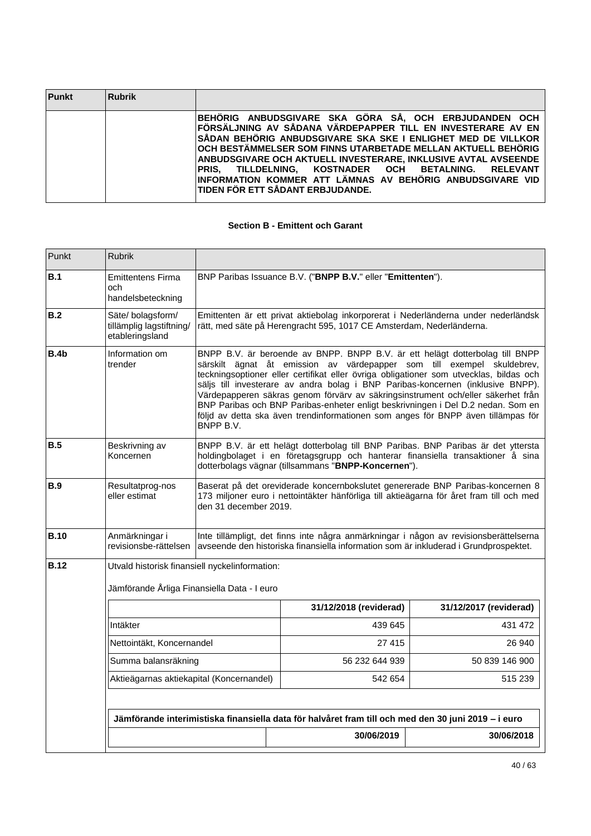| <b>Punkt</b> | Rubrik |                                                                                                                                                                                                                                                                                                                                                                                                                                                                                   |
|--------------|--------|-----------------------------------------------------------------------------------------------------------------------------------------------------------------------------------------------------------------------------------------------------------------------------------------------------------------------------------------------------------------------------------------------------------------------------------------------------------------------------------|
|              |        | BEHÖRIG ANBUDSGIVARE SKA GÖRA SÅ, OCH ERBJUDANDEN OCH<br>FÖRSÄLJNING AV SÅDANA VÄRDEPAPPER TILL EN INVESTERARE AV EN<br>SÅDAN BEHÖRIG ANBUDSGIVARE SKA SKE I ENLIGHET MED DE VILLKOR<br>∣OCH BESTÄMMELSER SOM FINNS UTARBETADE MELLAN AKTUELL BEHÖRIG<br>ANBUDSGIVARE OCH AKTUELL INVESTERARE. INKLUSIVE AVTAL AVSEENDE<br>PRIS. TILLDELNING. KOSTNADER OCH BETALNING. RELEVANT<br>IINFORMATION KOMMER ATT LÄMNAS AV BEHÖRIG ANBUDSGIVARE VID<br>TIDEN FÖR ETT SÅDANT ERBJUDANDE. |

# **Section B - Emittent och Garant**

| Punkt       | <b>Rubrik</b>                                                   |                                                                                                                                                                                                                                                                                                                                                                                                                                                                                                                                                                                                              |                                                                                                                                                            |                        |  |  |
|-------------|-----------------------------------------------------------------|--------------------------------------------------------------------------------------------------------------------------------------------------------------------------------------------------------------------------------------------------------------------------------------------------------------------------------------------------------------------------------------------------------------------------------------------------------------------------------------------------------------------------------------------------------------------------------------------------------------|------------------------------------------------------------------------------------------------------------------------------------------------------------|------------------------|--|--|
| B.1         | <b>Emittentens Firma</b><br>och<br>handelsbeteckning            |                                                                                                                                                                                                                                                                                                                                                                                                                                                                                                                                                                                                              | BNP Paribas Issuance B.V. ("BNPP B.V." eller "Emittenten").                                                                                                |                        |  |  |
| B.2         | Säte/bolagsform/<br>tillämplig lagstiftning/<br>etableringsland |                                                                                                                                                                                                                                                                                                                                                                                                                                                                                                                                                                                                              | Emittenten är ett privat aktiebolag inkorporerat i Nederländerna under nederländsk<br>rätt, med säte på Herengracht 595, 1017 CE Amsterdam, Nederländerna. |                        |  |  |
| B.4b        | Information om<br>trender                                       | BNPP B.V. är beroende av BNPP. BNPP B.V. är ett helägt dotterbolag till BNPP<br>särskilt ägnat åt emission av värdepapper som till exempel skuldebrev,<br>teckningsoptioner eller certifikat eller övriga obligationer som utvecklas, bildas och<br>säljs till investerare av andra bolag i BNP Paribas-koncernen (inklusive BNPP).<br>Värdepapperen säkras genom förvärv av säkringsinstrument och/eller säkerhet från<br>BNP Paribas och BNP Paribas-enheter enligt beskrivningen i Del D.2 nedan. Som en<br>följd av detta ska även trendinformationen som anges för BNPP även tillämpas för<br>BNPP B.V. |                                                                                                                                                            |                        |  |  |
| B.5         | Beskrivning av<br>Koncernen                                     | BNPP B.V. är ett helägt dotterbolag till BNP Paribas. BNP Paribas är det yttersta<br>holdingbolaget i en företagsgrupp och hanterar finansiella transaktioner å sina<br>dotterbolags vägnar (tillsammans "BNPP-Koncernen").                                                                                                                                                                                                                                                                                                                                                                                  |                                                                                                                                                            |                        |  |  |
| B.9         | Resultatprog-nos<br>eller estimat                               | Baserat på det oreviderade koncernbokslutet genererade BNP Paribas-koncernen 8<br>173 miljoner euro i nettointäkter hänförliga till aktieägarna för året fram till och med<br>den 31 december 2019.                                                                                                                                                                                                                                                                                                                                                                                                          |                                                                                                                                                            |                        |  |  |
| <b>B.10</b> | Anmärkningar i<br>revisionsbe-rättelsen                         | Inte tillämpligt, det finns inte några anmärkningar i någon av revisionsberättelserna<br>avseende den historiska finansiella information som är inkluderad i Grundprospektet.                                                                                                                                                                                                                                                                                                                                                                                                                                |                                                                                                                                                            |                        |  |  |
| <b>B.12</b> |                                                                 | Utvald historisk finansiell nyckelinformation:<br>Jämförande Årliga Finansiella Data - I euro                                                                                                                                                                                                                                                                                                                                                                                                                                                                                                                |                                                                                                                                                            |                        |  |  |
|             |                                                                 |                                                                                                                                                                                                                                                                                                                                                                                                                                                                                                                                                                                                              | 31/12/2018 (reviderad)                                                                                                                                     | 31/12/2017 (reviderad) |  |  |
|             | Intäkter                                                        |                                                                                                                                                                                                                                                                                                                                                                                                                                                                                                                                                                                                              |                                                                                                                                                            | 431 472                |  |  |
|             | Nettointäkt, Koncernandel                                       |                                                                                                                                                                                                                                                                                                                                                                                                                                                                                                                                                                                                              | 27 415                                                                                                                                                     | 26 940                 |  |  |
|             |                                                                 | Summa balansräkning                                                                                                                                                                                                                                                                                                                                                                                                                                                                                                                                                                                          |                                                                                                                                                            | 50 839 146 900         |  |  |
|             |                                                                 | Aktieägarnas aktiekapital (Koncernandel)                                                                                                                                                                                                                                                                                                                                                                                                                                                                                                                                                                     |                                                                                                                                                            | 515 239                |  |  |
|             |                                                                 | Jämförande interimistiska finansiella data för halvåret fram till och med den 30 juni 2019 - i euro                                                                                                                                                                                                                                                                                                                                                                                                                                                                                                          |                                                                                                                                                            |                        |  |  |
|             |                                                                 |                                                                                                                                                                                                                                                                                                                                                                                                                                                                                                                                                                                                              | 30/06/2019                                                                                                                                                 | 30/06/2018             |  |  |
|             |                                                                 |                                                                                                                                                                                                                                                                                                                                                                                                                                                                                                                                                                                                              |                                                                                                                                                            |                        |  |  |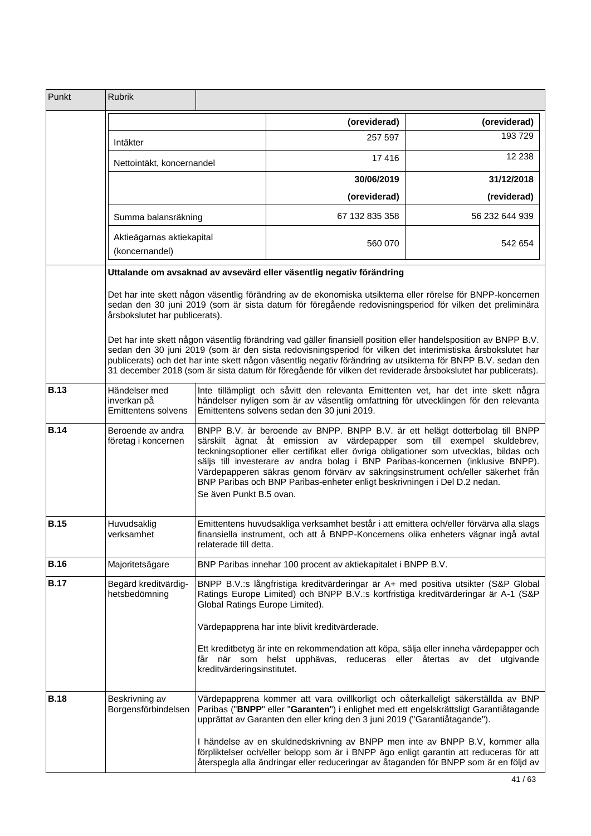| Punkt                                                                                                                                                                                                                                                               | <b>Rubrik</b>                                                                                                                                                                                                                                                                                                                                                                                                                                                 |                                                                                                                                                                                                                                                                                                                                                                                                                                                                                                                                 |                                                                                                                                                                                                                                                                 |                |
|---------------------------------------------------------------------------------------------------------------------------------------------------------------------------------------------------------------------------------------------------------------------|---------------------------------------------------------------------------------------------------------------------------------------------------------------------------------------------------------------------------------------------------------------------------------------------------------------------------------------------------------------------------------------------------------------------------------------------------------------|---------------------------------------------------------------------------------------------------------------------------------------------------------------------------------------------------------------------------------------------------------------------------------------------------------------------------------------------------------------------------------------------------------------------------------------------------------------------------------------------------------------------------------|-----------------------------------------------------------------------------------------------------------------------------------------------------------------------------------------------------------------------------------------------------------------|----------------|
|                                                                                                                                                                                                                                                                     |                                                                                                                                                                                                                                                                                                                                                                                                                                                               |                                                                                                                                                                                                                                                                                                                                                                                                                                                                                                                                 | (oreviderad)                                                                                                                                                                                                                                                    | (oreviderad)   |
|                                                                                                                                                                                                                                                                     | Intäkter                                                                                                                                                                                                                                                                                                                                                                                                                                                      |                                                                                                                                                                                                                                                                                                                                                                                                                                                                                                                                 | 257 597                                                                                                                                                                                                                                                         | 193 729        |
|                                                                                                                                                                                                                                                                     | Nettointäkt, koncernandel                                                                                                                                                                                                                                                                                                                                                                                                                                     |                                                                                                                                                                                                                                                                                                                                                                                                                                                                                                                                 | 17416                                                                                                                                                                                                                                                           | 12 2 38        |
|                                                                                                                                                                                                                                                                     |                                                                                                                                                                                                                                                                                                                                                                                                                                                               |                                                                                                                                                                                                                                                                                                                                                                                                                                                                                                                                 | 30/06/2019                                                                                                                                                                                                                                                      | 31/12/2018     |
|                                                                                                                                                                                                                                                                     |                                                                                                                                                                                                                                                                                                                                                                                                                                                               |                                                                                                                                                                                                                                                                                                                                                                                                                                                                                                                                 | (oreviderad)                                                                                                                                                                                                                                                    | (reviderad)    |
|                                                                                                                                                                                                                                                                     | Summa balansräkning                                                                                                                                                                                                                                                                                                                                                                                                                                           |                                                                                                                                                                                                                                                                                                                                                                                                                                                                                                                                 | 67 132 835 358                                                                                                                                                                                                                                                  | 56 232 644 939 |
|                                                                                                                                                                                                                                                                     | Aktieägarnas aktiekapital<br>(koncernandel)                                                                                                                                                                                                                                                                                                                                                                                                                   |                                                                                                                                                                                                                                                                                                                                                                                                                                                                                                                                 | 560 070                                                                                                                                                                                                                                                         | 542 654        |
|                                                                                                                                                                                                                                                                     |                                                                                                                                                                                                                                                                                                                                                                                                                                                               |                                                                                                                                                                                                                                                                                                                                                                                                                                                                                                                                 | Uttalande om avsaknad av avsevärd eller väsentlig negativ förändring                                                                                                                                                                                            |                |
|                                                                                                                                                                                                                                                                     | årsbokslutet har publicerats).                                                                                                                                                                                                                                                                                                                                                                                                                                |                                                                                                                                                                                                                                                                                                                                                                                                                                                                                                                                 | Det har inte skett någon väsentlig förändring av de ekonomiska utsikterna eller rörelse för BNPP-koncernen<br>sedan den 30 juni 2019 (som är sista datum för föregående redovisningsperiod för vilken det preliminära                                           |                |
|                                                                                                                                                                                                                                                                     | Det har inte skett någon väsentlig förändring vad gäller finansiell position eller handelsposition av BNPP B.V.<br>sedan den 30 juni 2019 (som är den sista redovisningsperiod för vilken det interimistiska årsbokslutet har<br>publicerats) och det har inte skett någon väsentlig negativ förändring av utsikterna för BNPP B.V. sedan den<br>31 december 2018 (som är sista datum för föregående för vilken det reviderade årsbokslutet har publicerats). |                                                                                                                                                                                                                                                                                                                                                                                                                                                                                                                                 |                                                                                                                                                                                                                                                                 |                |
| <b>B.13</b>                                                                                                                                                                                                                                                         | Händelser med<br>inverkan på<br><b>Emittentens solvens</b>                                                                                                                                                                                                                                                                                                                                                                                                    | Inte tillämpligt och såvitt den relevanta Emittenten vet, har det inte skett några<br>händelser nyligen som är av väsentlig omfattning för utvecklingen för den relevanta<br>Emittentens solvens sedan den 30 juni 2019.                                                                                                                                                                                                                                                                                                        |                                                                                                                                                                                                                                                                 |                |
| <b>B.14</b>                                                                                                                                                                                                                                                         | Beroende av andra<br>företag i koncernen                                                                                                                                                                                                                                                                                                                                                                                                                      | BNPP B.V. är beroende av BNPP. BNPP B.V. är ett helägt dotterbolag till BNPP<br>särskilt ägnat åt emission av värdepapper som till exempel skuldebrev,<br>teckningsoptioner eller certifikat eller övriga obligationer som utvecklas, bildas och<br>säljs till investerare av andra bolag i BNP Paribas-koncernen (inklusive BNPP).<br>Värdepapperen säkras genom förvärv av säkringsinstrument och/eller säkerhet från<br>BNP Paribas och BNP Paribas-enheter enligt beskrivningen i Del D.2 nedan.<br>Se även Punkt B.5 ovan. |                                                                                                                                                                                                                                                                 |                |
| <b>B.15</b>                                                                                                                                                                                                                                                         | Huvudsaklig<br>verksamhet                                                                                                                                                                                                                                                                                                                                                                                                                                     | Emittentens huvudsakliga verksamhet består i att emittera och/eller förvärva alla slags<br>finansiella instrument, och att å BNPP-Koncernens olika enheters vägnar ingå avtal<br>relaterade till detta.                                                                                                                                                                                                                                                                                                                         |                                                                                                                                                                                                                                                                 |                |
| <b>B.16</b>                                                                                                                                                                                                                                                         | Majoritetsägare                                                                                                                                                                                                                                                                                                                                                                                                                                               |                                                                                                                                                                                                                                                                                                                                                                                                                                                                                                                                 | BNP Paribas innehar 100 procent av aktiekapitalet i BNPP B.V.                                                                                                                                                                                                   |                |
| <b>B.17</b><br>Begärd kreditvärdig-<br>BNPP B.V.:s långfristiga kreditvärderingar är A+ med positiva utsikter (S&P Global<br>Ratings Europe Limited) och BNPP B.V.:s kortfristiga kreditvärderingar är A-1 (S&P<br>hetsbedömning<br>Global Ratings Europe Limited). |                                                                                                                                                                                                                                                                                                                                                                                                                                                               |                                                                                                                                                                                                                                                                                                                                                                                                                                                                                                                                 |                                                                                                                                                                                                                                                                 |                |
|                                                                                                                                                                                                                                                                     |                                                                                                                                                                                                                                                                                                                                                                                                                                                               |                                                                                                                                                                                                                                                                                                                                                                                                                                                                                                                                 | Värdepapprena har inte blivit kreditvärderade.                                                                                                                                                                                                                  |                |
|                                                                                                                                                                                                                                                                     |                                                                                                                                                                                                                                                                                                                                                                                                                                                               | kreditvärderingsinstitutet.                                                                                                                                                                                                                                                                                                                                                                                                                                                                                                     | Ett kreditbetyg är inte en rekommendation att köpa, sälja eller inneha värdepapper och<br>får när som helst upphävas, reduceras eller återtas av det utgivande                                                                                                  |                |
| <b>B.18</b>                                                                                                                                                                                                                                                         | Beskrivning av<br>Borgensförbindelsen                                                                                                                                                                                                                                                                                                                                                                                                                         |                                                                                                                                                                                                                                                                                                                                                                                                                                                                                                                                 | Värdepapprena kommer att vara ovillkorligt och oåterkalleligt säkerställda av BNP<br>Paribas ("BNPP" eller "Garanten") i enlighet med ett engelskrättsligt Garantiåtagande<br>upprättat av Garanten den eller kring den 3 juni 2019 ("Garantiåtagande").        |                |
|                                                                                                                                                                                                                                                                     |                                                                                                                                                                                                                                                                                                                                                                                                                                                               |                                                                                                                                                                                                                                                                                                                                                                                                                                                                                                                                 | I händelse av en skuldnedskrivning av BNPP men inte av BNPP B.V, kommer alla<br>förpliktelser och/eller belopp som är i BNPP ägo enligt garantin att reduceras för att<br>återspegla alla ändringar eller reduceringar av åtaganden för BNPP som är en följd av |                |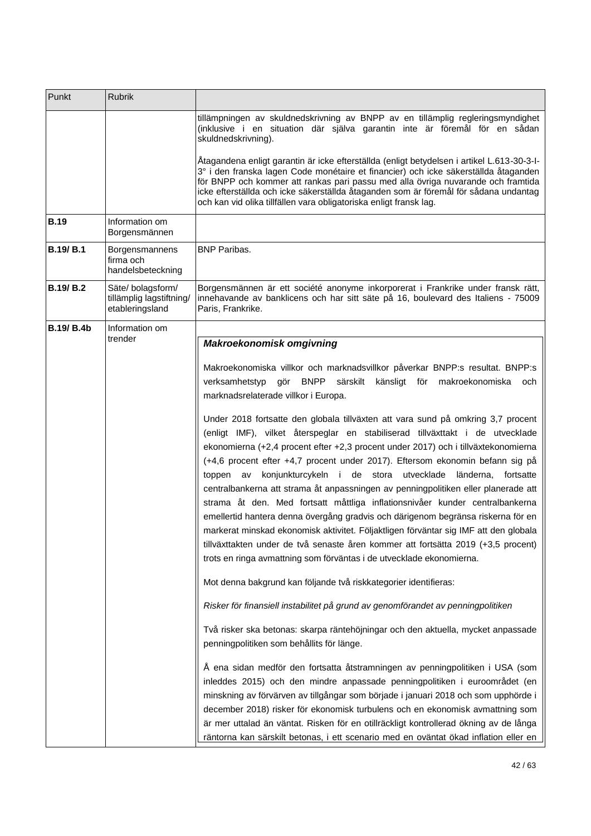| Punkt             | Rubrik                                                           |                                                                                                                                                                                                                                                                                                                                                                                                                                                                                                                                                                                                                                                                                                                                                                                                                                                                                                                                    |
|-------------------|------------------------------------------------------------------|------------------------------------------------------------------------------------------------------------------------------------------------------------------------------------------------------------------------------------------------------------------------------------------------------------------------------------------------------------------------------------------------------------------------------------------------------------------------------------------------------------------------------------------------------------------------------------------------------------------------------------------------------------------------------------------------------------------------------------------------------------------------------------------------------------------------------------------------------------------------------------------------------------------------------------|
|                   |                                                                  | tillämpningen av skuldnedskrivning av BNPP av en tillämplig regleringsmyndighet<br>(inklusive i en situation där själva garantin inte är föremål för en sådan<br>skuldnedskrivning).                                                                                                                                                                                                                                                                                                                                                                                                                                                                                                                                                                                                                                                                                                                                               |
|                   |                                                                  | Åtagandena enligt garantin är icke efterställda (enligt betydelsen i artikel L.613-30-3-I-<br>3° i den franska lagen Code monétaire et financier) och icke säkerställda åtaganden<br>för BNPP och kommer att rankas pari passu med alla övriga nuvarande och framtida<br>icke efterställda och icke säkerställda åtaganden som är föremål för sådana undantag<br>och kan vid olika tillfällen vara obligatoriska enligt fransk lag.                                                                                                                                                                                                                                                                                                                                                                                                                                                                                                |
| <b>B.19</b>       | Information om<br>Borgensmännen                                  |                                                                                                                                                                                                                                                                                                                                                                                                                                                                                                                                                                                                                                                                                                                                                                                                                                                                                                                                    |
| <b>B.19/B.1</b>   | Borgensmannens<br>firma och<br>handelsbeteckning                 | <b>BNP Paribas.</b>                                                                                                                                                                                                                                                                                                                                                                                                                                                                                                                                                                                                                                                                                                                                                                                                                                                                                                                |
| <b>B.19/B.2</b>   | Säte/ bolagsform/<br>tillämplig lagstiftning/<br>etableringsland | Borgensmännen är ett société anonyme inkorporerat i Frankrike under fransk rätt,<br>innehavande av banklicens och har sitt säte på 16, boulevard des Italiens - 75009<br>Paris, Frankrike.                                                                                                                                                                                                                                                                                                                                                                                                                                                                                                                                                                                                                                                                                                                                         |
| <b>B.19/ B.4b</b> | Information om                                                   |                                                                                                                                                                                                                                                                                                                                                                                                                                                                                                                                                                                                                                                                                                                                                                                                                                                                                                                                    |
|                   | trender                                                          | <b>Makroekonomisk omgivning</b>                                                                                                                                                                                                                                                                                                                                                                                                                                                                                                                                                                                                                                                                                                                                                                                                                                                                                                    |
|                   |                                                                  | Makroekonomiska villkor och marknadsvillkor påverkar BNPP:s resultat. BNPP:s<br>verksamhetstyp<br>gör BNPP särskilt känsligt för makroekonomiska<br>och<br>marknadsrelaterade villkor i Europa.                                                                                                                                                                                                                                                                                                                                                                                                                                                                                                                                                                                                                                                                                                                                    |
|                   |                                                                  | Under 2018 fortsatte den globala tillväxten att vara sund på omkring 3,7 procent<br>(enligt IMF), vilket återspeglar en stabiliserad tillväxttakt i de utvecklade<br>ekonomierna (+2,4 procent efter +2,3 procent under 2017) och i tillväxtekonomierna<br>(+4,6 procent efter +4,7 procent under 2017). Eftersom ekonomin befann sig på<br>konjunkturcykeln i de stora utvecklade länderna, fortsatte<br>toppen av<br>centralbankerna att strama åt anpassningen av penningpolitiken eller planerade att<br>strama åt den. Med fortsatt måttliga inflationsnivåer kunder centralbankerna<br>emellertid hantera denna övergång gradvis och därigenom begränsa riskerna för en<br>markerat minskad ekonomisk aktivitet. Följaktligen förväntar sig IMF att den globala<br>tillväxttakten under de två senaste åren kommer att fortsätta 2019 (+3,5 procent)<br>trots en ringa avmattning som förväntas i de utvecklade ekonomierna. |
|                   |                                                                  | Mot denna bakgrund kan följande två riskkategorier identifieras:                                                                                                                                                                                                                                                                                                                                                                                                                                                                                                                                                                                                                                                                                                                                                                                                                                                                   |
|                   |                                                                  | Risker för finansiell instabilitet på grund av genomförandet av penningpolitiken                                                                                                                                                                                                                                                                                                                                                                                                                                                                                                                                                                                                                                                                                                                                                                                                                                                   |
|                   |                                                                  | Två risker ska betonas: skarpa räntehöjningar och den aktuella, mycket anpassade<br>penningpolitiken som behållits för länge.                                                                                                                                                                                                                                                                                                                                                                                                                                                                                                                                                                                                                                                                                                                                                                                                      |
|                   |                                                                  | Å ena sidan medför den fortsatta åtstramningen av penningpolitiken i USA (som<br>inleddes 2015) och den mindre anpassade penningpolitiken i euroområdet (en<br>minskning av förvärven av tillgångar som började i januari 2018 och som upphörde i<br>december 2018) risker för ekonomisk turbulens och en ekonomisk avmattning som<br>är mer uttalad än väntat. Risken för en otillräckligt kontrollerad ökning av de långa<br>räntorna kan särskilt betonas, i ett scenario med en oväntat ökad inflation eller en                                                                                                                                                                                                                                                                                                                                                                                                                |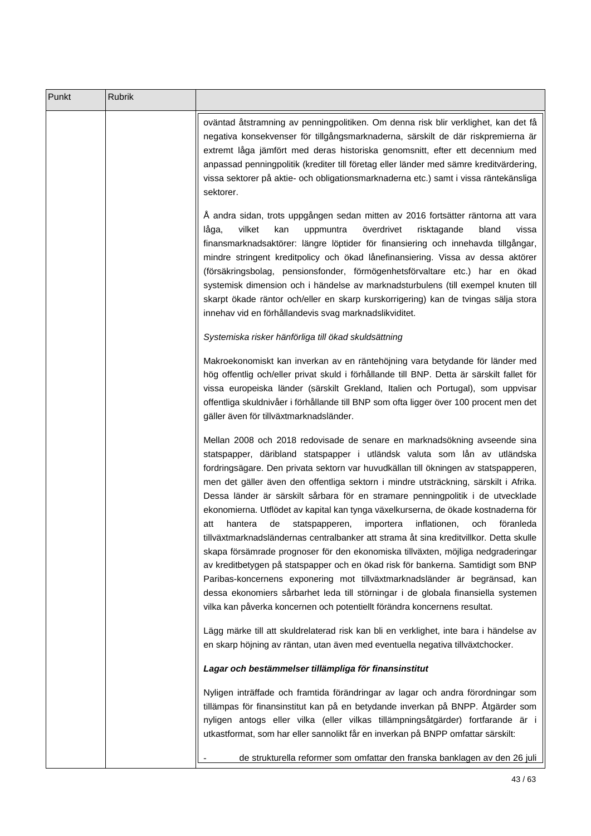| Punkt | Rubrik |                                                                                                                                                                                                                                                                                                                                                                                                                                                                                                                                                                                                                                                                                                                                                                                                                                                                                                                                                                                                                                                                                                                          |
|-------|--------|--------------------------------------------------------------------------------------------------------------------------------------------------------------------------------------------------------------------------------------------------------------------------------------------------------------------------------------------------------------------------------------------------------------------------------------------------------------------------------------------------------------------------------------------------------------------------------------------------------------------------------------------------------------------------------------------------------------------------------------------------------------------------------------------------------------------------------------------------------------------------------------------------------------------------------------------------------------------------------------------------------------------------------------------------------------------------------------------------------------------------|
|       |        | oväntad åtstramning av penningpolitiken. Om denna risk blir verklighet, kan det få<br>negativa konsekvenser för tillgångsmarknaderna, särskilt de där riskpremierna är<br>extremt låga jämfört med deras historiska genomsnitt, efter ett decennium med<br>anpassad penningpolitik (krediter till företag eller länder med sämre kreditvärdering,<br>vissa sektorer på aktie- och obligationsmarknaderna etc.) samt i vissa räntekänsliga<br>sektorer.                                                                                                                                                                                                                                                                                                                                                                                                                                                                                                                                                                                                                                                                   |
|       |        | Å andra sidan, trots uppgången sedan mitten av 2016 fortsätter räntorna att vara<br>vilket<br>överdrivet<br>låga,<br>kan<br>uppmuntra<br>risktagande<br>bland<br>vissa<br>finansmarknadsaktörer: längre löptider för finansiering och innehavda tillgångar,<br>mindre stringent kreditpolicy och ökad lånefinansiering. Vissa av dessa aktörer<br>(försäkringsbolag, pensionsfonder, förmögenhetsförvaltare etc.) har en ökad<br>systemisk dimension och i händelse av marknadsturbulens (till exempel knuten till<br>skarpt ökade räntor och/eller en skarp kurskorrigering) kan de tvingas sälja stora<br>innehav vid en förhållandevis svag marknadslikviditet.                                                                                                                                                                                                                                                                                                                                                                                                                                                       |
|       |        | Systemiska risker hänförliga till ökad skuldsättning                                                                                                                                                                                                                                                                                                                                                                                                                                                                                                                                                                                                                                                                                                                                                                                                                                                                                                                                                                                                                                                                     |
|       |        | Makroekonomiskt kan inverkan av en räntehöjning vara betydande för länder med<br>hög offentlig och/eller privat skuld i förhållande till BNP. Detta är särskilt fallet för<br>vissa europeiska länder (särskilt Grekland, Italien och Portugal), som uppvisar<br>offentliga skuldnivåer i förhållande till BNP som ofta ligger över 100 procent men det<br>gäller även för tillväxtmarknadsländer.                                                                                                                                                                                                                                                                                                                                                                                                                                                                                                                                                                                                                                                                                                                       |
|       |        | Mellan 2008 och 2018 redovisade de senare en marknadsökning avseende sina<br>statspapper, däribland statspapper i utländsk valuta som lån av utländska<br>fordringsägare. Den privata sektorn var huvudkällan till ökningen av statspapperen,<br>men det gäller även den offentliga sektorn i mindre utsträckning, särskilt i Afrika.<br>Dessa länder är särskilt sårbara för en stramare penningpolitik i de utvecklade<br>ekonomierna. Utflödet av kapital kan tynga växelkurserna, de ökade kostnaderna för<br>importera<br>inflationen,<br>och<br>föranleda<br>hantera<br>de statspapperen,<br>att<br>tillväxtmarknadsländernas centralbanker att strama åt sina kreditvillkor. Detta skulle<br>skapa försämrade prognoser för den ekonomiska tillväxten, möjliga nedgraderingar<br>av kreditbetygen på statspapper och en ökad risk för bankerna. Samtidigt som BNP<br>Paribas-koncernens exponering mot tillväxtmarknadsländer är begränsad, kan<br>dessa ekonomiers sårbarhet leda till störningar i de globala finansiella systemen<br>vilka kan påverka koncernen och potentiellt förändra koncernens resultat. |
|       |        | Lägg märke till att skuldrelaterad risk kan bli en verklighet, inte bara i händelse av<br>en skarp höjning av räntan, utan även med eventuella negativa tillväxtchocker.                                                                                                                                                                                                                                                                                                                                                                                                                                                                                                                                                                                                                                                                                                                                                                                                                                                                                                                                                 |
|       |        | Lagar och bestämmelser tillämpliga för finansinstitut                                                                                                                                                                                                                                                                                                                                                                                                                                                                                                                                                                                                                                                                                                                                                                                                                                                                                                                                                                                                                                                                    |
|       |        | Nyligen inträffade och framtida förändringar av lagar och andra förordningar som<br>tillämpas för finansinstitut kan på en betydande inverkan på BNPP. Åtgärder som<br>nyligen antogs eller vilka (eller vilkas tillämpningsåtgärder) fortfarande är i<br>utkastformat, som har eller sannolikt får en inverkan på BNPP omfattar särskilt:                                                                                                                                                                                                                                                                                                                                                                                                                                                                                                                                                                                                                                                                                                                                                                               |
|       |        | de strukturella reformer som omfattar den franska banklagen av den 26 juli                                                                                                                                                                                                                                                                                                                                                                                                                                                                                                                                                                                                                                                                                                                                                                                                                                                                                                                                                                                                                                               |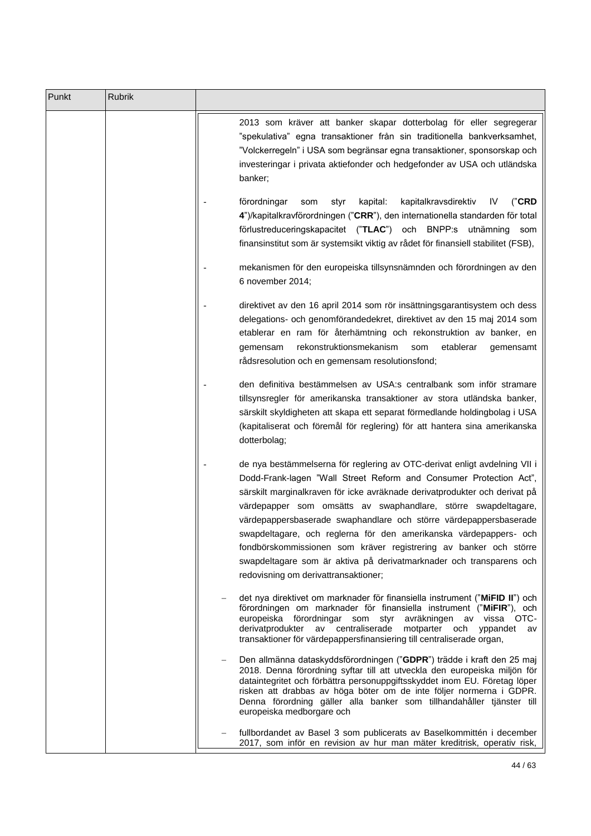| Punkt | Rubrik |                                                                                                                                                                                                                                                                                                                                                                                                                                                                                                                                                                                                                               |
|-------|--------|-------------------------------------------------------------------------------------------------------------------------------------------------------------------------------------------------------------------------------------------------------------------------------------------------------------------------------------------------------------------------------------------------------------------------------------------------------------------------------------------------------------------------------------------------------------------------------------------------------------------------------|
|       |        | 2013 som kräver att banker skapar dotterbolag för eller segregerar<br>"spekulativa" egna transaktioner från sin traditionella bankverksamhet,<br>"Volckerregeln" i USA som begränsar egna transaktioner, sponsorskap och<br>investeringar i privata aktiefonder och hedgefonder av USA och utländska<br>banker;                                                                                                                                                                                                                                                                                                               |
|       |        | kapital:<br>kapitalkravsdirektiv<br>("CRD"<br>förordningar<br>styr<br>IV.<br>som<br>4")/kapitalkravförordningen ("CRR"), den internationella standarden för total<br>förlustreduceringskapacitet ("TLAC") och BNPP:s utnämning<br>som<br>finansinstitut som är systemsikt viktig av rådet för finansiell stabilitet (FSB),                                                                                                                                                                                                                                                                                                    |
|       |        | mekanismen för den europeiska tillsynsnämnden och förordningen av den<br>6 november 2014;                                                                                                                                                                                                                                                                                                                                                                                                                                                                                                                                     |
|       |        | direktivet av den 16 april 2014 som rör insättningsgarantisystem och dess<br>delegations- och genomförandedekret, direktivet av den 15 maj 2014 som<br>etablerar en ram för återhämtning och rekonstruktion av banker, en<br>rekonstruktionsmekanism<br>som<br>etablerar<br>gemensam<br>gemensamt<br>rådsresolution och en gemensam resolutionsfond;                                                                                                                                                                                                                                                                          |
|       |        | den definitiva bestämmelsen av USA:s centralbank som inför stramare<br>tillsynsregler för amerikanska transaktioner av stora utländska banker,<br>särskilt skyldigheten att skapa ett separat förmedlande holdingbolag i USA<br>(kapitaliserat och föremål för reglering) för att hantera sina amerikanska<br>dotterbolag;                                                                                                                                                                                                                                                                                                    |
|       |        | de nya bestämmelserna för reglering av OTC-derivat enligt avdelning VII i<br>Dodd-Frank-lagen "Wall Street Reform and Consumer Protection Act",<br>särskilt marginalkraven för icke avräknade derivatprodukter och derivat på<br>värdepapper som omsätts av swaphandlare, större swapdeltagare,<br>värdepappersbaserade swaphandlare och större värdepappersbaserade<br>swapdeltagare, och reglerna för den amerikanska värdepappers- och<br>fondbörskommissionen som kräver registrering av banker och större<br>swapdeltagare som är aktiva på derivatmarknader och transparens och<br>redovisning om derivattransaktioner; |
|       |        | det nya direktivet om marknader för finansiella instrument ("MiFID II") och<br>förordningen om marknader för finansiella instrument ("MiFIR"), och<br>europeiska förordningar som<br>avräkningen av vissa OTC-<br>styr<br>derivatprodukter av centraliserade<br>motparter och yppandet av<br>transaktioner för värdepappersfinansiering till centraliserade organ,                                                                                                                                                                                                                                                            |
|       |        | Den allmänna dataskyddsförordningen ("GDPR") trädde i kraft den 25 maj<br>2018. Denna förordning syftar till att utveckla den europeiska miljön för<br>dataintegritet och förbättra personuppgiftsskyddet inom EU. Företag löper<br>risken att drabbas av höga böter om de inte följer normerna i GDPR.<br>Denna förordning gäller alla banker som tillhandahåller tjänster till<br>europeiska medborgare och                                                                                                                                                                                                                 |
|       |        | fullbordandet av Basel 3 som publicerats av Baselkommittén i december<br>2017, som inför en revision av hur man mäter kreditrisk, operativ risk,                                                                                                                                                                                                                                                                                                                                                                                                                                                                              |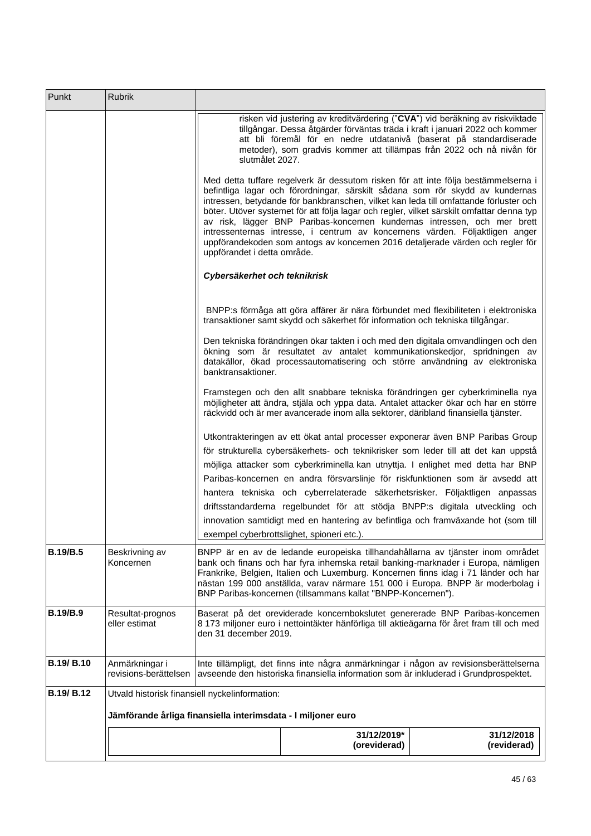| Punkt           | Rubrik                                         |                                                                                                                                                                                                                                                                                                                                                                                                                                                                                                                                                                                                                                        |  |
|-----------------|------------------------------------------------|----------------------------------------------------------------------------------------------------------------------------------------------------------------------------------------------------------------------------------------------------------------------------------------------------------------------------------------------------------------------------------------------------------------------------------------------------------------------------------------------------------------------------------------------------------------------------------------------------------------------------------------|--|
|                 |                                                | risken vid justering av kreditvärdering ("CVA") vid beräkning av riskviktade<br>tillgångar. Dessa åtgärder förväntas träda i kraft i januari 2022 och kommer<br>att bli föremål för en nedre utdatanivå (baserat på standardiserade<br>metoder), som gradvis kommer att tillämpas från 2022 och nå nivån för<br>slutmålet 2027.                                                                                                                                                                                                                                                                                                        |  |
|                 |                                                | Med detta tuffare regelverk är dessutom risken för att inte följa bestämmelserna i<br>befintliga lagar och förordningar, särskilt sådana som rör skydd av kundernas<br>intressen, betydande för bankbranschen, vilket kan leda till omfattande förluster och<br>böter. Utöver systemet för att följa lagar och regler, vilket särskilt omfattar denna typ<br>av risk, lägger BNP Paribas-koncernen kundernas intressen, och mer brett<br>intressenternas intresse, i centrum av koncernens värden. Följaktligen anger<br>uppförandekoden som antogs av koncernen 2016 detaljerade värden och regler för<br>uppförandet i detta område. |  |
|                 |                                                | Cybersäkerhet och teknikrisk                                                                                                                                                                                                                                                                                                                                                                                                                                                                                                                                                                                                           |  |
|                 |                                                | BNPP:s förmåga att göra affärer är nära förbundet med flexibiliteten i elektroniska<br>transaktioner samt skydd och säkerhet för information och tekniska tillgångar.                                                                                                                                                                                                                                                                                                                                                                                                                                                                  |  |
|                 |                                                | Den tekniska förändringen ökar takten i och med den digitala omvandlingen och den<br>ökning som är resultatet av antalet kommunikationskedjor, spridningen av<br>datakällor, ökad processautomatisering och större användning av elektroniska<br>banktransaktioner.                                                                                                                                                                                                                                                                                                                                                                    |  |
|                 |                                                | Framstegen och den allt snabbare tekniska förändringen ger cyberkriminella nya<br>möjligheter att ändra, stjäla och yppa data. Antalet attacker ökar och har en större<br>räckvidd och är mer avancerade inom alla sektorer, däribland finansiella tjänster.                                                                                                                                                                                                                                                                                                                                                                           |  |
|                 |                                                | Utkontrakteringen av ett ökat antal processer exponerar även BNP Paribas Group                                                                                                                                                                                                                                                                                                                                                                                                                                                                                                                                                         |  |
|                 |                                                | för strukturella cybersäkerhets- och teknikrisker som leder till att det kan uppstå                                                                                                                                                                                                                                                                                                                                                                                                                                                                                                                                                    |  |
|                 |                                                | möjliga attacker som cyberkriminella kan utnyttja. I enlighet med detta har BNP                                                                                                                                                                                                                                                                                                                                                                                                                                                                                                                                                        |  |
|                 |                                                | Paribas-koncernen en andra försvarslinje för riskfunktionen som är avsedd att                                                                                                                                                                                                                                                                                                                                                                                                                                                                                                                                                          |  |
|                 |                                                | hantera tekniska och cyberrelaterade säkerhetsrisker. Följaktligen anpassas                                                                                                                                                                                                                                                                                                                                                                                                                                                                                                                                                            |  |
|                 |                                                | driftsstandarderna regelbundet för att stödja BNPP:s digitala utveckling och<br>innovation samtidigt med en hantering av befintliga och framväxande hot (som till                                                                                                                                                                                                                                                                                                                                                                                                                                                                      |  |
|                 |                                                | exempel cyberbrottslighet, spioneri etc.).                                                                                                                                                                                                                                                                                                                                                                                                                                                                                                                                                                                             |  |
| <b>B.19/B.5</b> | Beskrivning av<br>Koncernen                    | BNPP är en av de ledande europeiska tillhandahållarna av tjänster inom området<br>bank och finans och har fyra inhemska retail banking-marknader i Europa, nämligen<br>Frankrike, Belgien, Italien och Luxemburg. Koncernen finns idag i 71 länder och har<br>nästan 199 000 anställda, varav närmare 151 000 i Europa. BNPP är moderbolag i<br>BNP Paribas-koncernen (tillsammans kallat "BNPP-Koncernen").                                                                                                                                                                                                                           |  |
| <b>B.19/B.9</b> | Resultat-prognos<br>eller estimat              | Baserat på det oreviderade koncernbokslutet genererade BNP Paribas-koncernen<br>8 173 miljoner euro i nettointäkter hänförliga till aktieägarna för året fram till och med<br>den 31 december 2019.                                                                                                                                                                                                                                                                                                                                                                                                                                    |  |
| B.19/B.10       | Anmärkningar i<br>revisions-berättelsen        | Inte tillämpligt, det finns inte några anmärkningar i någon av revisionsberättelserna<br>avseende den historiska finansiella information som är inkluderad i Grundprospektet.                                                                                                                                                                                                                                                                                                                                                                                                                                                          |  |
| B.19/B.12       | Utvald historisk finansiell nyckelinformation: |                                                                                                                                                                                                                                                                                                                                                                                                                                                                                                                                                                                                                                        |  |
|                 |                                                | Jämförande årliga finansiella interimsdata - I miljoner euro                                                                                                                                                                                                                                                                                                                                                                                                                                                                                                                                                                           |  |
|                 |                                                | 31/12/2019*<br>31/12/2018<br>(oreviderad)<br>(reviderad)                                                                                                                                                                                                                                                                                                                                                                                                                                                                                                                                                                               |  |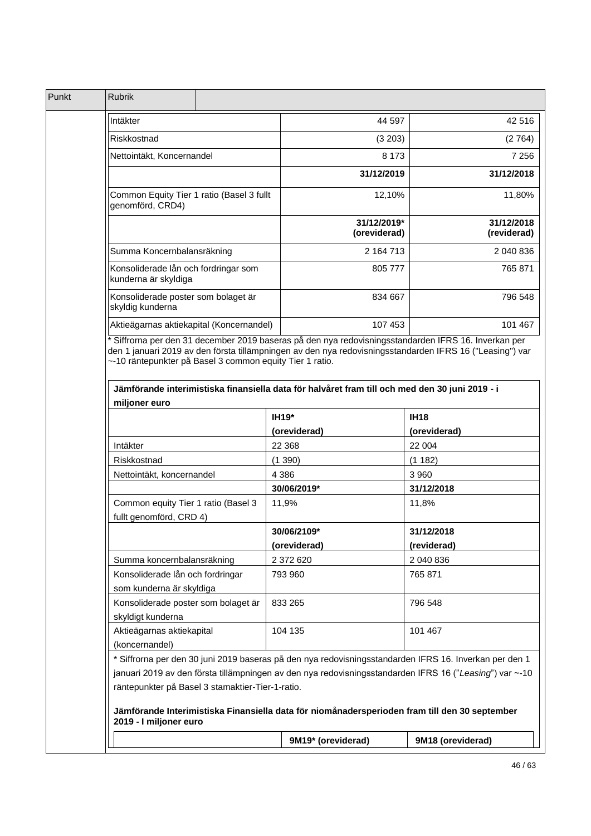| Punkt | <b>Rubrik</b>                                                                                                                                                                                                                                                                                                                                                          |                             |                           |
|-------|------------------------------------------------------------------------------------------------------------------------------------------------------------------------------------------------------------------------------------------------------------------------------------------------------------------------------------------------------------------------|-----------------------------|---------------------------|
|       | Intäkter                                                                                                                                                                                                                                                                                                                                                               | 44 597                      | 42 516                    |
|       | Riskkostnad                                                                                                                                                                                                                                                                                                                                                            | (3 203)                     | (2764)                    |
|       | Nettointäkt, Koncernandel                                                                                                                                                                                                                                                                                                                                              | 8 1 7 3                     | 7 2 5 6                   |
|       |                                                                                                                                                                                                                                                                                                                                                                        | 31/12/2019                  | 31/12/2018                |
|       | Common Equity Tier 1 ratio (Basel 3 fullt<br>genomförd, CRD4)                                                                                                                                                                                                                                                                                                          | 12,10%                      | 11,80%                    |
|       |                                                                                                                                                                                                                                                                                                                                                                        | 31/12/2019*<br>(oreviderad) | 31/12/2018<br>(reviderad) |
|       | Summa Koncernbalansräkning                                                                                                                                                                                                                                                                                                                                             | 2 164 713                   | 2 040 836                 |
|       | Konsoliderade lån och fordringar som<br>kunderna är skyldiga                                                                                                                                                                                                                                                                                                           | 805 777                     | 765 871                   |
|       | Konsoliderade poster som bolaget är<br>skyldig kunderna                                                                                                                                                                                                                                                                                                                | 834 667                     | 796 548                   |
|       | Aktieägarnas aktiekapital (Koncernandel)                                                                                                                                                                                                                                                                                                                               | 107 453                     | 101 467                   |
|       | ~-10 räntepunkter på Basel 3 common equity Tier 1 ratio.<br>Jämförande interimistiska finansiella data för halvåret fram till och med den 30 juni 2019 - i<br>miljoner euro                                                                                                                                                                                            |                             |                           |
|       |                                                                                                                                                                                                                                                                                                                                                                        | <b>IH19*</b>                | <b>IH18</b>               |
|       |                                                                                                                                                                                                                                                                                                                                                                        | (oreviderad)                | (oreviderad)              |
|       | Intäkter                                                                                                                                                                                                                                                                                                                                                               | 22 3 68                     | 22 004                    |
|       | Riskkostnad                                                                                                                                                                                                                                                                                                                                                            | (1390)                      | (1182)                    |
|       | Nettointäkt, koncernandel                                                                                                                                                                                                                                                                                                                                              | 4 3 8 6                     | 3 9 6 0                   |
|       |                                                                                                                                                                                                                                                                                                                                                                        | 30/06/2019*                 | 31/12/2018                |
|       | Common equity Tier 1 ratio (Basel 3<br>fullt genomförd, CRD 4)                                                                                                                                                                                                                                                                                                         | 11,9%                       | 11,8%                     |
|       |                                                                                                                                                                                                                                                                                                                                                                        | 30/06/2109*                 | 31/12/2018                |
|       |                                                                                                                                                                                                                                                                                                                                                                        | (oreviderad)                | (reviderad)               |
|       | Summa koncernbalansräkning                                                                                                                                                                                                                                                                                                                                             | 2 372 620                   | 2 040 836                 |
|       | Konsoliderade lån och fordringar<br>som kunderna är skyldiga                                                                                                                                                                                                                                                                                                           | 793 960                     | 765 871                   |
|       | Konsoliderade poster som bolaget är<br>skyldigt kunderna                                                                                                                                                                                                                                                                                                               | 833 265                     | 796 548                   |
|       | Aktieägarnas aktiekapital<br>(koncernandel)                                                                                                                                                                                                                                                                                                                            | 104 135                     | 101 467                   |
|       | * Siffrorna per den 30 juni 2019 baseras på den nya redovisningsstandarden IFRS 16. Inverkan per den 1<br>januari 2019 av den första tillämpningen av den nya redovisningsstandarden IFRS 16 ("Leasing") var ~-10<br>räntepunkter på Basel 3 stamaktier-Tier-1-ratio.<br>Jämförande Interimistiska Finansiella data för niomånadersperioden fram till den 30 september |                             |                           |
|       | 2019 - I miljoner euro                                                                                                                                                                                                                                                                                                                                                 |                             |                           |
|       |                                                                                                                                                                                                                                                                                                                                                                        | 9M19* (oreviderad)          | 9M18 (oreviderad)         |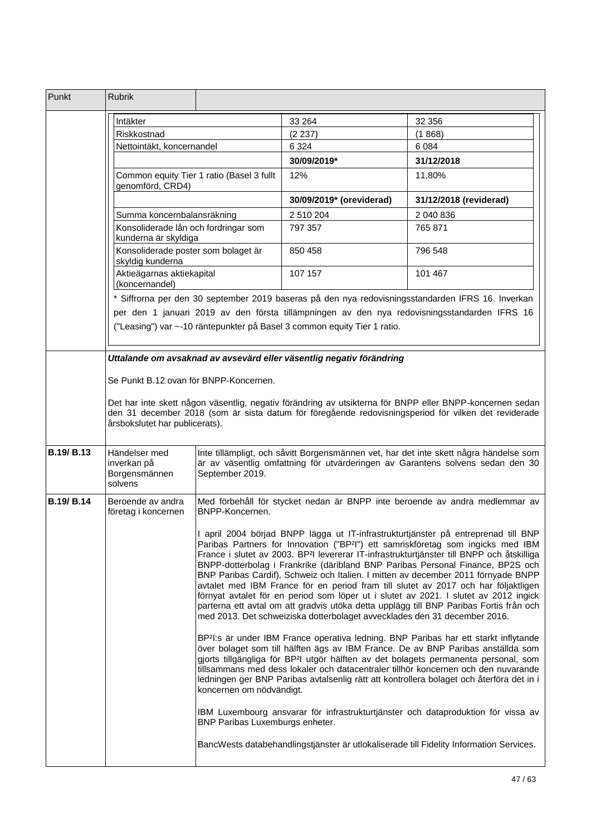| Punkt             | <b>Rubrik</b>                                                 |                                                                                                                                                                                            |                                                                           |                                                                                                                                                                                                                                                                                                                                                                                                                                                                                                                                                                                                                                                                                                                                             |
|-------------------|---------------------------------------------------------------|--------------------------------------------------------------------------------------------------------------------------------------------------------------------------------------------|---------------------------------------------------------------------------|---------------------------------------------------------------------------------------------------------------------------------------------------------------------------------------------------------------------------------------------------------------------------------------------------------------------------------------------------------------------------------------------------------------------------------------------------------------------------------------------------------------------------------------------------------------------------------------------------------------------------------------------------------------------------------------------------------------------------------------------|
|                   | Intäkter                                                      |                                                                                                                                                                                            | 33 264                                                                    | 32 356                                                                                                                                                                                                                                                                                                                                                                                                                                                                                                                                                                                                                                                                                                                                      |
|                   | Riskkostnad<br>Nettointäkt, koncernandel                      |                                                                                                                                                                                            | (2 237)                                                                   | (1868)                                                                                                                                                                                                                                                                                                                                                                                                                                                                                                                                                                                                                                                                                                                                      |
|                   |                                                               |                                                                                                                                                                                            | 6 3 2 4                                                                   | 6 0 8 4                                                                                                                                                                                                                                                                                                                                                                                                                                                                                                                                                                                                                                                                                                                                     |
|                   |                                                               |                                                                                                                                                                                            | 30/09/2019*                                                               | 31/12/2018                                                                                                                                                                                                                                                                                                                                                                                                                                                                                                                                                                                                                                                                                                                                  |
|                   | Common equity Tier 1 ratio (Basel 3 fullt<br>genomförd, CRD4) |                                                                                                                                                                                            | 12%                                                                       | 11,80%                                                                                                                                                                                                                                                                                                                                                                                                                                                                                                                                                                                                                                                                                                                                      |
|                   |                                                               |                                                                                                                                                                                            | 30/09/2019* (oreviderad)                                                  | 31/12/2018 (reviderad)                                                                                                                                                                                                                                                                                                                                                                                                                                                                                                                                                                                                                                                                                                                      |
|                   | Summa koncernbalansräkning                                    |                                                                                                                                                                                            | 2 510 204                                                                 | 2 040 836                                                                                                                                                                                                                                                                                                                                                                                                                                                                                                                                                                                                                                                                                                                                   |
|                   | Konsoliderade lån och fordringar som<br>kunderna är skyldiga  |                                                                                                                                                                                            | 797 357                                                                   | 765 871                                                                                                                                                                                                                                                                                                                                                                                                                                                                                                                                                                                                                                                                                                                                     |
|                   | Konsoliderade poster som bolaget är<br>skyldig kunderna       |                                                                                                                                                                                            | 850 458                                                                   | 796 548                                                                                                                                                                                                                                                                                                                                                                                                                                                                                                                                                                                                                                                                                                                                     |
|                   | Aktieägarnas aktiekapital<br>(koncernandel)                   |                                                                                                                                                                                            | 107 157                                                                   | 101 467                                                                                                                                                                                                                                                                                                                                                                                                                                                                                                                                                                                                                                                                                                                                     |
|                   |                                                               |                                                                                                                                                                                            |                                                                           | * Siffrorna per den 30 september 2019 baseras på den nya redovisningsstandarden IFRS 16. Inverkan                                                                                                                                                                                                                                                                                                                                                                                                                                                                                                                                                                                                                                           |
|                   |                                                               |                                                                                                                                                                                            |                                                                           | per den 1 januari 2019 av den första tillämpningen av den nya redovisningsstandarden IFRS 16                                                                                                                                                                                                                                                                                                                                                                                                                                                                                                                                                                                                                                                |
|                   |                                                               |                                                                                                                                                                                            | ("Leasing") var ~-10 räntepunkter på Basel 3 common equity Tier 1 ratio.  |                                                                                                                                                                                                                                                                                                                                                                                                                                                                                                                                                                                                                                                                                                                                             |
|                   |                                                               |                                                                                                                                                                                            | Uttalande om avsaknad av avsevärd eller väsentlig negativ förändring      |                                                                                                                                                                                                                                                                                                                                                                                                                                                                                                                                                                                                                                                                                                                                             |
|                   | Se Punkt B.12 ovan för BNPP-Koncernen.                        |                                                                                                                                                                                            |                                                                           |                                                                                                                                                                                                                                                                                                                                                                                                                                                                                                                                                                                                                                                                                                                                             |
|                   |                                                               |                                                                                                                                                                                            |                                                                           |                                                                                                                                                                                                                                                                                                                                                                                                                                                                                                                                                                                                                                                                                                                                             |
|                   | årsbokslutet har publicerats).                                |                                                                                                                                                                                            |                                                                           | Det har inte skett någon väsentlig, negativ förändring av utsikterna för BNPP eller BNPP-koncernen sedan<br>den 31 december 2018 (som är sista datum för föregående redovisningsperiod för vilken det reviderade                                                                                                                                                                                                                                                                                                                                                                                                                                                                                                                            |
| B.19/B.13         | Händelser med<br>inverkan på<br>Borgensmännen<br>solvens      | Inte tillämpligt, och såvitt Borgensmännen vet, har det inte skett några händelse som<br>är av väsentlig omfattning för utvärderingen av Garantens solvens sedan den 30<br>September 2019. |                                                                           |                                                                                                                                                                                                                                                                                                                                                                                                                                                                                                                                                                                                                                                                                                                                             |
| <b>B.19/ B.14</b> | Beroende av andra<br>företag i koncernen                      | BNPP-Koncernen.                                                                                                                                                                            |                                                                           | Med förbehåll för stycket nedan är BNPP inte beroende av andra medlemmar av                                                                                                                                                                                                                                                                                                                                                                                                                                                                                                                                                                                                                                                                 |
|                   |                                                               |                                                                                                                                                                                            | med 2013. Det schweiziska dotterbolaget avvecklades den 31 december 2016. | I april 2004 börjad BNPP lägga ut IT-infrastrukturtjänster på entreprenad till BNP<br>Paribas Partners for Innovation ("BP <sup>2</sup> I") ett samriskföretag som ingicks med IBM<br>France i slutet av 2003. BP <sup>2</sup> l levererar IT-infrastrukturtjänster till BNPP och åtskilliga<br>BNPP-dotterbolag i Frankrike (däribland BNP Paribas Personal Finance, BP2S och<br>BNP Paribas Cardif), Schweiz och Italien. I mitten av december 2011 förnyade BNPP<br>avtalet med IBM France för en period fram till slutet av 2017 och har följaktligen<br>förnyat avtalet för en period som löper ut i slutet av 2021. I slutet av 2012 ingick<br>parterna ett avtal om att gradvis utöka detta upplägg till BNP Paribas Fortis från och |
|                   |                                                               | koncernen om nödvändigt.                                                                                                                                                                   |                                                                           | BP <sup>2</sup> I:s är under IBM France operativa ledning. BNP Paribas har ett starkt inflytande<br>över bolaget som till hälften ägs av IBM France. De av BNP Paribas anställda som<br>gjorts tillgängliga för BP <sup>2</sup> I utgör hälften av det bolagets permanenta personal, som<br>tillsammans med dess lokaler och datacentraler tillhör koncernen och den nuvarande<br>ledningen ger BNP Paribas avtalsenlig rätt att kontrollera bolaget och återföra det in i                                                                                                                                                                                                                                                                  |
|                   |                                                               | BNP Paribas Luxemburgs enheter.                                                                                                                                                            |                                                                           | IBM Luxembourg ansvarar för infrastrukturtjänster och dataproduktion för vissa av                                                                                                                                                                                                                                                                                                                                                                                                                                                                                                                                                                                                                                                           |
|                   |                                                               |                                                                                                                                                                                            |                                                                           | BancWests databehandlingstjänster är utlokaliserade till Fidelity Information Services.                                                                                                                                                                                                                                                                                                                                                                                                                                                                                                                                                                                                                                                     |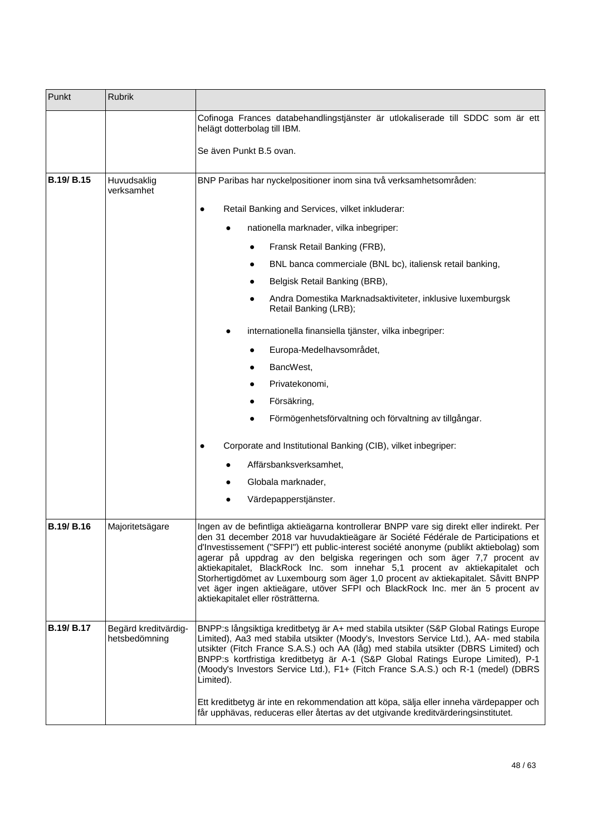| Punkt             | <b>Rubrik</b>                         |                                                                                                                                                                                                                                                                                                                                                                                                                                                                                                                                                                                                                                                 |
|-------------------|---------------------------------------|-------------------------------------------------------------------------------------------------------------------------------------------------------------------------------------------------------------------------------------------------------------------------------------------------------------------------------------------------------------------------------------------------------------------------------------------------------------------------------------------------------------------------------------------------------------------------------------------------------------------------------------------------|
|                   |                                       | Cofinoga Frances databehandlingstjänster är utlokaliserade till SDDC som är ett<br>helägt dotterbolag till IBM.                                                                                                                                                                                                                                                                                                                                                                                                                                                                                                                                 |
|                   |                                       | Se även Punkt B.5 ovan.                                                                                                                                                                                                                                                                                                                                                                                                                                                                                                                                                                                                                         |
| <b>B.19/ B.15</b> | Huvudsaklig<br>verksamhet             | BNP Paribas har nyckelpositioner inom sina två verksamhetsområden:                                                                                                                                                                                                                                                                                                                                                                                                                                                                                                                                                                              |
|                   |                                       | Retail Banking and Services, vilket inkluderar:                                                                                                                                                                                                                                                                                                                                                                                                                                                                                                                                                                                                 |
|                   |                                       | nationella marknader, vilka inbegriper:                                                                                                                                                                                                                                                                                                                                                                                                                                                                                                                                                                                                         |
|                   |                                       | Fransk Retail Banking (FRB),<br>$\bullet$                                                                                                                                                                                                                                                                                                                                                                                                                                                                                                                                                                                                       |
|                   |                                       | BNL banca commerciale (BNL bc), italiensk retail banking,                                                                                                                                                                                                                                                                                                                                                                                                                                                                                                                                                                                       |
|                   |                                       | Belgisk Retail Banking (BRB),                                                                                                                                                                                                                                                                                                                                                                                                                                                                                                                                                                                                                   |
|                   |                                       | Andra Domestika Marknadsaktiviteter, inklusive luxemburgsk<br>Retail Banking (LRB);                                                                                                                                                                                                                                                                                                                                                                                                                                                                                                                                                             |
|                   |                                       | internationella finansiella tjänster, vilka inbegriper:                                                                                                                                                                                                                                                                                                                                                                                                                                                                                                                                                                                         |
|                   |                                       | Europa-Medelhavsområdet,                                                                                                                                                                                                                                                                                                                                                                                                                                                                                                                                                                                                                        |
|                   |                                       | BancWest,                                                                                                                                                                                                                                                                                                                                                                                                                                                                                                                                                                                                                                       |
|                   |                                       | Privatekonomi,                                                                                                                                                                                                                                                                                                                                                                                                                                                                                                                                                                                                                                  |
|                   |                                       | Försäkring,                                                                                                                                                                                                                                                                                                                                                                                                                                                                                                                                                                                                                                     |
|                   |                                       | Förmögenhetsförvaltning och förvaltning av tillgångar.                                                                                                                                                                                                                                                                                                                                                                                                                                                                                                                                                                                          |
|                   |                                       | Corporate and Institutional Banking (CIB), vilket inbegriper:                                                                                                                                                                                                                                                                                                                                                                                                                                                                                                                                                                                   |
|                   |                                       | Affärsbanksverksamhet,                                                                                                                                                                                                                                                                                                                                                                                                                                                                                                                                                                                                                          |
|                   |                                       | Globala marknader,                                                                                                                                                                                                                                                                                                                                                                                                                                                                                                                                                                                                                              |
|                   |                                       | Värdepapperstjänster.                                                                                                                                                                                                                                                                                                                                                                                                                                                                                                                                                                                                                           |
| <b>B.19/ B.16</b> | Majoritetsägare                       | Ingen av de befintliga aktieägarna kontrollerar BNPP vare sig direkt eller indirekt. Per<br>den 31 december 2018 var huvudaktieägare är Société Fédérale de Participations et<br>d'Investissement ("SFPI") ett public-interest société anonyme (publikt aktiebolag) som<br>agerar på uppdrag av den belgiska regeringen och som äger 7,7 procent av<br>aktiekapitalet, BlackRock Inc. som innehar 5,1 procent av aktiekapitalet och<br>Storhertigdömet av Luxembourg som äger 1,0 procent av aktiekapitalet. Såvitt BNPP<br>vet äger ingen aktieägare, utöver SFPI och BlackRock Inc. mer än 5 procent av<br>aktiekapitalet eller rösträtterna. |
| <b>B.19/ B.17</b> | Begärd kreditvärdig-<br>hetsbedömning | BNPP:s långsiktiga kreditbetyg är A+ med stabila utsikter (S&P Global Ratings Europe<br>Limited), Aa3 med stabila utsikter (Moody's, Investors Service Ltd.), AA- med stabila<br>utsikter (Fitch France S.A.S.) och AA (låg) med stabila utsikter (DBRS Limited) och<br>BNPP:s kortfristiga kreditbetyg är A-1 (S&P Global Ratings Europe Limited), P-1<br>(Moody's Investors Service Ltd.), F1+ (Fitch France S.A.S.) och R-1 (medel) (DBRS<br>Limited).<br>Ett kreditbetyg är inte en rekommendation att köpa, sälja eller inneha värdepapper och<br>får upphävas, reduceras eller återtas av det utgivande kreditvärderingsinstitutet.       |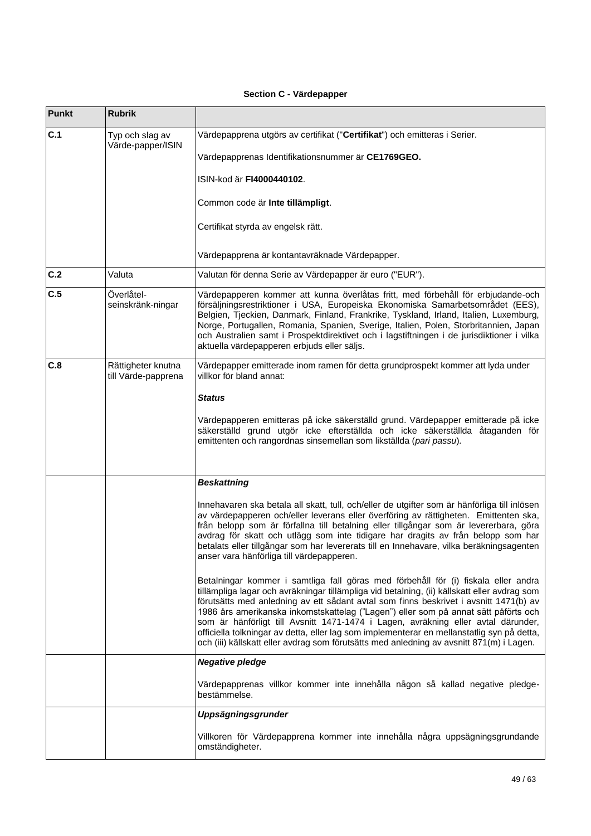# **Section C - Värdepapper**

| Punkt | <b>Rubrik</b>                             |                                                                                                                                                                                                                                                                                                                                                                                                                                                                                                                                                                                                                                                   |
|-------|-------------------------------------------|---------------------------------------------------------------------------------------------------------------------------------------------------------------------------------------------------------------------------------------------------------------------------------------------------------------------------------------------------------------------------------------------------------------------------------------------------------------------------------------------------------------------------------------------------------------------------------------------------------------------------------------------------|
| C.1   | Typ och slag av<br>Värde-papper/ISIN      | Värdepapprena utgörs av certifikat ("Certifikat") och emitteras i Serier.                                                                                                                                                                                                                                                                                                                                                                                                                                                                                                                                                                         |
|       |                                           | Värdepapprenas Identifikationsnummer är CE1769GEO.                                                                                                                                                                                                                                                                                                                                                                                                                                                                                                                                                                                                |
|       |                                           | ISIN-kod är FI4000440102.                                                                                                                                                                                                                                                                                                                                                                                                                                                                                                                                                                                                                         |
|       |                                           | Common code är Inte tillämpligt.                                                                                                                                                                                                                                                                                                                                                                                                                                                                                                                                                                                                                  |
|       |                                           | Certifikat styrda av engelsk rätt.                                                                                                                                                                                                                                                                                                                                                                                                                                                                                                                                                                                                                |
|       |                                           | Värdepapprena är kontantavräknade Värdepapper.                                                                                                                                                                                                                                                                                                                                                                                                                                                                                                                                                                                                    |
| C.2   | Valuta                                    | Valutan för denna Serie av Värdepapper är euro ("EUR").                                                                                                                                                                                                                                                                                                                                                                                                                                                                                                                                                                                           |
| C.5   | Överlåtel-<br>seinskränk-ningar           | Värdepapperen kommer att kunna överlåtas fritt, med förbehåll för erbjudande-och<br>försäljningsrestriktioner i USA, Europeiska Ekonomiska Samarbetsområdet (EES),<br>Belgien, Tjeckien, Danmark, Finland, Frankrike, Tyskland, Irland, Italien, Luxemburg,<br>Norge, Portugallen, Romania, Spanien, Sverige, Italien, Polen, Storbritannien, Japan<br>och Australien samt i Prospektdirektivet och i lagstiftningen i de jurisdiktioner i vilka<br>aktuella värdepapperen erbjuds eller säljs.                                                                                                                                                   |
| C.8   | Rättigheter knutna<br>till Värde-papprena | Värdepapper emitterade inom ramen för detta grundprospekt kommer att lyda under<br>villkor för bland annat:                                                                                                                                                                                                                                                                                                                                                                                                                                                                                                                                       |
|       |                                           | Status                                                                                                                                                                                                                                                                                                                                                                                                                                                                                                                                                                                                                                            |
|       |                                           | Värdepapperen emitteras på icke säkerställd grund. Värdepapper emitterade på icke<br>säkerställd grund utgör icke efterställda och icke säkerställda åtaganden för<br>emittenten och rangordnas sinsemellan som likställda (pari passu).                                                                                                                                                                                                                                                                                                                                                                                                          |
|       |                                           | <b>Beskattning</b>                                                                                                                                                                                                                                                                                                                                                                                                                                                                                                                                                                                                                                |
|       |                                           | Innehavaren ska betala all skatt, tull, och/eller de utgifter som är hänförliga till inlösen<br>av värdepapperen och/eller leverans eller överföring av rättigheten. Emittenten ska,<br>från belopp som är förfallna till betalning eller tillgångar som är levererbara, göra<br>avdrag för skatt och utlägg som inte tidigare har dragits av från belopp som har<br>betalats eller tillgångar som har levererats till en Innehavare, vilka beräkningsagenten<br>anser vara hänförliga till värdepapperen.                                                                                                                                        |
|       |                                           | Betalningar kommer i samtliga fall göras med förbehåll för (i) fiskala eller andra<br>tillämpliga lagar och avräkningar tillämpliga vid betalning, (ii) källskatt eller avdrag som<br>förutsätts med anledning av ett sådant avtal som finns beskrivet i avsnitt 1471(b) av<br>1986 års amerikanska inkomstskattelag ("Lagen") eller som på annat sätt påförts och<br>som är hänförligt till Avsnitt 1471-1474 i Lagen, avräkning eller avtal därunder,<br>officiella tolkningar av detta, eller lag som implementerar en mellanstatlig syn på detta,<br>och (iii) källskatt eller avdrag som förutsätts med anledning av avsnitt 871(m) i Lagen. |
|       |                                           | <b>Negative pledge</b>                                                                                                                                                                                                                                                                                                                                                                                                                                                                                                                                                                                                                            |
|       |                                           | Värdepapprenas villkor kommer inte innehålla någon så kallad negative pledge-<br>bestämmelse.                                                                                                                                                                                                                                                                                                                                                                                                                                                                                                                                                     |
|       |                                           | Uppsägningsgrunder                                                                                                                                                                                                                                                                                                                                                                                                                                                                                                                                                                                                                                |
|       |                                           | Villkoren för Värdepapprena kommer inte innehålla några uppsägningsgrundande<br>omständigheter.                                                                                                                                                                                                                                                                                                                                                                                                                                                                                                                                                   |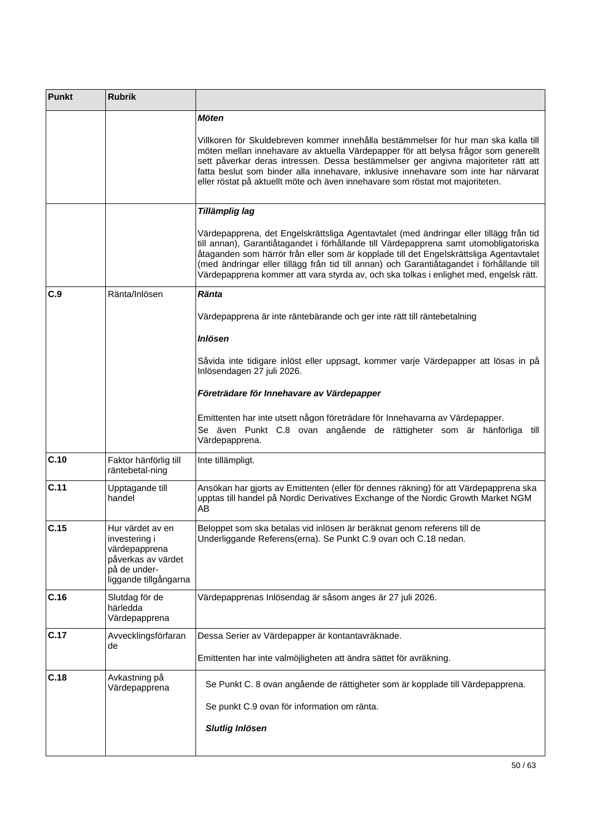| <b>Rubrik</b>                                                                                                     |                                                                                                                                                                                                                                                                                                                                                                                                                                                                 |
|-------------------------------------------------------------------------------------------------------------------|-----------------------------------------------------------------------------------------------------------------------------------------------------------------------------------------------------------------------------------------------------------------------------------------------------------------------------------------------------------------------------------------------------------------------------------------------------------------|
|                                                                                                                   | <b>Möten</b>                                                                                                                                                                                                                                                                                                                                                                                                                                                    |
|                                                                                                                   | Villkoren för Skuldebreven kommer innehålla bestämmelser för hur man ska kalla till<br>möten mellan innehavare av aktuella Värdepapper för att belysa frågor som generellt<br>sett påverkar deras intressen. Dessa bestämmelser ger angivna majoriteter rätt att<br>fatta beslut som binder alla innehavare, inklusive innehavare som inte har närvarat<br>eller röstat på aktuellt möte och även innehavare som röstat mot majoriteten.                        |
|                                                                                                                   | Tillämplig lag                                                                                                                                                                                                                                                                                                                                                                                                                                                  |
|                                                                                                                   | Värdepapprena, det Engelskrättsliga Agentavtalet (med ändringar eller tillägg från tid<br>till annan), Garantiåtagandet i förhållande till Värdepapprena samt utomobligatoriska<br>åtaganden som härrör från eller som är kopplade till det Engelskrättsliga Agentavtalet<br>(med ändringar eller tillägg från tid till annan) och Garantiåtagandet i förhållande till<br>Värdepapprena kommer att vara styrda av, och ska tolkas i enlighet med, engelsk rätt. |
| Ränta/Inlösen                                                                                                     | <b>Ränta</b>                                                                                                                                                                                                                                                                                                                                                                                                                                                    |
|                                                                                                                   | Värdepapprena är inte räntebärande och ger inte rätt till räntebetalning                                                                                                                                                                                                                                                                                                                                                                                        |
|                                                                                                                   | <b>Inlösen</b>                                                                                                                                                                                                                                                                                                                                                                                                                                                  |
|                                                                                                                   | Såvida inte tidigare inlöst eller uppsagt, kommer varje Värdepapper att lösas in på<br>Inlösendagen 27 juli 2026.                                                                                                                                                                                                                                                                                                                                               |
|                                                                                                                   | Företrädare för Innehavare av Värdepapper                                                                                                                                                                                                                                                                                                                                                                                                                       |
|                                                                                                                   | Emittenten har inte utsett någon företrädare för Innehavarna av Värdepapper.<br>Se även Punkt C.8 ovan angående de rättigheter som är hänförliga till<br>Värdepapprena.                                                                                                                                                                                                                                                                                         |
| Faktor hänförlig till<br>räntebetal-ning                                                                          | Inte tillämpligt.                                                                                                                                                                                                                                                                                                                                                                                                                                               |
| Upptagande till<br>handel                                                                                         | Ansökan har gjorts av Emittenten (eller för dennes räkning) för att Värdepapprena ska<br>upptas till handel på Nordic Derivatives Exchange of the Nordic Growth Market NGM<br>AB                                                                                                                                                                                                                                                                                |
| Hur värdet av en<br>investering i<br>värdepapprena<br>påverkas av värdet<br>på de under-<br>liggande tillgångarna | Beloppet som ska betalas vid inlösen är beräknat genom referens till de<br>Underliggande Referens(erna). Se Punkt C.9 ovan och C.18 nedan.                                                                                                                                                                                                                                                                                                                      |
| Slutdag för de<br>härledda<br>Värdepapprena                                                                       | Värdepapprenas Inlösendag är såsom anges är 27 juli 2026.                                                                                                                                                                                                                                                                                                                                                                                                       |
| Avvecklingsförfaran                                                                                               | Dessa Serier av Värdepapper är kontantavräknade.                                                                                                                                                                                                                                                                                                                                                                                                                |
|                                                                                                                   | Emittenten har inte valmöjligheten att ändra sättet för avräkning.                                                                                                                                                                                                                                                                                                                                                                                              |
| Avkastning på<br>Värdepapprena                                                                                    | Se Punkt C. 8 ovan angående de rättigheter som är kopplade till Värdepapprena.                                                                                                                                                                                                                                                                                                                                                                                  |
|                                                                                                                   | Se punkt C.9 ovan för information om ränta.                                                                                                                                                                                                                                                                                                                                                                                                                     |
|                                                                                                                   | <b>Slutlig Inlösen</b>                                                                                                                                                                                                                                                                                                                                                                                                                                          |
|                                                                                                                   | de                                                                                                                                                                                                                                                                                                                                                                                                                                                              |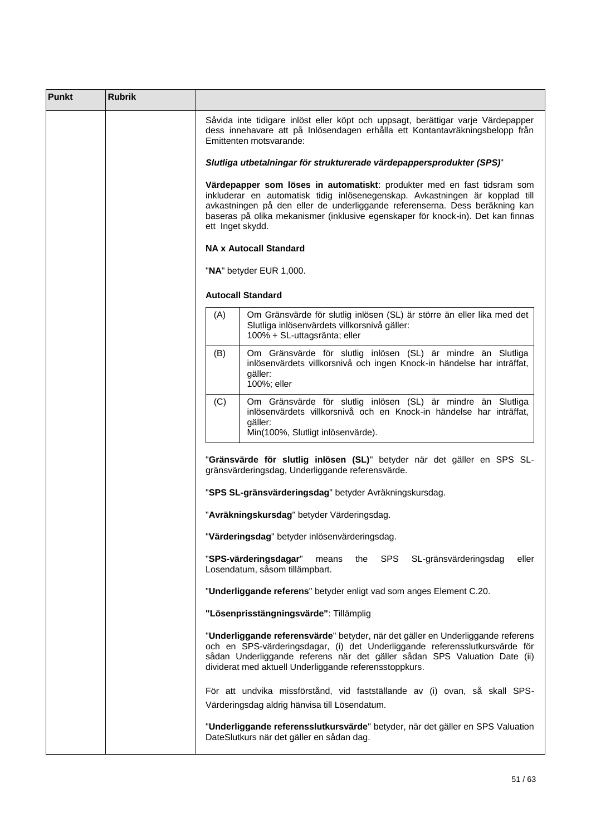| <b>Punkt</b> | <b>Rubrik</b> |                                                                                                                                                                                                                                                                                                                                               |  |  |  |  |  |  |
|--------------|---------------|-----------------------------------------------------------------------------------------------------------------------------------------------------------------------------------------------------------------------------------------------------------------------------------------------------------------------------------------------|--|--|--|--|--|--|
|              |               | Såvida inte tidigare inlöst eller köpt och uppsagt, berättigar varje Värdepapper<br>dess innehavare att på Inlösendagen erhålla ett Kontantavräkningsbelopp från<br>Emittenten motsvarande:                                                                                                                                                   |  |  |  |  |  |  |
|              |               | Slutliga utbetalningar för strukturerade värdepappersprodukter (SPS)"                                                                                                                                                                                                                                                                         |  |  |  |  |  |  |
|              |               | Värdepapper som löses in automatiskt: produkter med en fast tidsram som<br>inkluderar en automatisk tidig inlösenegenskap. Avkastningen är kopplad till<br>avkastningen på den eller de underliggande referenserna. Dess beräkning kan<br>baseras på olika mekanismer (inklusive egenskaper för knock-in). Det kan finnas<br>ett Inget skydd. |  |  |  |  |  |  |
|              |               | <b>NA x Autocall Standard</b>                                                                                                                                                                                                                                                                                                                 |  |  |  |  |  |  |
|              |               | "NA" betyder EUR 1,000.                                                                                                                                                                                                                                                                                                                       |  |  |  |  |  |  |
|              |               | <b>Autocall Standard</b>                                                                                                                                                                                                                                                                                                                      |  |  |  |  |  |  |
|              |               | Om Gränsvärde för slutlig inlösen (SL) är större än eller lika med det<br>(A)<br>Slutliga inlösenvärdets villkorsnivå gäller:<br>100% + SL-uttagsränta; eller                                                                                                                                                                                 |  |  |  |  |  |  |
|              |               | Om Gränsvärde för slutlig inlösen (SL) är mindre än Slutliga<br>(B)<br>inlösenvärdets villkorsnivå och ingen Knock-in händelse har inträffat,<br>gäller:<br>100%; eller                                                                                                                                                                       |  |  |  |  |  |  |
|              |               | Om Gränsvärde för slutlig inlösen (SL) är mindre än Slutliga<br>(C)<br>inlösenvärdets villkorsnivå och en Knock-in händelse har inträffat,<br>gäller:<br>Min(100%, Slutligt inlösenvärde).                                                                                                                                                    |  |  |  |  |  |  |
|              |               | "Gränsvärde för slutlig inlösen (SL)" betyder när det gäller en SPS SL-<br>gränsvärderingsdag, Underliggande referensvärde.                                                                                                                                                                                                                   |  |  |  |  |  |  |
|              |               | "SPS SL-gränsvärderingsdag" betyder Avräkningskursdag.                                                                                                                                                                                                                                                                                        |  |  |  |  |  |  |
|              |               | "Avräkningskursdag" betyder Värderingsdag.                                                                                                                                                                                                                                                                                                    |  |  |  |  |  |  |
|              |               | "Värderingsdag" betyder inlösenvärderingsdag.                                                                                                                                                                                                                                                                                                 |  |  |  |  |  |  |
|              |               | "SPS-värderingsdagar"<br>the SPS<br>SL-gränsvärderingsdag<br>eller<br>means<br>Losendatum, såsom tillämpbart.                                                                                                                                                                                                                                 |  |  |  |  |  |  |
|              |               | "Underliggande referens" betyder enligt vad som anges Element C.20.                                                                                                                                                                                                                                                                           |  |  |  |  |  |  |
|              |               | "Lösenprisstängningsvärde": Tillämplig                                                                                                                                                                                                                                                                                                        |  |  |  |  |  |  |
|              |               | "Underliggande referensvärde" betyder, när det gäller en Underliggande referens<br>och en SPS-värderingsdagar, (i) det Underliggande referensslutkursvärde för<br>sådan Underliggande referens när det gäller sådan SPS Valuation Date (ii)<br>dividerat med aktuell Underliggande referensstoppkurs.                                         |  |  |  |  |  |  |
|              |               | För att undvika missförstånd, vid fastställande av (i) ovan, så skall SPS-<br>Värderingsdag aldrig hänvisa till Lösendatum.                                                                                                                                                                                                                   |  |  |  |  |  |  |
|              |               | "Underliggande referensslutkursvärde" betyder, när det gäller en SPS Valuation<br>DateSlutkurs när det gäller en sådan dag.                                                                                                                                                                                                                   |  |  |  |  |  |  |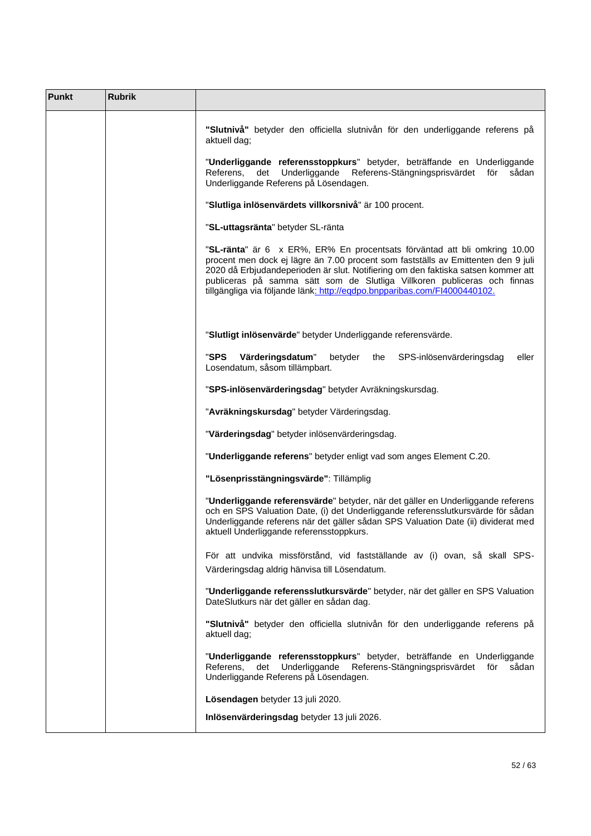| <b>Punkt</b> | <b>Rubrik</b> |                                                                                                                                                                                                                                                                                                                                                                                                              |
|--------------|---------------|--------------------------------------------------------------------------------------------------------------------------------------------------------------------------------------------------------------------------------------------------------------------------------------------------------------------------------------------------------------------------------------------------------------|
|              |               | "Slutnivå" betyder den officiella slutnivån för den underliggande referens på<br>aktuell dag;                                                                                                                                                                                                                                                                                                                |
|              |               | "Underliggande referensstoppkurs" betyder, beträffande en Underliggande<br>Referens-Stängningsprisvärdet för<br>Referens,<br>Underliggande<br>det<br>sådan<br>Underliggande Referens på Lösendagen.                                                                                                                                                                                                          |
|              |               | "Slutliga inlösenvärdets villkorsnivå" är 100 procent.                                                                                                                                                                                                                                                                                                                                                       |
|              |               | "SL-uttagsränta" betyder SL-ränta                                                                                                                                                                                                                                                                                                                                                                            |
|              |               | "SL-ränta" är 6 x ER%, ER% En procentsats förväntad att bli omkring 10.00<br>procent men dock ej lägre än 7.00 procent som fastställs av Emittenten den 9 juli<br>2020 då Erbjudandeperioden är slut. Notifiering om den faktiska satsen kommer att<br>publiceras på samma sätt som de Slutliga Villkoren publiceras och finnas<br>tillgängliga via följande länk: http://eqdpo.bnpparibas.com/FI4000440102. |
|              |               | "Slutligt inlösenvärde" betyder Underliggande referensvärde.                                                                                                                                                                                                                                                                                                                                                 |
|              |               | "SPS<br>Värderingsdatum"<br>betyder<br>SPS-inlösenvärderingsdag<br>eller<br>the<br>Losendatum, såsom tillämpbart.                                                                                                                                                                                                                                                                                            |
|              |               | "SPS-inlösenvärderingsdag" betyder Avräkningskursdag.                                                                                                                                                                                                                                                                                                                                                        |
|              |               | "Avräkningskursdag" betyder Värderingsdag.                                                                                                                                                                                                                                                                                                                                                                   |
|              |               | "Värderingsdag" betyder inlösenvärderingsdag.                                                                                                                                                                                                                                                                                                                                                                |
|              |               | "Underliggande referens" betyder enligt vad som anges Element C.20.                                                                                                                                                                                                                                                                                                                                          |
|              |               | "Lösenprisstängningsvärde": Tillämplig                                                                                                                                                                                                                                                                                                                                                                       |
|              |               | "Underliggande referensvärde" betyder, när det gäller en Underliggande referens<br>och en SPS Valuation Date, (i) det Underliggande referensslutkursvärde för sådan<br>Underliggande referens när det gäller sådan SPS Valuation Date (ii) dividerat med<br>aktuell Underliggande referensstoppkurs.                                                                                                         |
|              |               | För att undvika missförstånd, vid fastställande av (i) ovan, så skall SPS-                                                                                                                                                                                                                                                                                                                                   |
|              |               | Värderingsdag aldrig hänvisa till Lösendatum.                                                                                                                                                                                                                                                                                                                                                                |
|              |               | "Underliggande referensslutkursvärde" betyder, när det gäller en SPS Valuation<br>DateSlutkurs när det gäller en sådan dag.                                                                                                                                                                                                                                                                                  |
|              |               | "Slutnivå" betyder den officiella slutnivån för den underliggande referens på<br>aktuell dag;                                                                                                                                                                                                                                                                                                                |
|              |               | "Underliggande referensstoppkurs" betyder, beträffande en Underliggande<br>Underliggande<br>Referens-Stängningsprisvärdet för<br>sådan<br>Referens,<br>det<br>Underliggande Referens på Lösendagen.                                                                                                                                                                                                          |
|              |               | Lösendagen betyder 13 juli 2020.                                                                                                                                                                                                                                                                                                                                                                             |
|              |               | Inlösenvärderingsdag betyder 13 juli 2026.                                                                                                                                                                                                                                                                                                                                                                   |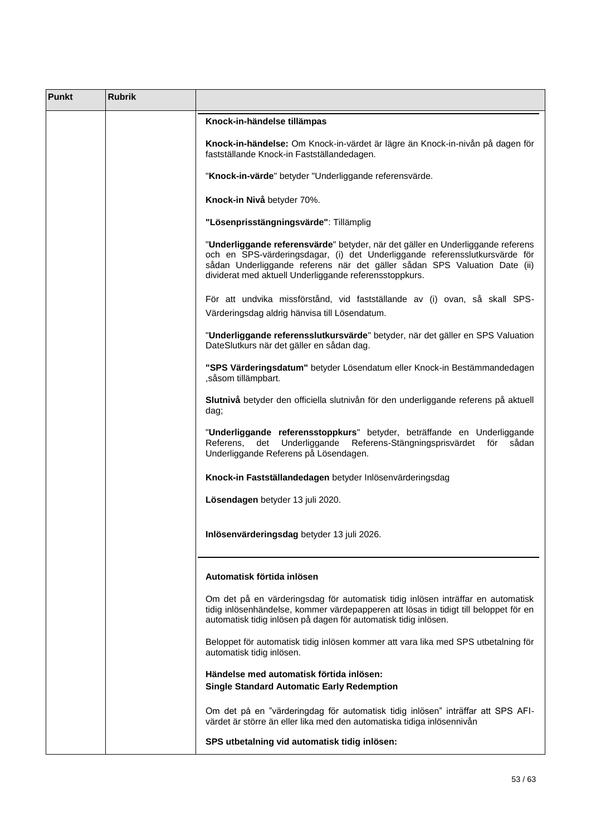| Punkt | <b>Rubrik</b> |                                                                                                                                                                                                                                                                                                       |
|-------|---------------|-------------------------------------------------------------------------------------------------------------------------------------------------------------------------------------------------------------------------------------------------------------------------------------------------------|
|       |               | Knock-in-händelse tillämpas                                                                                                                                                                                                                                                                           |
|       |               | Knock-in-händelse: Om Knock-in-värdet är lägre än Knock-in-nivån på dagen för<br>fastställande Knock-in Fastställandedagen.                                                                                                                                                                           |
|       |               | "Knock-in-värde" betyder "Underliggande referensvärde.                                                                                                                                                                                                                                                |
|       |               | Knock-in Nivå betyder 70%.                                                                                                                                                                                                                                                                            |
|       |               | "Lösenprisstängningsvärde": Tillämplig                                                                                                                                                                                                                                                                |
|       |               | "Underliggande referensvärde" betyder, när det gäller en Underliggande referens<br>och en SPS-värderingsdagar, (i) det Underliggande referensslutkursvärde för<br>sådan Underliggande referens när det gäller sådan SPS Valuation Date (ii)<br>dividerat med aktuell Underliggande referensstoppkurs. |
|       |               | För att undvika missförstånd, vid fastställande av (i) ovan, så skall SPS-<br>Värderingsdag aldrig hänvisa till Lösendatum.                                                                                                                                                                           |
|       |               | "Underliggande referensslutkursvärde" betyder, när det gäller en SPS Valuation<br>DateSlutkurs när det gäller en sådan dag.                                                                                                                                                                           |
|       |               | "SPS Värderingsdatum" betyder Lösendatum eller Knock-in Bestämmandedagen<br>, såsom tillämpbart.                                                                                                                                                                                                      |
|       |               | Slutnivå betyder den officiella slutnivån för den underliggande referens på aktuell<br>dag;                                                                                                                                                                                                           |
|       |               | "Underliggande referensstoppkurs" betyder, beträffande en Underliggande<br>Referens-Stängningsprisvärdet för<br>Referens,<br>det Underliggande<br>sådan<br>Underliggande Referens på Lösendagen.                                                                                                      |
|       |               | Knock-in Fastställandedagen betyder Inlösenvärderingsdag                                                                                                                                                                                                                                              |
|       |               | Lösendagen betyder 13 juli 2020.                                                                                                                                                                                                                                                                      |
|       |               | Inlösenvärderingsdag betyder 13 juli 2026.                                                                                                                                                                                                                                                            |
|       |               | Automatisk förtida inlösen                                                                                                                                                                                                                                                                            |
|       |               | Om det på en värderingsdag för automatisk tidig inlösen inträffar en automatisk<br>tidig inlösenhändelse, kommer värdepapperen att lösas in tidigt till beloppet för en<br>automatisk tidig inlösen på dagen för automatisk tidig inlösen.                                                            |
|       |               | Beloppet för automatisk tidig inlösen kommer att vara lika med SPS utbetalning för<br>automatisk tidig inlösen.                                                                                                                                                                                       |
|       |               | Händelse med automatisk förtida inlösen:<br><b>Single Standard Automatic Early Redemption</b>                                                                                                                                                                                                         |
|       |               | Om det på en "värderingdag för automatisk tidig inlösen" inträffar att SPS AFI-<br>värdet är större än eller lika med den automatiska tidiga inlösennivån                                                                                                                                             |
|       |               | SPS utbetalning vid automatisk tidig inlösen:                                                                                                                                                                                                                                                         |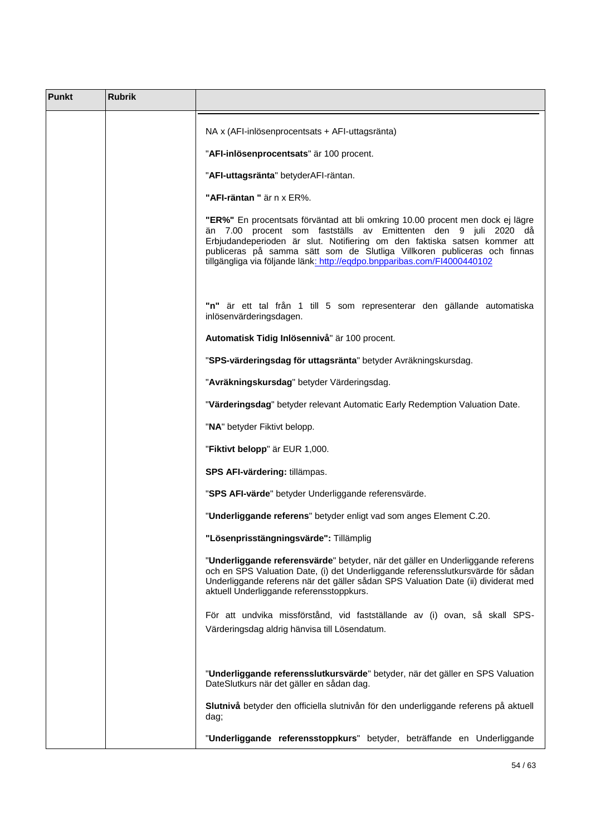| Punkt | <b>Rubrik</b> |                                                                                                                                                                                                                                                                                                                                                                                                                                                                                |
|-------|---------------|--------------------------------------------------------------------------------------------------------------------------------------------------------------------------------------------------------------------------------------------------------------------------------------------------------------------------------------------------------------------------------------------------------------------------------------------------------------------------------|
|       |               | NA x (AFI-inlösenprocentsats + AFI-uttagsränta)<br>"AFI-inlösenprocentsats" är 100 procent.<br>"AFI-uttagsränta" betyderAFI-räntan.<br>"AFI-räntan " är n x ER%.<br>"ER%" En procentsats förväntad att bli omkring 10.00 procent men dock ej lägre<br>än 7.00 procent som fastställs av Emittenten den 9 juli 2020 då<br>Erbjudandeperioden är slut. Notifiering om den faktiska satsen kommer att<br>publiceras på samma sätt som de Slutliga Villkoren publiceras och finnas |
|       |               | tillgängliga via följande länk: http://egdpo.bnpparibas.com/FI4000440102<br>"n" är ett tal från 1 till 5 som representerar den gällande automatiska<br>inlösenvärderingsdagen.<br>Automatisk Tidig Inlösennivå" är 100 procent.                                                                                                                                                                                                                                                |
|       |               | "SPS-värderingsdag för uttagsränta" betyder Avräkningskursdag.                                                                                                                                                                                                                                                                                                                                                                                                                 |
|       |               | "Avräkningskursdag" betyder Värderingsdag.                                                                                                                                                                                                                                                                                                                                                                                                                                     |
|       |               | "Värderingsdag" betyder relevant Automatic Early Redemption Valuation Date.                                                                                                                                                                                                                                                                                                                                                                                                    |
|       |               | "NA" betyder Fiktivt belopp.                                                                                                                                                                                                                                                                                                                                                                                                                                                   |
|       |               | "Fiktivt belopp" är EUR 1,000.                                                                                                                                                                                                                                                                                                                                                                                                                                                 |
|       |               | SPS AFI-värdering: tillämpas.                                                                                                                                                                                                                                                                                                                                                                                                                                                  |
|       |               | "SPS AFI-värde" betyder Underliggande referensvärde.                                                                                                                                                                                                                                                                                                                                                                                                                           |
|       |               | "Underliggande referens" betyder enligt vad som anges Element C.20.                                                                                                                                                                                                                                                                                                                                                                                                            |
|       |               | "Lösenprisstängningsvärde": Tillämplig                                                                                                                                                                                                                                                                                                                                                                                                                                         |
|       |               | "Underliggande referensvärde" betyder, när det gäller en Underliggande referens<br>och en SPS Valuation Date, (i) det Underliggande referensslutkursvärde för sådan<br>Underliggande referens när det gäller sådan SPS Valuation Date (ii) dividerat med<br>aktuell Underliggande referensstoppkurs.                                                                                                                                                                           |
|       |               | För att undvika missförstånd, vid fastställande av (i) ovan, så skall SPS-<br>Värderingsdag aldrig hänvisa till Lösendatum.                                                                                                                                                                                                                                                                                                                                                    |
|       |               | "Underliggande referensslutkursvärde" betyder, när det gäller en SPS Valuation<br>DateSlutkurs när det gäller en sådan dag.                                                                                                                                                                                                                                                                                                                                                    |
|       |               | Slutnivå betyder den officiella slutnivån för den underliggande referens på aktuell<br>dag;                                                                                                                                                                                                                                                                                                                                                                                    |
|       |               | "Underliggande referensstoppkurs" betyder, beträffande en Underliggande                                                                                                                                                                                                                                                                                                                                                                                                        |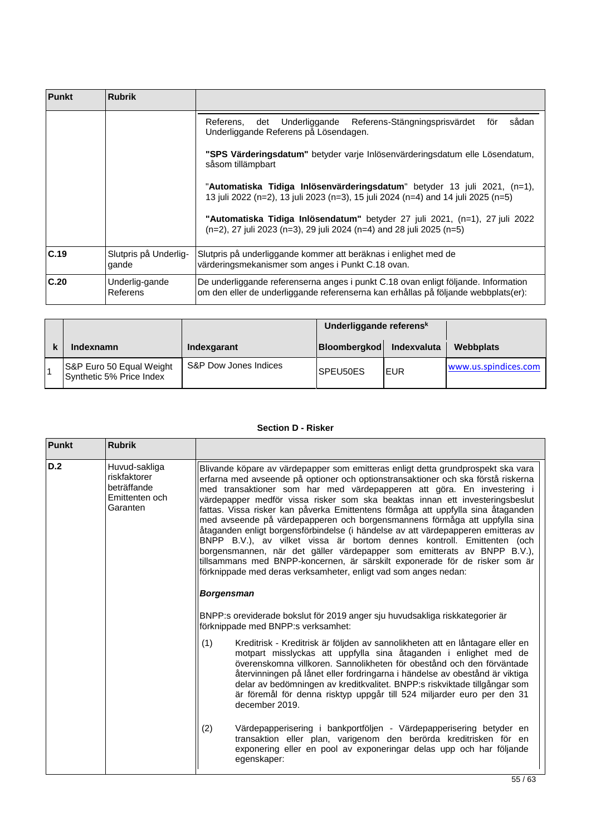| Punkt | <b>Rubrik</b>                                                                                    |                                                                                                                                                                          |  |  |  |  |  |  |  |
|-------|--------------------------------------------------------------------------------------------------|--------------------------------------------------------------------------------------------------------------------------------------------------------------------------|--|--|--|--|--|--|--|
|       |                                                                                                  | sådan<br>Underliggande<br>Referens-Stängningsprisvärdet<br>det<br>för<br>Referens.<br>Underliggande Referens på Lösendagen.                                              |  |  |  |  |  |  |  |
|       | "SPS Värderingsdatum" betyder varje Inlösenvärderingsdatum elle Lösendatum,<br>såsom tillämpbart |                                                                                                                                                                          |  |  |  |  |  |  |  |
|       |                                                                                                  | "Automatiska Tidiga Inlösenvärderingsdatum" betyder 13 juli 2021, (n=1),<br>13 juli 2022 (n=2), 13 juli 2023 (n=3), 15 juli 2024 (n=4) and 14 juli 2025 (n=5)            |  |  |  |  |  |  |  |
|       |                                                                                                  | "Automatiska Tidiga Inlösendatum" betyder 27 juli 2021, (n=1), 27 juli 2022<br>(n=2), 27 juli 2023 (n=3), 29 juli 2024 (n=4) and 28 juli 2025 (n=5)                      |  |  |  |  |  |  |  |
| C.19  | Slutpris på Underlig-<br>gande                                                                   | Slutpris på underliggande kommer att beräknas i enlighet med de<br>värderingsmekanismer som anges i Punkt C.18 ovan.                                                     |  |  |  |  |  |  |  |
| C.20  | Underlig-gande<br>Referens                                                                       | De underliggande referenserna anges i punkt C.18 ovan enligt följande. Information<br>om den eller de underliggande referenserna kan erhållas på följande webbplats(er): |  |  |  |  |  |  |  |

|                                                      | Underliggande referens <sup>k</sup> |                          |      |                      |
|------------------------------------------------------|-------------------------------------|--------------------------|------|----------------------|
| Indexnamn                                            | Indexgarant                         | Bloombergkod Indexvaluta |      | Webbplats            |
| S&P Euro 50 Equal Weight<br>Synthetic 5% Price Index | S&P Dow Jones Indices               | SPEU50ES                 | IEUR | www.us.spindices.com |

# **Section D - Risker**

| <b>Punkt</b> | <b>Rubrik</b>                                                              |                                                                                                                                                                                                                                                                                                                                                                                                                                                                                                                                                                                                                                                                                                                                                                                                                                                                                                                    |  |  |  |  |  |
|--------------|----------------------------------------------------------------------------|--------------------------------------------------------------------------------------------------------------------------------------------------------------------------------------------------------------------------------------------------------------------------------------------------------------------------------------------------------------------------------------------------------------------------------------------------------------------------------------------------------------------------------------------------------------------------------------------------------------------------------------------------------------------------------------------------------------------------------------------------------------------------------------------------------------------------------------------------------------------------------------------------------------------|--|--|--|--|--|
| D.2          | Huvud-sakliga<br>riskfaktorer<br>beträffande<br>Emittenten och<br>Garanten | Blivande köpare av värdepapper som emitteras enligt detta grundprospekt ska vara<br>erfarna med avseende på optioner och optionstransaktioner och ska förstå riskerna<br>med transaktioner som har med värdepapperen att göra. En investering i<br>värdepapper medför vissa risker som ska beaktas innan ett investeringsbeslut<br>fattas. Vissa risker kan påverka Emittentens förmåga att uppfylla sina åtaganden<br>med avseende på värdepapperen och borgensmannens förmåga att uppfylla sina<br>åtaganden enligt borgensförbindelse (i händelse av att värdepapperen emitteras av<br>BNPP B.V.), av vilket vissa är bortom dennes kontroll. Emittenten (och<br>borgensmannen, när det gäller värdepapper som emitterats av BNPP B.V.),<br>tillsammans med BNPP-koncernen, är särskilt exponerade för de risker som är<br>förknippade med deras verksamheter, enligt vad som anges nedan:<br><b>Borgensman</b> |  |  |  |  |  |
|              |                                                                            |                                                                                                                                                                                                                                                                                                                                                                                                                                                                                                                                                                                                                                                                                                                                                                                                                                                                                                                    |  |  |  |  |  |
|              |                                                                            | BNPP:s oreviderade bokslut för 2019 anger sju huvudsakliga riskkategorier är<br>förknippade med BNPP:s verksamhet:                                                                                                                                                                                                                                                                                                                                                                                                                                                                                                                                                                                                                                                                                                                                                                                                 |  |  |  |  |  |
|              |                                                                            | (1)<br>Kreditrisk - Kreditrisk är följden av sannolikheten att en låntagare eller en<br>motpart misslyckas att uppfylla sina åtaganden i enlighet med de<br>överenskomna villkoren. Sannolikheten för obestånd och den förväntade<br>återvinningen på lånet eller fordringarna i händelse av obestånd är viktiga<br>delar av bedömningen av kreditkvalitet. BNPP:s riskviktade tillgångar som<br>är föremål för denna risktyp uppgår till 524 miljarder euro per den 31<br>december 2019.                                                                                                                                                                                                                                                                                                                                                                                                                          |  |  |  |  |  |
|              |                                                                            | (2)<br>Värdepapperisering i bankportföljen - Värdepapperisering betyder en<br>transaktion eller plan, varigenom den berörda kreditrisken för en<br>exponering eller en pool av exponeringar delas upp och har följande<br>egenskaper:                                                                                                                                                                                                                                                                                                                                                                                                                                                                                                                                                                                                                                                                              |  |  |  |  |  |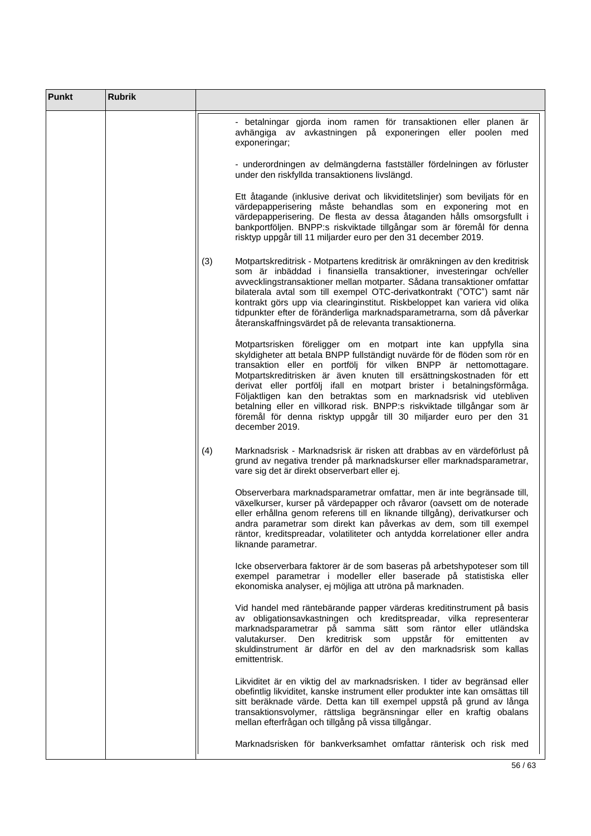| <b>Punkt</b> | <b>Rubrik</b> |                                                                                                                                                                                                                                                                                                                                                                                                                                                                                                                                                                                                          |
|--------------|---------------|----------------------------------------------------------------------------------------------------------------------------------------------------------------------------------------------------------------------------------------------------------------------------------------------------------------------------------------------------------------------------------------------------------------------------------------------------------------------------------------------------------------------------------------------------------------------------------------------------------|
|              |               | - betalningar gjorda inom ramen för transaktionen eller planen är<br>avhängiga av avkastningen på exponeringen eller poolen med<br>exponeringar;                                                                                                                                                                                                                                                                                                                                                                                                                                                         |
|              |               | - underordningen av delmängderna fastställer fördelningen av förluster<br>under den riskfyllda transaktionens livslängd.                                                                                                                                                                                                                                                                                                                                                                                                                                                                                 |
|              |               | Ett åtagande (inklusive derivat och likviditetslinjer) som beviljats för en<br>värdepapperisering måste behandlas som en exponering mot en<br>värdepapperisering. De flesta av dessa åtaganden hålls omsorgsfullt i<br>bankportföljen. BNPP:s riskviktade tillgångar som är föremål för denna<br>risktyp uppgår till 11 miljarder euro per den 31 december 2019.                                                                                                                                                                                                                                         |
|              |               | (3)<br>Motpartskreditrisk - Motpartens kreditrisk är omräkningen av den kreditrisk<br>som är inbäddad i finansiella transaktioner, investeringar och/eller<br>avvecklingstransaktioner mellan motparter. Sådana transaktioner omfattar<br>bilaterala avtal som till exempel OTC-derivatkontrakt ("OTC") samt när<br>kontrakt görs upp via clearinginstitut. Riskbeloppet kan variera vid olika<br>tidpunkter efter de föränderliga marknadsparametrarna, som då påverkar<br>återanskaffningsvärdet på de relevanta transaktionerna.                                                                      |
|              |               | Motpartsrisken föreligger om en motpart inte kan uppfylla sina<br>skyldigheter att betala BNPP fullständigt nuvärde för de flöden som rör en<br>transaktion eller en portfölj för vilken BNPP är nettomottagare.<br>Motpartskreditrisken är även knuten till ersättningskostnaden för ett<br>derivat eller portfölj ifall en motpart brister i betalningsförmåga.<br>Följaktligen kan den betraktas som en marknadsrisk vid utebliven<br>betalning eller en villkorad risk. BNPP:s riskviktade tillgångar som är<br>föremål för denna risktyp uppgår till 30 miljarder euro per den 31<br>december 2019. |
|              |               | (4)<br>Marknadsrisk - Marknadsrisk är risken att drabbas av en värdeförlust på<br>grund av negativa trender på marknadskurser eller marknadsparametrar,<br>vare sig det är direkt observerbart eller ej.                                                                                                                                                                                                                                                                                                                                                                                                 |
|              |               | Observerbara marknadsparametrar omfattar, men är inte begränsade till,<br>växelkurser, kurser på värdepapper och råvaror (oavsett om de noterade<br>eller erhållna genom referens till en liknande tillgång), derivatkurser och<br>andra parametrar som direkt kan påverkas av dem, som till exempel<br>räntor, kreditspreadar, volatiliteter och antydda korrelationer eller andra<br>liknande parametrar.                                                                                                                                                                                              |
|              |               | Icke observerbara faktorer är de som baseras på arbetshypoteser som till<br>exempel parametrar i modeller eller baserade på statistiska eller<br>ekonomiska analyser, ej möjliga att utröna på marknaden.                                                                                                                                                                                                                                                                                                                                                                                                |
|              |               | Vid handel med räntebärande papper värderas kreditinstrument på basis<br>av obligationsavkastningen och kreditspreadar, vilka representerar<br>marknadsparametrar på samma sätt som räntor eller utländska<br>kreditrisk som uppstår för<br>valutakurser.<br>Den<br>emittenten av<br>skuldinstrument är därför en del av den marknadsrisk som kallas<br>emittentrisk.                                                                                                                                                                                                                                    |
|              |               | Likviditet är en viktig del av marknadsrisken. I tider av begränsad eller<br>obefintlig likviditet, kanske instrument eller produkter inte kan omsättas till<br>sitt beräknade värde. Detta kan till exempel uppstå på grund av långa<br>transaktionsvolymer, rättsliga begränsningar eller en kraftig obalans<br>mellan efterfrågan och tillgång på vissa tillgångar.                                                                                                                                                                                                                                   |
|              |               | Marknadsrisken för bankverksamhet omfattar ränterisk och risk med                                                                                                                                                                                                                                                                                                                                                                                                                                                                                                                                        |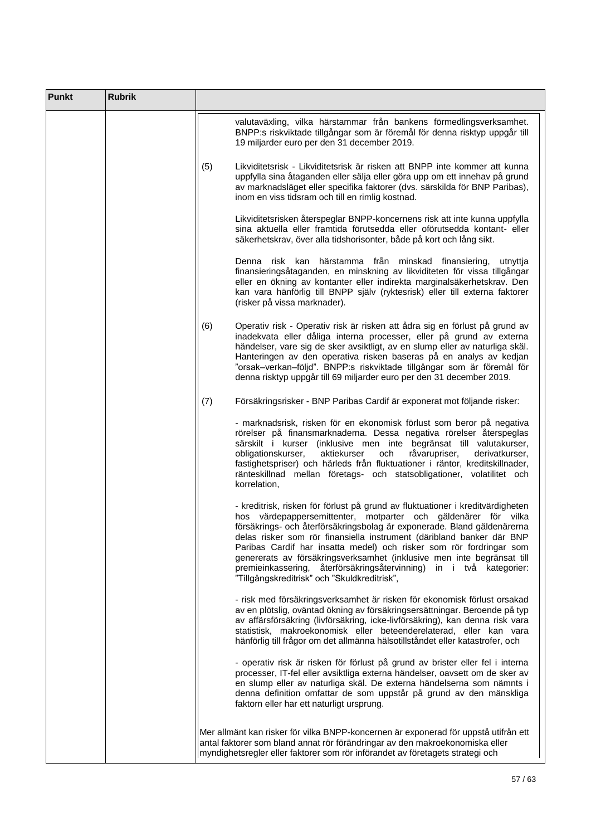| Punkt | <b>Rubrik</b> |                                                                                                                                                                                                                                                                                                                                                                                                                                                                                                                                                                              |
|-------|---------------|------------------------------------------------------------------------------------------------------------------------------------------------------------------------------------------------------------------------------------------------------------------------------------------------------------------------------------------------------------------------------------------------------------------------------------------------------------------------------------------------------------------------------------------------------------------------------|
|       |               | valutaväxling, vilka härstammar från bankens förmedlingsverksamhet.<br>BNPP:s riskviktade tillgångar som är föremål för denna risktyp uppgår till<br>19 miljarder euro per den 31 december 2019.                                                                                                                                                                                                                                                                                                                                                                             |
|       |               | Likviditetsrisk - Likviditetsrisk är risken att BNPP inte kommer att kunna<br>(5)<br>uppfylla sina åtaganden eller sälja eller göra upp om ett innehav på grund<br>av marknadsläget eller specifika faktorer (dvs. särskilda för BNP Paribas),<br>inom en viss tidsram och till en rimlig kostnad.                                                                                                                                                                                                                                                                           |
|       |               | Likviditetsrisken återspeglar BNPP-koncernens risk att inte kunna uppfylla<br>sina aktuella eller framtida förutsedda eller oförutsedda kontant- eller<br>säkerhetskrav, över alla tidshorisonter, både på kort och lång sikt.                                                                                                                                                                                                                                                                                                                                               |
|       |               | Denna risk kan härstamma från minskad finansiering,<br>utnyttja<br>finansieringsåtaganden, en minskning av likviditeten för vissa tillgångar<br>eller en ökning av kontanter eller indirekta marginalsäkerhetskrav. Den<br>kan vara hänförlig till BNPP själv (ryktesrisk) eller till externa faktorer<br>(risker på vissa marknader).                                                                                                                                                                                                                                       |
|       |               | (6)<br>Operativ risk - Operativ risk är risken att ådra sig en förlust på grund av<br>inadekvata eller dåliga interna processer, eller på grund av externa<br>händelser, vare sig de sker avsiktligt, av en slump eller av naturliga skäl.<br>Hanteringen av den operativa risken baseras på en analys av kedjan<br>"orsak-verkan-följd". BNPP:s riskviktade tillgångar som är föremål för<br>denna risktyp uppgår till 69 miljarder euro per den 31 december 2019.                                                                                                          |
|       |               | (7)<br>Försäkringsrisker - BNP Paribas Cardif är exponerat mot följande risker:                                                                                                                                                                                                                                                                                                                                                                                                                                                                                              |
|       |               | - marknadsrisk, risken för en ekonomisk förlust som beror på negativa<br>rörelser på finansmarknaderna. Dessa negativa rörelser återspeglas<br>särskilt i kurser (inklusive men inte begränsat till valutakurser,<br>obligationskurser,<br>aktiekurser<br>och<br>råvarupriser,<br>derivatkurser,<br>fastighetspriser) och härleds från fluktuationer i räntor, kreditskillnader,<br>ränteskillnad mellan företags- och statsobligationer, volatilitet och<br>korrelation,                                                                                                    |
|       |               | - kreditrisk, risken för förlust på grund av fluktuationer i kreditvärdigheten<br>hos värdepappersemittenter, motparter och gäldenärer för vilka<br>försäkrings- och återförsäkringsbolag är exponerade. Bland gäldenärerna<br>delas risker som rör finansiella instrument (däribland banker där BNP<br>Paribas Cardif har insatta medel) och risker som rör fordringar som<br>genererats av försäkringsverksamhet (inklusive men inte begränsat till<br>premieinkassering, återförsäkringsåtervinning) in i två kategorier:<br>"Tillgångskreditrisk" och "Skuldkreditrisk", |
|       |               | - risk med försäkringsverksamhet är risken för ekonomisk förlust orsakad<br>av en plötslig, oväntad ökning av försäkringsersättningar. Beroende på typ<br>av affärsförsäkring (livförsäkring, icke-livförsäkring), kan denna risk vara<br>statistisk, makroekonomisk eller beteenderelaterad, eller kan vara<br>hänförlig till frågor om det allmänna hälsotillståndet eller katastrofer, och                                                                                                                                                                                |
|       |               | - operativ risk är risken för förlust på grund av brister eller fel i interna<br>processer, IT-fel eller avsiktliga externa händelser, oavsett om de sker av<br>en slump eller av naturliga skäl. De externa händelserna som nämnts i<br>denna definition omfattar de som uppstår på grund av den mänskliga<br>faktorn eller har ett naturligt ursprung.                                                                                                                                                                                                                     |
|       |               | Mer allmänt kan risker för vilka BNPP-koncernen är exponerad för uppstå utifrån ett<br>antal faktorer som bland annat rör förändringar av den makroekonomiska eller<br>myndighetsregler eller faktorer som rör införandet av företagets strategi och                                                                                                                                                                                                                                                                                                                         |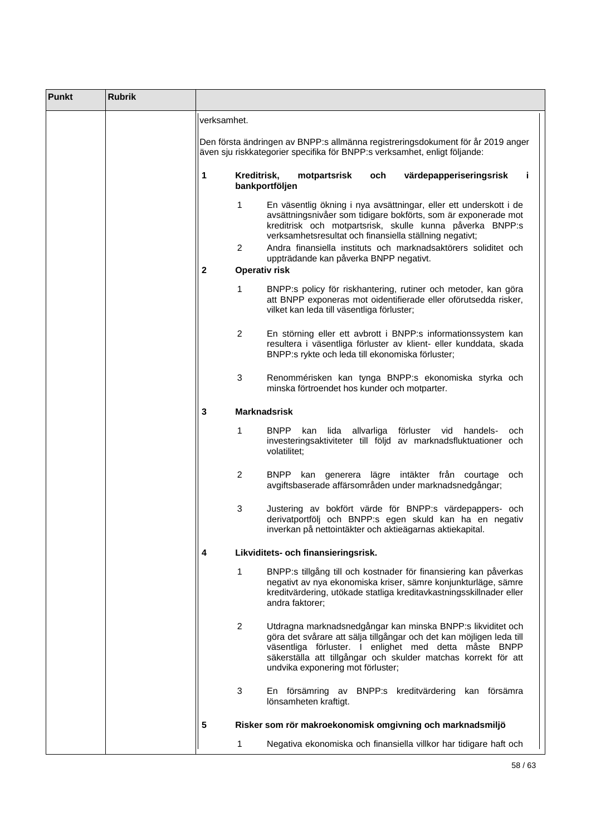| <b>Punkt</b> | <b>Rubrik</b> |                                                                                                                                                                                                                                                                                                                                                                                                                                                                                                                                                                                                                                                                                                                                                                                                                                                                                                                                                                                                                                                                                                                                                                                                                                                                                                                                                                                           |   |  |                                           |  |     |                        |                                                                   |              |    |
|--------------|---------------|-------------------------------------------------------------------------------------------------------------------------------------------------------------------------------------------------------------------------------------------------------------------------------------------------------------------------------------------------------------------------------------------------------------------------------------------------------------------------------------------------------------------------------------------------------------------------------------------------------------------------------------------------------------------------------------------------------------------------------------------------------------------------------------------------------------------------------------------------------------------------------------------------------------------------------------------------------------------------------------------------------------------------------------------------------------------------------------------------------------------------------------------------------------------------------------------------------------------------------------------------------------------------------------------------------------------------------------------------------------------------------------------|---|--|-------------------------------------------|--|-----|------------------------|-------------------------------------------------------------------|--------------|----|
|              |               |                                                                                                                                                                                                                                                                                                                                                                                                                                                                                                                                                                                                                                                                                                                                                                                                                                                                                                                                                                                                                                                                                                                                                                                                                                                                                                                                                                                           |   |  |                                           |  |     |                        |                                                                   |              |    |
|              |               |                                                                                                                                                                                                                                                                                                                                                                                                                                                                                                                                                                                                                                                                                                                                                                                                                                                                                                                                                                                                                                                                                                                                                                                                                                                                                                                                                                                           |   |  |                                           |  |     |                        |                                                                   |              |    |
|              |               | 1                                                                                                                                                                                                                                                                                                                                                                                                                                                                                                                                                                                                                                                                                                                                                                                                                                                                                                                                                                                                                                                                                                                                                                                                                                                                                                                                                                                         |   |  |                                           |  | och |                        |                                                                   |              | Î. |
|              |               |                                                                                                                                                                                                                                                                                                                                                                                                                                                                                                                                                                                                                                                                                                                                                                                                                                                                                                                                                                                                                                                                                                                                                                                                                                                                                                                                                                                           | 1 |  |                                           |  |     |                        |                                                                   |              |    |
|              |               | verksamhet.<br>Kreditrisk,<br>motpartsrisk<br>bankportföljen<br>verksamhetsresultat och finansiella ställning negativt;<br>2<br>uppträdande kan påverka BNPP negativt.<br>$\mathbf{2}$<br><b>Operativ risk</b><br>1<br>vilket kan leda till väsentliga förluster;<br>$\overline{2}$<br>BNPP:s rykte och leda till ekonomiska förluster;<br>3<br>minska förtroendet hos kunder och motparter.<br>3<br><b>Marknadsrisk</b><br>1<br><b>BNPP</b><br>lida allvarliga förluster vid<br>kan<br>volatilitet;<br>$\overline{2}$<br>3<br>Likviditets- och finansieringsrisk.<br>4<br>1<br>andra faktorer;<br>$\overline{2}$<br>Utdragna marknadsnedgångar kan minska BNPP:s likviditet och<br>göra det svårare att sälja tillgångar och det kan möjligen leda till<br>väsentliga förluster. I enlighet med detta måste BNPP<br>säkerställa att tillgångar och skulder matchas korrekt för att<br>undvika exponering mot förluster;                                                                                                                                                                                                                                                                                                                                                                                                                                                                  |   |  |                                           |  |     |                        |                                                                   |              |    |
|              |               | Den första ändringen av BNPP:s allmänna registreringsdokument för år 2019 anger<br>även sju riskkategorier specifika för BNPP:s verksamhet, enligt följande:<br>värdepapperiseringsrisk<br>En väsentlig ökning i nya avsättningar, eller ett underskott i de<br>avsättningsnivåer som tidigare bokförts, som är exponerade mot<br>kreditrisk och motpartsrisk, skulle kunna påverka BNPP:s<br>Andra finansiella instituts och marknadsaktörers soliditet och<br>BNPP:s policy för riskhantering, rutiner och metoder, kan göra<br>att BNPP exponeras mot oidentifierade eller oförutsedda risker,<br>En störning eller ett avbrott i BNPP:s informationssystem kan<br>resultera i väsentliga förluster av klient- eller kunddata, skada<br>Renommérisken kan tynga BNPP:s ekonomiska styrka och<br>handels-<br>investeringsaktiviteter till följd av marknadsfluktuationer och<br>BNPP kan generera lägre intäkter från courtage<br>avgiftsbaserade affärsområden under marknadsnedgångar;<br>Justering av bokfört värde för BNPP:s värdepappers- och<br>derivatportfölj och BNPP:s egen skuld kan ha en negativ<br>inverkan på nettointäkter och aktieägarnas aktiekapital.<br>BNPP:s tillgång till och kostnader för finansiering kan påverkas<br>negativt av nya ekonomiska kriser, sämre konjunkturläge, sämre<br>kreditvärdering, utökade statliga kreditavkastningsskillnader eller |   |  |                                           |  |     |                        |                                                                   |              |    |
|              |               |                                                                                                                                                                                                                                                                                                                                                                                                                                                                                                                                                                                                                                                                                                                                                                                                                                                                                                                                                                                                                                                                                                                                                                                                                                                                                                                                                                                           |   |  |                                           |  |     |                        |                                                                   |              |    |
|              |               |                                                                                                                                                                                                                                                                                                                                                                                                                                                                                                                                                                                                                                                                                                                                                                                                                                                                                                                                                                                                                                                                                                                                                                                                                                                                                                                                                                                           |   |  |                                           |  |     |                        |                                                                   |              |    |
|              |               |                                                                                                                                                                                                                                                                                                                                                                                                                                                                                                                                                                                                                                                                                                                                                                                                                                                                                                                                                                                                                                                                                                                                                                                                                                                                                                                                                                                           |   |  |                                           |  |     |                        |                                                                   |              |    |
|              |               |                                                                                                                                                                                                                                                                                                                                                                                                                                                                                                                                                                                                                                                                                                                                                                                                                                                                                                                                                                                                                                                                                                                                                                                                                                                                                                                                                                                           |   |  |                                           |  |     |                        |                                                                   |              |    |
|              |               |                                                                                                                                                                                                                                                                                                                                                                                                                                                                                                                                                                                                                                                                                                                                                                                                                                                                                                                                                                                                                                                                                                                                                                                                                                                                                                                                                                                           |   |  |                                           |  |     |                        |                                                                   | och.         |    |
|              |               |                                                                                                                                                                                                                                                                                                                                                                                                                                                                                                                                                                                                                                                                                                                                                                                                                                                                                                                                                                                                                                                                                                                                                                                                                                                                                                                                                                                           |   |  |                                           |  |     |                        |                                                                   | och          |    |
|              |               |                                                                                                                                                                                                                                                                                                                                                                                                                                                                                                                                                                                                                                                                                                                                                                                                                                                                                                                                                                                                                                                                                                                                                                                                                                                                                                                                                                                           |   |  |                                           |  |     |                        |                                                                   |              |    |
|              |               |                                                                                                                                                                                                                                                                                                                                                                                                                                                                                                                                                                                                                                                                                                                                                                                                                                                                                                                                                                                                                                                                                                                                                                                                                                                                                                                                                                                           |   |  |                                           |  |     |                        |                                                                   |              |    |
|              |               |                                                                                                                                                                                                                                                                                                                                                                                                                                                                                                                                                                                                                                                                                                                                                                                                                                                                                                                                                                                                                                                                                                                                                                                                                                                                                                                                                                                           |   |  |                                           |  |     |                        |                                                                   |              |    |
|              |               |                                                                                                                                                                                                                                                                                                                                                                                                                                                                                                                                                                                                                                                                                                                                                                                                                                                                                                                                                                                                                                                                                                                                                                                                                                                                                                                                                                                           |   |  |                                           |  |     |                        |                                                                   |              |    |
|              |               |                                                                                                                                                                                                                                                                                                                                                                                                                                                                                                                                                                                                                                                                                                                                                                                                                                                                                                                                                                                                                                                                                                                                                                                                                                                                                                                                                                                           | 3 |  | En försämring av<br>lönsamheten kraftigt. |  |     | BNPP:s kreditvärdering |                                                                   | kan försämra |    |
|              |               | 5                                                                                                                                                                                                                                                                                                                                                                                                                                                                                                                                                                                                                                                                                                                                                                                                                                                                                                                                                                                                                                                                                                                                                                                                                                                                                                                                                                                         |   |  |                                           |  |     |                        | Risker som rör makroekonomisk omgivning och marknadsmiljö         |              |    |
|              |               |                                                                                                                                                                                                                                                                                                                                                                                                                                                                                                                                                                                                                                                                                                                                                                                                                                                                                                                                                                                                                                                                                                                                                                                                                                                                                                                                                                                           | 1 |  |                                           |  |     |                        | Negativa ekonomiska och finansiella villkor har tidigare haft och |              |    |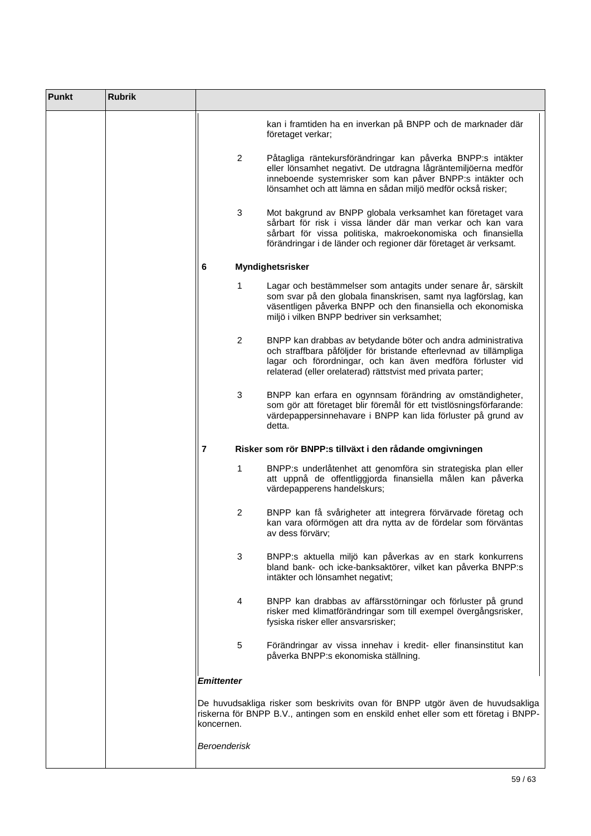| <b>Punkt</b> | <b>Rubrik</b> |                |                                                                                                                                                                                                                                                                |
|--------------|---------------|----------------|----------------------------------------------------------------------------------------------------------------------------------------------------------------------------------------------------------------------------------------------------------------|
|              |               |                | kan i framtiden ha en inverkan på BNPP och de marknader där<br>företaget verkar;                                                                                                                                                                               |
|              |               | $\overline{2}$ | Påtagliga räntekursförändringar kan påverka BNPP:s intäkter<br>eller lönsamhet negativt. De utdragna lågräntemiljöerna medför<br>inneboende systemrisker som kan påver BNPP:s intäkter och<br>lönsamhet och att lämna en sådan miljö medför också risker;      |
|              |               | 3              | Mot bakgrund av BNPP globala verksamhet kan företaget vara<br>sårbart för risk i vissa länder där man verkar och kan vara<br>sårbart för vissa politiska, makroekonomiska och finansiella<br>förändringar i de länder och regioner där företaget är verksamt.  |
|              |               | 6              | Myndighetsrisker                                                                                                                                                                                                                                               |
|              |               | $\mathbf{1}$   | Lagar och bestämmelser som antagits under senare år, särskilt<br>som svar på den globala finanskrisen, samt nya lagförslag, kan<br>väsentligen påverka BNPP och den finansiella och ekonomiska<br>miljö i vilken BNPP bedriver sin verksamhet;                 |
|              |               | $\overline{2}$ | BNPP kan drabbas av betydande böter och andra administrativa<br>och straffbara påföljder för bristande efterlevnad av tillämpliga<br>lagar och förordningar, och kan även medföra förluster vid<br>relaterad (eller orelaterad) rättstvist med privata parter; |
|              |               | 3              | BNPP kan erfara en ogynnsam förändring av omständigheter,<br>som gör att företaget blir föremål för ett tvistlösningsförfarande:<br>värdepappersinnehavare i BNPP kan lida förluster på grund av<br>detta.                                                     |
|              |               | $\overline{7}$ | Risker som rör BNPP:s tillväxt i den rådande omgivningen                                                                                                                                                                                                       |
|              |               | 1              | BNPP:s underlåtenhet att genomföra sin strategiska plan eller<br>att uppnå de offentliggjorda finansiella målen kan påverka<br>värdepapperens handelskurs;                                                                                                     |
|              |               | $\overline{2}$ | BNPP kan få svårigheter att integrera förvärvade företag och<br>kan vara oförmögen att dra nytta av de fördelar som förväntas<br>av dess förvärv;                                                                                                              |
|              |               | 3              | BNPP:s aktuella miljö kan påverkas av en stark konkurrens<br>bland bank- och icke-banksaktörer, vilket kan påverka BNPP:s<br>intäkter och lönsamhet negativt;                                                                                                  |
|              |               | 4              | BNPP kan drabbas av affärsstörningar och förluster på grund<br>risker med klimatförändringar som till exempel övergångsrisker,<br>fysiska risker eller ansvarsrisker;                                                                                          |
|              |               | 5              | Förändringar av vissa innehav i kredit- eller finansinstitut kan<br>påverka BNPP:s ekonomiska ställning.                                                                                                                                                       |
|              |               | Emittenter     |                                                                                                                                                                                                                                                                |
|              |               | koncernen.     | De huvudsakliga risker som beskrivits ovan för BNPP utgör även de huvudsakliga<br>riskerna för BNPP B.V., antingen som en enskild enhet eller som ett företag i BNPP-                                                                                          |
|              |               | Beroenderisk   |                                                                                                                                                                                                                                                                |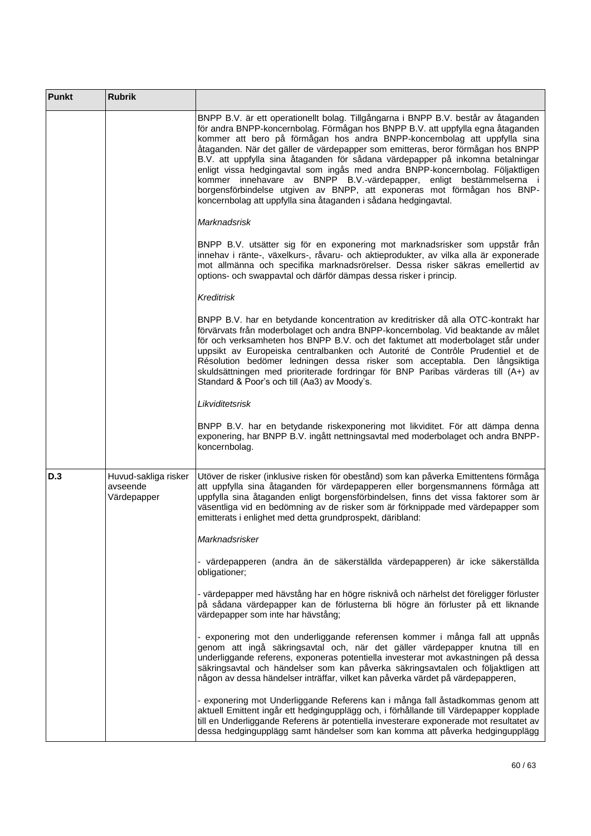| <b>Punkt</b> | <b>Rubrik</b>                                   |                                                                                                                                                                                                                                                                                                                                                                                                                                                                                                                                                                                                                                                                                                                               |
|--------------|-------------------------------------------------|-------------------------------------------------------------------------------------------------------------------------------------------------------------------------------------------------------------------------------------------------------------------------------------------------------------------------------------------------------------------------------------------------------------------------------------------------------------------------------------------------------------------------------------------------------------------------------------------------------------------------------------------------------------------------------------------------------------------------------|
|              |                                                 | BNPP B.V. är ett operationellt bolag. Tillgångarna i BNPP B.V. består av åtaganden<br>för andra BNPP-koncernbolag. Förmågan hos BNPP B.V. att uppfylla egna åtaganden<br>kommer att bero på förmågan hos andra BNPP-koncernbolag att uppfylla sina<br>åtaganden. När det gäller de värdepapper som emitteras, beror förmågan hos BNPP<br>B.V. att uppfylla sina åtaganden för sådana värdepapper på inkomna betalningar<br>enligt vissa hedgingavtal som ingås med andra BNPP-koncernbolag. Följaktligen<br>kommer innehavare av BNPP B.V.-värdepapper, enligt bestämmelserna i<br>borgensförbindelse utgiven av BNPP, att exponeras mot förmågan hos BNP-<br>koncernbolag att uppfylla sina åtaganden i sådana hedgingavtal. |
|              |                                                 | <b>Marknadsrisk</b>                                                                                                                                                                                                                                                                                                                                                                                                                                                                                                                                                                                                                                                                                                           |
|              |                                                 | BNPP B.V. utsätter sig för en exponering mot marknadsrisker som uppstår från<br>innehav i ränte-, växelkurs-, råvaru- och aktieprodukter, av vilka alla är exponerade<br>mot allmänna och specifika marknadsrörelser. Dessa risker säkras emellertid av<br>options- och swappavtal och därför dämpas dessa risker i princip.                                                                                                                                                                                                                                                                                                                                                                                                  |
|              |                                                 | <b>Kreditrisk</b>                                                                                                                                                                                                                                                                                                                                                                                                                                                                                                                                                                                                                                                                                                             |
|              |                                                 | BNPP B.V. har en betydande koncentration av kreditrisker då alla OTC-kontrakt har<br>förvärvats från moderbolaget och andra BNPP-koncernbolag. Vid beaktande av målet<br>för och verksamheten hos BNPP B.V. och det faktumet att moderbolaget står under<br>uppsikt av Europeiska centralbanken och Autorité de Contrôle Prudentiel et de<br>Résolution bedömer ledningen dessa risker som acceptabla. Den långsiktiga<br>skuldsättningen med prioriterade fordringar för BNP Paribas värderas till (A+) av<br>Standard & Poor's och till (Aa3) av Moody's.                                                                                                                                                                   |
|              |                                                 | Likviditetsrisk                                                                                                                                                                                                                                                                                                                                                                                                                                                                                                                                                                                                                                                                                                               |
|              |                                                 | BNPP B.V. har en betydande riskexponering mot likviditet. För att dämpa denna<br>exponering, har BNPP B.V. ingått nettningsavtal med moderbolaget och andra BNPP-<br>koncernbolag.                                                                                                                                                                                                                                                                                                                                                                                                                                                                                                                                            |
| D.3          | Huvud-sakliga risker<br>avseende<br>Värdepapper | Utöver de risker (inklusive risken för obestånd) som kan påverka Emittentens förmåga<br>att uppfylla sina åtaganden för värdepapperen eller borgensmannens förmåga att<br>uppfylla sina åtaganden enligt borgensförbindelsen, finns det vissa faktorer som är<br>väsentliga vid en bedömning av de risker som är förknippade med värdepapper som<br>emitterats i enlighet med detta grundprospekt, däribland:                                                                                                                                                                                                                                                                                                                 |
|              |                                                 | Marknadsrisker                                                                                                                                                                                                                                                                                                                                                                                                                                                                                                                                                                                                                                                                                                                |
|              |                                                 | - värdepapperen (andra än de säkerställda värdepapperen) är icke säkerställda<br>obligationer;                                                                                                                                                                                                                                                                                                                                                                                                                                                                                                                                                                                                                                |
|              |                                                 | - värdepapper med hävstång har en högre risknivå och närhelst det föreligger förluster<br>på sådana värdepapper kan de förlusterna bli högre än förluster på ett liknande<br>värdepapper som inte har hävstång;                                                                                                                                                                                                                                                                                                                                                                                                                                                                                                               |
|              |                                                 | - exponering mot den underliggande referensen kommer i många fall att uppnås<br>genom att ingå säkringsavtal och, när det gäller värdepapper knutna till en<br>underliggande referens, exponeras potentiella investerar mot avkastningen på dessa<br>säkringsavtal och händelser som kan påverka säkringsavtalen och följaktligen att<br>någon av dessa händelser inträffar, vilket kan påverka värdet på värdepapperen,                                                                                                                                                                                                                                                                                                      |
|              |                                                 | - exponering mot Underliggande Referens kan i många fall åstadkommas genom att<br>aktuell Emittent ingår ett hedgingupplägg och, i förhållande till Värdepapper kopplade<br>till en Underliggande Referens är potentiella investerare exponerade mot resultatet av<br>dessa hedgingupplägg samt händelser som kan komma att påverka hedgingupplägg                                                                                                                                                                                                                                                                                                                                                                            |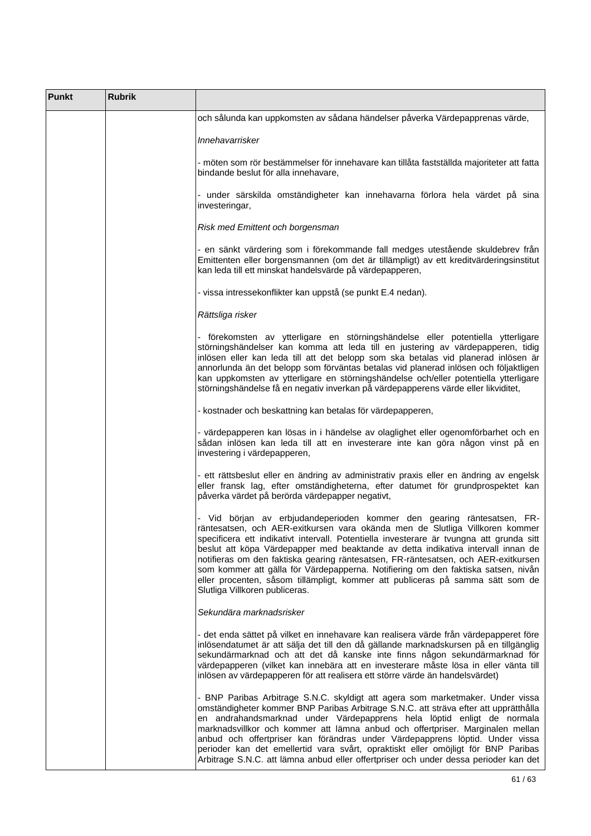| <b>Punkt</b> | <b>Rubrik</b> |                                                                                                                                                                                                                                                                                                                                                                                                                                                                                                                                                                                                                                     |
|--------------|---------------|-------------------------------------------------------------------------------------------------------------------------------------------------------------------------------------------------------------------------------------------------------------------------------------------------------------------------------------------------------------------------------------------------------------------------------------------------------------------------------------------------------------------------------------------------------------------------------------------------------------------------------------|
|              |               | och sålunda kan uppkomsten av sådana händelser påverka Värdepapprenas värde,                                                                                                                                                                                                                                                                                                                                                                                                                                                                                                                                                        |
|              |               | Innehavarrisker                                                                                                                                                                                                                                                                                                                                                                                                                                                                                                                                                                                                                     |
|              |               | - möten som rör bestämmelser för innehavare kan tillåta fastställda majoriteter att fatta<br>bindande beslut för alla innehavare,                                                                                                                                                                                                                                                                                                                                                                                                                                                                                                   |
|              |               | - under särskilda omständigheter kan innehavarna förlora hela värdet på sina<br>investeringar,                                                                                                                                                                                                                                                                                                                                                                                                                                                                                                                                      |
|              |               | Risk med Emittent och borgensman                                                                                                                                                                                                                                                                                                                                                                                                                                                                                                                                                                                                    |
|              |               | - en sänkt värdering som i förekommande fall medges utestående skuldebrev från<br>Emittenten eller borgensmannen (om det är tillämpligt) av ett kreditvärderingsinstitut<br>kan leda till ett minskat handelsvärde på värdepapperen,                                                                                                                                                                                                                                                                                                                                                                                                |
|              |               | - vissa intressekonflikter kan uppstå (se punkt E.4 nedan).                                                                                                                                                                                                                                                                                                                                                                                                                                                                                                                                                                         |
|              |               | Rättsliga risker                                                                                                                                                                                                                                                                                                                                                                                                                                                                                                                                                                                                                    |
|              |               | - förekomsten av ytterligare en störningshändelse eller potentiella ytterligare<br>störningshändelser kan komma att leda till en justering av värdepapperen, tidig<br>inlösen eller kan leda till att det belopp som ska betalas vid planerad inlösen är<br>annorlunda än det belopp som förväntas betalas vid planerad inlösen och följaktligen<br>kan uppkomsten av ytterligare en störningshändelse och/eller potentiella ytterligare<br>störningshändelse få en negativ inverkan på värdepapperens värde eller likviditet,                                                                                                      |
|              |               | - kostnader och beskattning kan betalas för värdepapperen,                                                                                                                                                                                                                                                                                                                                                                                                                                                                                                                                                                          |
|              |               | - värdepapperen kan lösas in i händelse av olaglighet eller ogenomförbarhet och en<br>sådan inlösen kan leda till att en investerare inte kan göra någon vinst på en<br>investering i värdepapperen,                                                                                                                                                                                                                                                                                                                                                                                                                                |
|              |               | - ett rättsbeslut eller en ändring av administrativ praxis eller en ändring av engelsk<br>eller fransk lag, efter omständigheterna, efter datumet för grundprospektet kan<br>påverka värdet på berörda värdepapper negativt,                                                                                                                                                                                                                                                                                                                                                                                                        |
|              |               | Vid början av erbjudandeperioden kommer den gearing räntesatsen, FR-<br>räntesatsen, och AER-exitkursen vara okända men de Slutliga Villkoren kommer<br>specificera ett indikativt intervall. Potentiella investerare är tvungna att grunda sitt<br>beslut att köpa Värdepapper med beaktande av detta indikativa intervall innan de<br>notifieras om den faktiska gearing räntesatsen, FR-räntesatsen, och AER-exitkursen<br>som kommer att gälla för Värdepapperna. Notifiering om den faktiska satsen, nivån<br>eller procenten, såsom tillämpligt, kommer att publiceras på samma sätt som de<br>Slutliga Villkoren publiceras. |
|              |               | Sekundära marknadsrisker                                                                                                                                                                                                                                                                                                                                                                                                                                                                                                                                                                                                            |
|              |               | - det enda sättet på vilket en innehavare kan realisera värde från värdepapperet före<br>inlösendatumet är att sälja det till den då gällande marknadskursen på en tillgänglig<br>sekundärmarknad och att det då kanske inte finns någon sekundärmarknad för<br>värdepapperen (vilket kan innebära att en investerare måste lösa in eller vänta till<br>inlösen av värdepapperen för att realisera ett större värde än handelsvärdet)                                                                                                                                                                                               |
|              |               | - BNP Paribas Arbitrage S.N.C. skyldigt att agera som marketmaker. Under vissa<br>omständigheter kommer BNP Paribas Arbitrage S.N.C. att sträva efter att upprätthålla<br>en andrahandsmarknad under Värdepapprens hela löptid enligt de normala<br>marknadsvillkor och kommer att lämna anbud och offertpriser. Marginalen mellan<br>anbud och offertpriser kan förändras under Värdepapprens löptid. Under vissa<br>perioder kan det emellertid vara svårt, opraktiskt eller omöjligt för BNP Paribas<br>Arbitrage S.N.C. att lämna anbud eller offertpriser och under dessa perioder kan det                                     |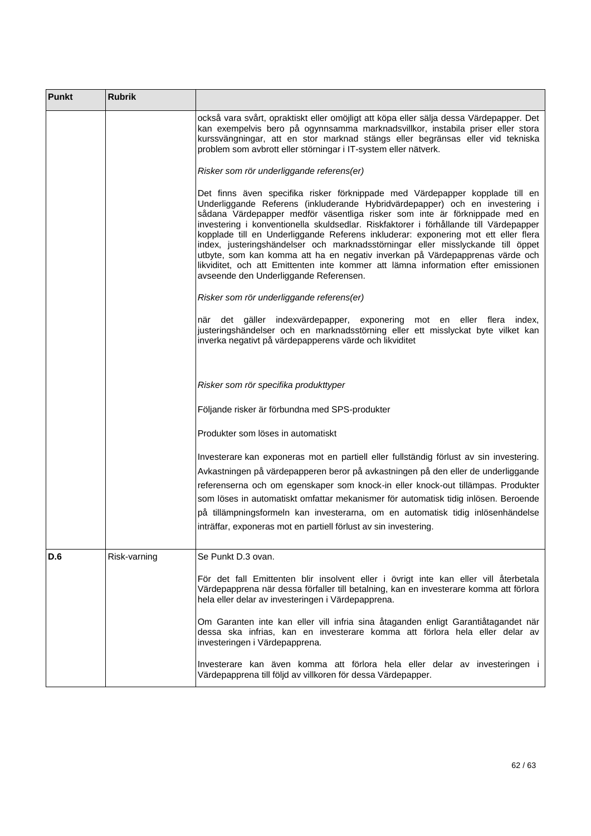| <b>Punkt</b> | <b>Rubrik</b> |                                                                                                                                                                                                                                                                                                                                                                                                                                                                                                                                                                                                                                                                                                                             |
|--------------|---------------|-----------------------------------------------------------------------------------------------------------------------------------------------------------------------------------------------------------------------------------------------------------------------------------------------------------------------------------------------------------------------------------------------------------------------------------------------------------------------------------------------------------------------------------------------------------------------------------------------------------------------------------------------------------------------------------------------------------------------------|
|              |               | också vara svårt, opraktiskt eller omöjligt att köpa eller sälja dessa Värdepapper. Det<br>kan exempelvis bero på ogynnsamma marknadsvillkor, instabila priser eller stora<br>kurssvängningar, att en stor marknad stängs eller begränsas eller vid tekniska<br>problem som avbrott eller störningar i IT-system eller nätverk.                                                                                                                                                                                                                                                                                                                                                                                             |
|              |               | Risker som rör underliggande referens(er)                                                                                                                                                                                                                                                                                                                                                                                                                                                                                                                                                                                                                                                                                   |
|              |               | Det finns även specifika risker förknippade med Värdepapper kopplade till en<br>Underliggande Referens (inkluderande Hybridvärdepapper) och en investering i<br>sådana Värdepapper medför väsentliga risker som inte är förknippade med en<br>investering i konventionella skuldsedlar. Riskfaktorer i förhållande till Värdepapper<br>kopplade till en Underliggande Referens inkluderar: exponering mot ett eller flera<br>index, justeringshändelser och marknadsstörningar eller misslyckande till öppet<br>utbyte, som kan komma att ha en negativ inverkan på Värdepapprenas värde och<br>likviditet, och att Emittenten inte kommer att lämna information efter emissionen<br>avseende den Underliggande Referensen. |
|              |               | Risker som rör underliggande referens(er)                                                                                                                                                                                                                                                                                                                                                                                                                                                                                                                                                                                                                                                                                   |
|              |               | när det gäller indexvärdepapper, exponering mot en<br>eller flera index,<br>justeringshändelser och en marknadsstörning eller ett misslyckat byte vilket kan<br>inverka negativt på värdepapperens värde och likviditet                                                                                                                                                                                                                                                                                                                                                                                                                                                                                                     |
|              |               | Risker som rör specifika produkttyper                                                                                                                                                                                                                                                                                                                                                                                                                                                                                                                                                                                                                                                                                       |
|              |               | Följande risker är förbundna med SPS-produkter                                                                                                                                                                                                                                                                                                                                                                                                                                                                                                                                                                                                                                                                              |
|              |               | Produkter som löses in automatiskt                                                                                                                                                                                                                                                                                                                                                                                                                                                                                                                                                                                                                                                                                          |
|              |               | Investerare kan exponeras mot en partiell eller fullständig förlust av sin investering.<br>Avkastningen på värdepapperen beror på avkastningen på den eller de underliggande<br>referenserna och om egenskaper som knock-in eller knock-out tillämpas. Produkter<br>som löses in automatiskt omfattar mekanismer för automatisk tidig inlösen. Beroende<br>på tillämpningsformeln kan investerarna, om en automatisk tidig inlösenhändelse<br>inträffar, exponeras mot en partiell förlust av sin investering.                                                                                                                                                                                                              |
| D.6          | Risk-varning  | Se Punkt D.3 ovan.                                                                                                                                                                                                                                                                                                                                                                                                                                                                                                                                                                                                                                                                                                          |
|              |               | För det fall Emittenten blir insolvent eller i övrigt inte kan eller vill återbetala<br>Värdepapprena när dessa förfaller till betalning, kan en investerare komma att förlora<br>hela eller delar av investeringen i Värdepapprena.                                                                                                                                                                                                                                                                                                                                                                                                                                                                                        |
|              |               | Om Garanten inte kan eller vill infria sina åtaganden enligt Garantiåtagandet när<br>dessa ska infrias, kan en investerare komma att förlora hela eller delar av<br>investeringen i Värdepapprena.                                                                                                                                                                                                                                                                                                                                                                                                                                                                                                                          |
|              |               | Investerare kan även komma att förlora hela eller delar av investeringen i<br>Värdepapprena till följd av villkoren för dessa Värdepapper.                                                                                                                                                                                                                                                                                                                                                                                                                                                                                                                                                                                  |